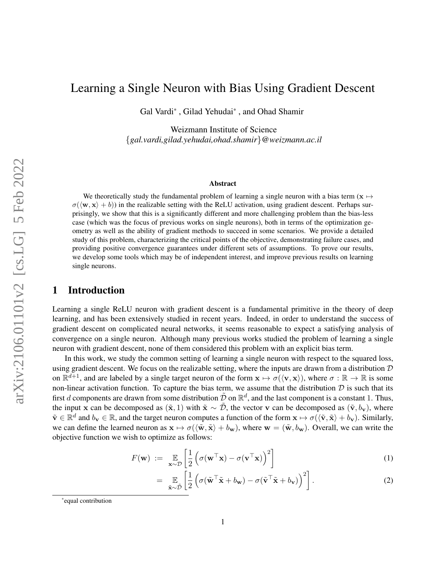# Learning a Single Neuron with Bias Using Gradient Descent

Gal Vardi\* , Gilad Yehudai\* , and Ohad Shamir

Weizmann Institute of Science {*gal.vardi,gilad.yehudai,ohad.shamir*}*@weizmann.ac.il*

#### Abstract

We theoretically study the fundamental problem of learning a single neuron with a bias term ( $x \mapsto$  $\sigma(\langle \mathbf{w}, \mathbf{x} \rangle + b)$ ) in the realizable setting with the ReLU activation, using gradient descent. Perhaps surprisingly, we show that this is a significantly different and more challenging problem than the bias-less case (which was the focus of previous works on single neurons), both in terms of the optimization geometry as well as the ability of gradient methods to succeed in some scenarios. We provide a detailed study of this problem, characterizing the critical points of the objective, demonstrating failure cases, and providing positive convergence guarantees under different sets of assumptions. To prove our results, we develop some tools which may be of independent interest, and improve previous results on learning single neurons.

## 1 Introduction

Learning a single ReLU neuron with gradient descent is a fundamental primitive in the theory of deep learning, and has been extensively studied in recent years. Indeed, in order to understand the success of gradient descent on complicated neural networks, it seems reasonable to expect a satisfying analysis of convergence on a single neuron. Although many previous works studied the problem of learning a single neuron with gradient descent, none of them considered this problem with an explicit bias term.

In this work, we study the common setting of learning a single neuron with respect to the squared loss, using gradient descent. We focus on the realizable setting, where the inputs are drawn from a distribution  $D$ on  $\mathbb{R}^{d+1}$ , and are labeled by a single target neuron of the form  $\mathbf{x} \mapsto \sigma(\langle \mathbf{v}, \mathbf{x} \rangle)$ , where  $\sigma : \mathbb{R} \to \mathbb{R}$  is some non-linear activation function. To capture the bias term, we assume that the distribution  $D$  is such that its first d components are drawn from some distribution  $\tilde{D}$  on  $\mathbb{R}^d$ , and the last component is a constant 1. Thus, the input x can be decomposed as  $(\tilde{\mathbf{x}}, 1)$  with  $\tilde{\mathbf{x}} \sim \tilde{\mathcal{D}}$ , the vector v can be decomposed as  $(\tilde{\mathbf{v}}, b_{\mathbf{v}})$ , where  $\tilde{\mathbf{v}} \in \mathbb{R}^d$  and  $b_{\mathbf{v}} \in \mathbb{R}$ , and the target neuron computes a function of the form  $\mathbf{x} \mapsto \sigma(\langle \tilde{\mathbf{v}}, \tilde{\mathbf{x}} \rangle + b_{\mathbf{v}})$ . Similarly, we can define the learned neuron as  $\mathbf{x} \mapsto \sigma(\langle \tilde{\mathbf{w}}, \tilde{\mathbf{x}} \rangle + b_{\mathbf{w}})$ , where  $\mathbf{w} = (\tilde{\mathbf{w}}, b_{\mathbf{w}})$ . Overall, we can write the objective function we wish to optimize as follows:

$$
F(\mathbf{w}) := \mathop{\mathbb{E}}_{\mathbf{x} \sim \mathcal{D}} \left[ \frac{1}{2} \left( \sigma(\mathbf{w}^\top \mathbf{x}) - \sigma(\mathbf{v}^\top \mathbf{x}) \right)^2 \right]
$$
(1)

<span id="page-0-1"></span><span id="page-0-0"></span>
$$
= \mathop{\mathbb{E}}_{\tilde{\mathbf{x}} \sim \tilde{\mathcal{D}}} \left[ \frac{1}{2} \left( \sigma (\tilde{\mathbf{w}}^\top \tilde{\mathbf{x}} + b_{\mathbf{w}}) - \sigma (\tilde{\mathbf{v}}^\top \tilde{\mathbf{x}} + b_{\mathbf{v}}) \right)^2 \right]. \tag{2}
$$

<sup>\*</sup>equal contribution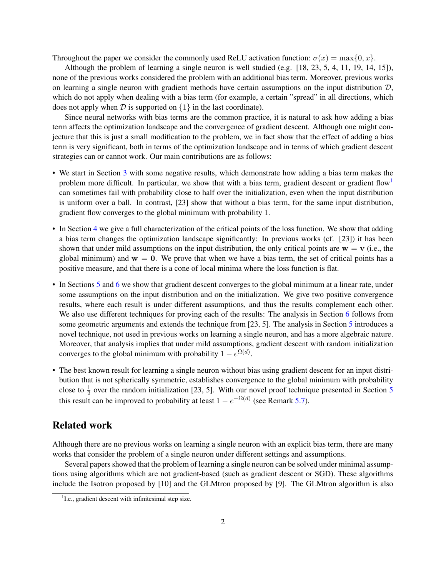Throughout the paper we consider the commonly used ReLU activation function:  $\sigma(x) = \max\{0, x\}$ .

Although the problem of learning a single neuron is well studied (e.g. [\[18,](#page-11-0) [23,](#page-11-1) [5,](#page-10-0) [4,](#page-10-1) [11,](#page-11-2) [19,](#page-11-3) [14,](#page-11-4) [15\]](#page-11-5)), none of the previous works considered the problem with an additional bias term. Moreover, previous works on learning a single neuron with gradient methods have certain assumptions on the input distribution  $D$ , which do not apply when dealing with a bias term (for example, a certain "spread" in all directions, which does not apply when  $D$  is supported on  $\{1\}$  in the last coordinate).

Since neural networks with bias terms are the common practice, it is natural to ask how adding a bias term affects the optimization landscape and the convergence of gradient descent. Although one might conjecture that this is just a small modification to the problem, we in fact show that the effect of adding a bias term is very significant, both in terms of the optimization landscape and in terms of which gradient descent strategies can or cannot work. Our main contributions are as follows:

- We start in Section [3](#page-3-0) with some negative results, which demonstrate how adding a bias term makes the problem more difficult. In particular, we show that with a bias term, gradient descent or gradient flow<sup>[1](#page-1-0)</sup> can sometimes fail with probability close to half over the initialization, even when the input distribution is uniform over a ball. In contrast, [\[23\]](#page-11-1) show that without a bias term, for the same input distribution, gradient flow converges to the global minimum with probability 1.
- In Section [4](#page-4-0) we give a full characterization of the critical points of the loss function. We show that adding a bias term changes the optimization landscape significantly: In previous works (cf. [\[23\]](#page-11-1)) it has been shown that under mild assumptions on the input distribution, the only critical points are  $w = v$  (i.e., the global minimum) and  $w = 0$ . We prove that when we have a bias term, the set of critical points has a positive measure, and that there is a cone of local minima where the loss function is flat.
- In Sections [5](#page-6-0) and [6](#page-8-0) we show that gradient descent converges to the global minimum at a linear rate, under some assumptions on the input distribution and on the initialization. We give two positive convergence results, where each result is under different assumptions, and thus the results complement each other. We also use different techniques for proving each of the results: The analysis in Section [6](#page-8-0) follows from some geometric arguments and extends the technique from [\[23,](#page-11-1) [5\]](#page-10-0). The analysis in Section [5](#page-6-0) introduces a novel technique, not used in previous works on learning a single neuron, and has a more algebraic nature. Moreover, that analysis implies that under mild assumptions, gradient descent with random initialization converges to the global minimum with probability  $1 - e^{\Omega(d)}$ .
- The best known result for learning a single neuron without bias using gradient descent for an input distribution that is not spherically symmetric, establishes convergence to the global minimum with probability close to  $\frac{1}{2}$  over the random initialization [\[23,](#page-11-1) [5\]](#page-10-0). With our novel proof technique presented in Section [5](#page-6-0) this result can be improved to probability at least  $1 - e^{-\Omega(d)}$  (see Remark [5.7\)](#page-8-1).

## Related work

Although there are no previous works on learning a single neuron with an explicit bias term, there are many works that consider the problem of a single neuron under different settings and assumptions.

Several papers showed that the problem of learning a single neuron can be solved under minimal assumptions using algorithms which are not gradient-based (such as gradient descent or SGD). These algorithms include the Isotron proposed by [\[10\]](#page-11-6) and the GLMtron proposed by [\[9\]](#page-10-2). The GLMtron algorithm is also

<span id="page-1-0"></span><sup>&</sup>lt;sup>1</sup>I.e., gradient descent with infinitesimal step size.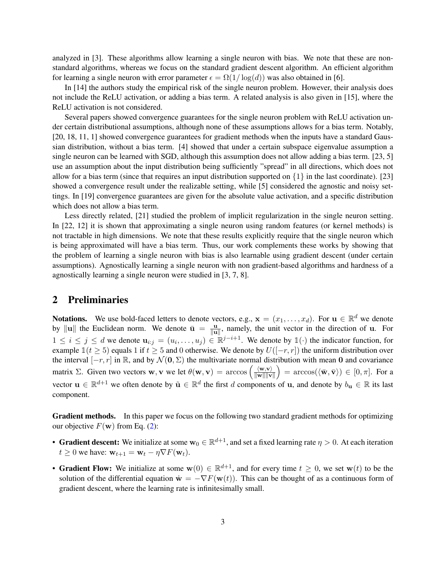analyzed in [\[3\]](#page-10-3). These algorithms allow learning a single neuron with bias. We note that these are nonstandard algorithms, whereas we focus on the standard gradient descent algorithm. An efficient algorithm for learning a single neuron with error parameter  $\epsilon = \Omega(1/\log(d))$  was also obtained in [\[6\]](#page-10-4).

In [\[14\]](#page-11-4) the authors study the empirical risk of the single neuron problem. However, their analysis does not include the ReLU activation, or adding a bias term. A related analysis is also given in [\[15\]](#page-11-5), where the ReLU activation is not considered.

Several papers showed convergence guarantees for the single neuron problem with ReLU activation under certain distributional assumptions, although none of these assumptions allows for a bias term. Notably, [\[20,](#page-11-7) [18,](#page-11-0) [11,](#page-11-2) [1\]](#page-10-5) showed convergence guarantees for gradient methods when the inputs have a standard Gaussian distribution, without a bias term. [\[4\]](#page-10-1) showed that under a certain subspace eigenvalue assumption a single neuron can be learned with SGD, although this assumption does not allow adding a bias term. [\[23,](#page-11-1) [5\]](#page-10-0) use an assumption about the input distribution being sufficiently "spread" in all directions, which does not allow for a bias term (since that requires an input distribution supported on  $\{1\}$  in the last coordinate). [\[23\]](#page-11-1) showed a convergence result under the realizable setting, while [\[5\]](#page-10-0) considered the agnostic and noisy settings. In [\[19\]](#page-11-3) convergence guarantees are given for the absolute value activation, and a specific distribution which does not allow a bias term.

Less directly related, [\[21\]](#page-11-8) studied the problem of implicit regularization in the single neuron setting. In [\[22,](#page-11-9) [12\]](#page-11-10) it is shown that approximating a single neuron using random features (or kernel methods) is not tractable in high dimensions. We note that these results explicitly require that the single neuron which is being approximated will have a bias term. Thus, our work complements these works by showing that the problem of learning a single neuron with bias is also learnable using gradient descent (under certain assumptions). Agnostically learning a single neuron with non gradient-based algorithms and hardness of a agnostically learning a single neuron were studied in [\[3,](#page-10-3) [7,](#page-10-6) [8\]](#page-10-7).

### 2 Preliminaries

**Notations.** We use bold-faced letters to denote vectors, e.g.,  $\mathbf{x} = (x_1, \dots, x_d)$ . For  $\mathbf{u} \in \mathbb{R}^d$  we denote by  $\|\mathbf{u}\|$  the Euclidean norm. We denote  $\bar{\mathbf{u}} = \frac{\mathbf{u}}{\|\mathbf{u}\|}$  $\frac{\mathbf{u}}{\|\mathbf{u}\|}$ , namely, the unit vector in the direction of **u**. For  $1 \leq i \leq j \leq d$  we denote  $\mathbf{u}_{i,j} = (u_i, \ldots, u_j) \in \mathbb{R}^{j-i+1}$ . We denote by  $\mathbb{1}(\cdot)$  the indicator function, for example  $1(t \ge 5)$  equals 1 if  $t \ge 5$  and 0 otherwise. We denote by  $U([-r,r])$  the uniform distribution over the interval  $[-r, r]$  in R, and by  $\mathcal{N}(\mathbf{0}, \Sigma)$  the multivariate normal distribution with mean 0 and covariance matrix  $\Sigma$ . Given two vectors **w**, **v** we let  $\theta(\mathbf{w}, \mathbf{v}) = \arccos \left( \frac{\langle \mathbf{w}, \mathbf{v} \rangle}{\|\mathbf{w}\| \|\mathbf{v}\| \|\mathbf{v}\| \|\mathbf{w}\| \|\mathbf{w}\| \|\mathbf{w}\| \|\mathbf{w}\| \|\mathbf{w}\| \|\mathbf{w}\| \|\mathbf{w}\| \|\mathbf{w}\| \|\mathbf{w}\| \|\mathbf{w}\| \|\mathbf{w}\| \|\mathbf{w}\| \|\mathbf{w}\| \|\mathbf$  $\frac{\langle \mathbf{w}, \mathbf{v} \rangle}{\|\mathbf{w}\| \|\mathbf{v}\|}$  = arccos $(\langle \bar{\mathbf{w}}, \bar{\mathbf{v}} \rangle) \in [0, \pi]$ . For a vector  $\mathbf{u} \in \mathbb{R}^{d+1}$  we often denote by  $\tilde{\mathbf{u}} \in \mathbb{R}^d$  the first d components of  $\mathbf{u}$ , and denote by  $b_{\mathbf{u}} \in \mathbb{R}$  its last component.

Gradient methods. In this paper we focus on the following two standard gradient methods for optimizing our objective  $F(\mathbf{w})$  from Eq. [\(2\)](#page-0-0):

- Gradient descent: We initialize at some  $w_0 \in \mathbb{R}^{d+1}$ , and set a fixed learning rate  $\eta > 0$ . At each iteration  $t \geq 0$  we have:  $\mathbf{w}_{t+1} = \mathbf{w}_t - \eta \nabla F(\mathbf{w}_t)$ .
- Gradient Flow: We initialize at some  $w(0) \in \mathbb{R}^{d+1}$ , and for every time  $t \geq 0$ , we set  $w(t)$  to be the solution of the differential equation  $\dot{\mathbf{w}} = -\nabla F(\mathbf{w}(t))$ . This can be thought of as a continuous form of gradient descent, where the learning rate is infinitesimally small.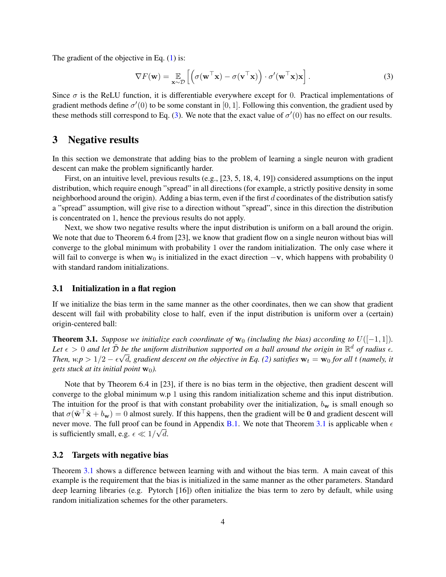The gradient of the objective in Eq.  $(1)$  is:

<span id="page-3-1"></span>
$$
\nabla F(\mathbf{w}) = \mathop{\mathbb{E}}_{\mathbf{x} \sim \mathcal{D}} \left[ \left( \sigma(\mathbf{w}^\top \mathbf{x}) - \sigma(\mathbf{v}^\top \mathbf{x}) \right) \cdot \sigma'(\mathbf{w}^\top \mathbf{x}) \mathbf{x} \right]. \tag{3}
$$

Since  $\sigma$  is the ReLU function, it is differentiable everywhere except for 0. Practical implementations of gradient methods define  $\sigma'(0)$  to be some constant in [0, 1]. Following this convention, the gradient used by these methods still correspond to Eq. [\(3\)](#page-3-1). We note that the exact value of  $\sigma'(0)$  has no effect on our results.

### <span id="page-3-0"></span>3 Negative results

In this section we demonstrate that adding bias to the problem of learning a single neuron with gradient descent can make the problem significantly harder.

First, on an intuitive level, previous results (e.g., [\[23,](#page-11-1) [5,](#page-10-0) [18,](#page-11-0) [4,](#page-10-1) [19\]](#page-11-3)) considered assumptions on the input distribution, which require enough "spread" in all directions (for example, a strictly positive density in some neighborhood around the origin). Adding a bias term, even if the first  $d$  coordinates of the distribution satisfy a "spread" assumption, will give rise to a direction without "spread", since in this direction the distribution is concentrated on 1, hence the previous results do not apply.

Next, we show two negative results where the input distribution is uniform on a ball around the origin. We note that due to Theorem 6.4 from [\[23\]](#page-11-1), we know that gradient flow on a single neuron without bias will converge to the global minimum with probability 1 over the random initialization. The only case where it will fail to converge is when  $w_0$  is initialized in the exact direction  $-v$ , which happens with probability 0 with standard random initializations.

### 3.1 Initialization in a flat region

If we initialize the bias term in the same manner as the other coordinates, then we can show that gradient descent will fail with probability close to half, even if the input distribution is uniform over a (certain) origin-centered ball:

<span id="page-3-2"></span>**Theorem 3.1.** *Suppose we initialize each coordinate of*  $w_0$  *(including the bias) according to*  $U([-1, 1])$ *.* Let  $\epsilon > 0$  and let  $\tilde{\mathcal{D}}$  be the uniform distribution supported on a ball around the origin in  $\mathbb{R}^d$  of radius  $\epsilon$ . *Then, w.p* >  $1/2$  –  $\epsilon \sqrt{d}$ , gradient descent on the objective in Eq. [\(2\)](#page-0-0) satisfies  $w_t = w_0$  for all t (namely, it *gets stuck at its initial point*  $w_0$ *).* 

Note that by Theorem 6.4 in [\[23\]](#page-11-1), if there is no bias term in the objective, then gradient descent will converge to the global minimum w.p 1 using this random initialization scheme and this input distribution. The intuition for the proof is that with constant probability over the initialization,  $b_w$  is small enough so that  $\sigma(\tilde{w}^\top \tilde{x} + b_w) = 0$  almost surely. If this happens, then the gradient will be 0 and gradient descent will never move. The full proof can be found in Appendix [B.1.](#page-16-0) We note that Theorem [3.1](#page-3-2) is applicable when  $\epsilon$ is sufficiently small, e.g.  $\epsilon \ll 1/\sqrt{d}$ .

#### 3.2 Targets with negative bias

Theorem [3.1](#page-3-2) shows a difference between learning with and without the bias term. A main caveat of this example is the requirement that the bias is initialized in the same manner as the other parameters. Standard deep learning libraries (e.g. Pytorch [\[16\]](#page-11-11)) often initialize the bias term to zero by default, while using random initialization schemes for the other parameters.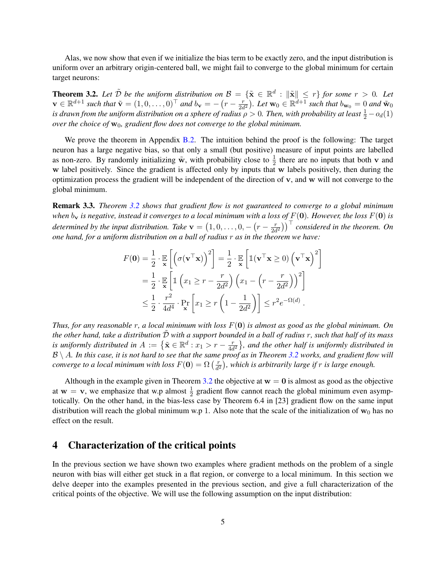Alas, we now show that even if we initialize the bias term to be exactly zero, and the input distribution is uniform over an arbitrary origin-centered ball, we might fail to converge to the global minimum for certain target neurons:

<span id="page-4-1"></span>**Theorem 3.2.** Let  $\tilde{\mathcal{D}}$  be the uniform distribution on  $\mathcal{B} = \{\tilde{\mathbf{x}} \in \mathbb{R}^d : ||\tilde{\mathbf{x}}|| \leq r\}$  for some  $r > 0$ . Let  $\mathbf{v} \in \mathbb{R}^{d+1}$  such that  $\tilde{\mathbf{v}} = (1, 0, \dots, 0)^\top$  and  $b_\mathbf{v} = -(r - \frac{r}{2d})^\top$  $\left(\frac{r}{2d^2}\right)$ . Let  $\mathbf{w}_0 \in \mathbb{R}^{d+1}$  such that  $b_{\mathbf{w}_0} = 0$  and  $\tilde{\mathbf{w}}_0$ *is drawn from the uniform distribution on a sphere of radius*  $\rho > 0$ . Then, with probability at least  $\frac{1}{2} - o_d(1)$ *over the choice of*  $w_0$ *, gradient flow does not converge to the global minimum.* 

We prove the theorem in Appendix [B.2.](#page-17-0) The intuition behind the proof is the following: The target neuron has a large negative bias, so that only a small (but positive) measure of input points are labelled as non-zero. By randomly initializing  $\tilde{\mathbf{w}}$ , with probability close to  $\frac{1}{2}$  there are no inputs that both v and w label positively. Since the gradient is affected only by inputs that w labels positively, then during the optimization process the gradient will be independent of the direction of  $v$ , and  $w$  will not converge to the global minimum.

<span id="page-4-2"></span>Remark 3.3. *Theorem [3.2](#page-4-1) shows that gradient flow is not guaranteed to converge to a global minimum when*  $b_v$  *is negative, instead it converges to a local minimum with a loss of*  $F(0)$ *. However, the loss*  $F(0)$  *is determined by the input distribution. Take*  $v = (1, 0, \ldots, 0, -(r - \frac{r}{2d}))$  $\left(\frac{r}{2d^2}\right)\right)^\top$  considered in the theorem. On *one hand, for a uniform distribution on a ball of radius* r *as in the theorem we have:*

$$
F(\mathbf{0}) = \frac{1}{2} \cdot \mathbb{E}_{\mathbf{x}} \left[ \left( \sigma(\mathbf{v}^\top \mathbf{x}) \right)^2 \right] = \frac{1}{2} \cdot \mathbb{E}_{\mathbf{x}} \left[ \mathbb{1}(\mathbf{v}^\top \mathbf{x} \ge 0) \left( \mathbf{v}^\top \mathbf{x} \right)^2 \right]
$$
  
=  $\frac{1}{2} \cdot \mathbb{E}_{\mathbf{x}} \left[ \mathbb{1} \left( x_1 \ge r - \frac{r}{2d^2} \right) \left( x_1 - \left( r - \frac{r}{2d^2} \right) \right)^2 \right]$   
 $\le \frac{1}{2} \cdot \frac{r^2}{4d^4} \cdot \Pr_{\mathbf{x}} \left[ x_1 \ge r \left( 1 - \frac{1}{2d^2} \right) \right] \le r^2 e^{-\Omega(d)}.$ 

*Thus, for any reasonable* r*, a local minimum with loss* F(0) *is almost as good as the global minimum. On the other hand, take a distribution* D˜ *with a support bounded in a ball of radius* r*, such that half of its mass is uniformly distributed in*  $A := \{ \tilde{\mathbf{x}} \in \mathbb{R}^d : x_1 > r - \frac{r}{4d} \}$  $\frac{r}{4d^2}$ }, and the other half is uniformly distributed in  $B \setminus A$ *. In this case, it is not hard to see that the same proof as in Theorem [3.2](#page-4-1) works, and gradient flow will converge to a local minimum with loss*  $F(\mathbf{0}) = \Omega\left(\frac{r}{d^2}\right)$  $\frac{r}{d^2}$ ), which is arbitrarily large if  $r$  is large enough.

Although in the example given in Theorem [3.2](#page-4-1) the objective at  $w = 0$  is almost as good as the objective at  $w = v$ , we emphasize that w.p almost  $\frac{1}{2}$  gradient flow cannot reach the global minimum even asymptotically. On the other hand, in the bias-less case by Theorem 6.4 in [\[23\]](#page-11-1) gradient flow on the same input distribution will reach the global minimum w.p 1. Also note that the scale of the initialization of  $w_0$  has no effect on the result.

### <span id="page-4-0"></span>4 Characterization of the critical points

In the previous section we have shown two examples where gradient methods on the problem of a single neuron with bias will either get stuck in a flat region, or converge to a local minimum. In this section we delve deeper into the examples presented in the previous section, and give a full characterization of the critical points of the objective. We will use the following assumption on the input distribution: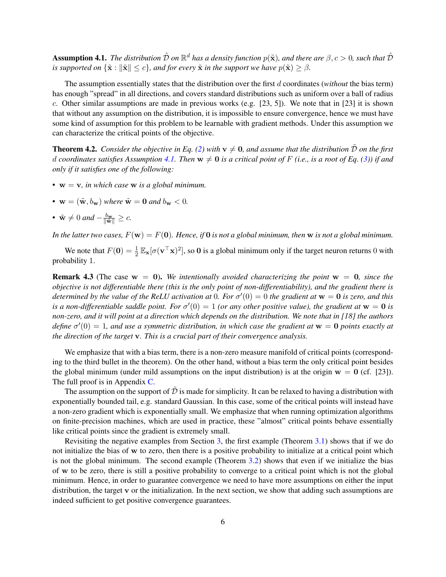<span id="page-5-0"></span>**Assumption 4.1.** The distribution  $\tilde{\mathcal{D}}$  on  $\mathbb{R}^d$  has a density function  $p(\tilde{\mathbf{x}})$ , and there are  $\beta, c > 0$ , such that  $\tilde{\mathcal{D}}$ *is supported on*  $\{\tilde{\mathbf{x}} : \|\tilde{\mathbf{x}}\| \leq c\}$ *, and for every*  $\tilde{\mathbf{x}}$  *in the support we have*  $p(\tilde{\mathbf{x}}) \geq \beta$ *.* 

The assumption essentially states that the distribution over the first d coordinates (*without* the bias term) has enough "spread" in all directions, and covers standard distributions such as uniform over a ball of radius c. Other similar assumptions are made in previous works (e.g. [\[23,](#page-11-1) [5\]](#page-10-0)). We note that in [\[23\]](#page-11-1) it is shown that without any assumption on the distribution, it is impossible to ensure convergence, hence we must have some kind of assumption for this problem to be learnable with gradient methods. Under this assumption we can characterize the critical points of the objective.

<span id="page-5-1"></span>**Theorem 4.2.** *Consider the objective in Eq.* [\(2\)](#page-0-0) with  $v \neq 0$ , and assume that the distribution  $\tilde{\mathcal{D}}$  on the first d coordinates satisfies Assumption [4.1.](#page-5-0) Then  $w \neq 0$  is a critical point of F (i.e., is a root of Eq. [\(3\)](#page-3-1)) if and *only if it satisfies one of the following:*

- w = v*, in which case* w *is a global minimum.*
- $\mathbf{w} = (\tilde{\mathbf{w}}, b_{\mathbf{w}})$  *where*  $\tilde{\mathbf{w}} = \mathbf{0}$  *and*  $b_{\mathbf{w}} < 0$ *.*
- $\tilde{\mathbf{w}} \neq 0$  and  $-\frac{b_{\mathbf{w}}}{\|\tilde{\mathbf{w}}\|} \geq c$ .

*In the latter two cases,*  $F(\mathbf{w}) = F(\mathbf{0})$ . Hence, if **0** *is not a global minimum, then* **w** *is not a global minimum.* 

We note that  $F(\mathbf{0}) = \frac{1}{2} \mathbb{E}_{\mathbf{x}} [\sigma(\mathbf{v}^T \mathbf{x})^2]$ , so **0** is a global minimum only if the target neuron returns 0 with probability 1.

**Remark 4.3** (The case  $w = 0$ ). We intentionally avoided characterizing the point  $w = 0$ , since the *objective is not differentiable there (this is the only point of non-differentiability), and the gradient there is* determined by the value of the ReLU activation at 0. For  $\sigma'(0) = 0$  the gradient at  $w = 0$  is zero, and this *is a non-differentiable saddle point. For*  $\sigma'(0) = 1$  (or any other positive value), the gradient at  $w = 0$  is *non-zero, and it will point at a direction which depends on the distribution. We note that in [\[18\]](#page-11-0) the authors* define  $\sigma'(0) = 1$ , and use a symmetric distribution, in which case the gradient at  $w = 0$  points exactly at *the direction of the target* v*. This is a crucial part of their convergence analysis.*

We emphasize that with a bias term, there is a non-zero measure manifold of critical points (corresponding to the third bullet in the theorem). On the other hand, without a bias term the only critical point besides the global minimum (under mild assumptions on the input distribution) is at the origin  $w = 0$  (cf. [\[23\]](#page-11-1)). The full proof is in Appendix [C.](#page-19-0)

The assumption on the support of  $\tilde{\mathcal{D}}$  is made for simplicity. It can be relaxed to having a distribution with exponentially bounded tail, e.g. standard Gaussian. In this case, some of the critical points will instead have a non-zero gradient which is exponentially small. We emphasize that when running optimization algorithms on finite-precision machines, which are used in practice, these "almost" critical points behave essentially like critical points since the gradient is extremely small.

Revisiting the negative examples from Section [3,](#page-3-0) the first example (Theorem [3.1\)](#page-3-2) shows that if we do not initialize the bias of w to zero, then there is a positive probability to initialize at a critical point which is not the global minimum. The second example (Theorem [3.2\)](#page-4-1) shows that even if we initialize the bias of w to be zero, there is still a positive probability to converge to a critical point which is not the global minimum. Hence, in order to guarantee convergence we need to have more assumptions on either the input distribution, the target v or the initialization. In the next section, we show that adding such assumptions are indeed sufficient to get positive convergence guarantees.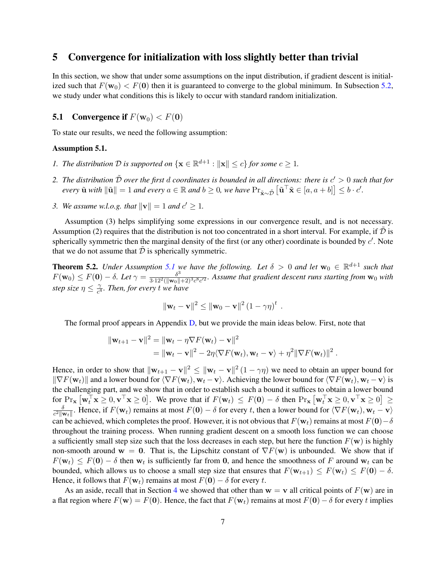### <span id="page-6-0"></span>5 Convergence for initialization with loss slightly better than trivial

In this section, we show that under some assumptions on the input distribution, if gradient descent is initialized such that  $F(\mathbf{w}_0) < F(\mathbf{0})$  then it is guaranteed to converge to the global minimum. In Subsection [5.2,](#page-7-0) we study under what conditions this is likely to occur with standard random initialization.

### **5.1** Convergence if  $F(\mathbf{w}_0) < F(0)$

To state our results, we need the following assumption:

### <span id="page-6-1"></span>Assumption 5.1.

- *1. The distribution*  $D$  *is supported on*  $\{ \mathbf{x} \in \mathbb{R}^{d+1} : ||\mathbf{x}|| \le c \}$  *for some*  $c \ge 1$ *.*
- 2. The distribution  $\tilde{D}$  over the first  $d$  coordinates is bounded in all directions: there is  $c' > 0$  such that for  $\ell$  *every*  $\tilde{\mathbf{u}}$  *with*  $\|\tilde{\mathbf{u}}\| = 1$  *and every*  $a \in \mathbb{R}$  *and*  $b \geq 0$ *, we have*  $\Pr_{\tilde{\mathbf{x}} \sim \tilde{\mathcal{D}}} [\tilde{\mathbf{u}}^{\top} \tilde{\mathbf{x}} \in [a, a + b]] \leq b \cdot c'.$
- *3.* We assume w.l.o.g. that  $||{\bf v}|| = 1$  and  $c' \ge 1$ .

Assumption (3) helps simplifying some expressions in our convergence result, and is not necessary. Assumption (2) requires that the distribution is not too concentrated in a short interval. For example, if  $\tilde{\mathcal{D}}$  is spherically symmetric then the marginal density of the first (or any other) coordinate is bounded by  $c'$ . Note that we do not assume that  $D$  is spherically symmetric.

<span id="page-6-2"></span>**Theorem 5.2.** *Under Assumption [5.1](#page-6-1) we have the following. Let*  $\delta > 0$  *and let*  $\mathbf{w}_0 \in \mathbb{R}^{d+1}$  *such that*  $F(\mathbf{w}_0) \leq F(\mathbf{0}) - \delta$ . Let  $\gamma = \frac{\delta^3}{3 \cdot 12^2 (\|\mathbf{w}_0\|)}$  $\frac{\delta^3}{3 \cdot 12^2 (\|\mathbf{w}_0 \| + 2)^3 c^8 c^{\prime 2}}$ . Assume that gradient descent runs starting from  $\mathbf{w}_0$  with *step size*  $\eta \leq \frac{\gamma}{c^4}$  $\frac{\gamma}{c^4}$ *. Then, for every* t we have

$$
\|\mathbf{w}_t-\mathbf{v}\|^2 \leq \|\mathbf{w}_0-\mathbf{v}\|^2 (1-\gamma\eta)^t.
$$

The formal proof appears in Appendix [D,](#page-20-0) but we provide the main ideas below. First, note that

$$
\|\mathbf{w}_{t+1} - \mathbf{v}\|^2 = \|\mathbf{w}_t - \eta \nabla F(\mathbf{w}_t) - \mathbf{v}\|^2
$$
  
= 
$$
\|\mathbf{w}_t - \mathbf{v}\|^2 - 2\eta \langle \nabla F(\mathbf{w}_t), \mathbf{w}_t - \mathbf{v} \rangle + \eta^2 \|\nabla F(\mathbf{w}_t)\|^2.
$$

Hence, in order to show that  $\|\mathbf{w}_{t+1} - \mathbf{v}\|^2 \leq \|\mathbf{w}_t - \mathbf{v}\|^2 (1 - \gamma \eta)$  we need to obtain an upper bound for  $\|\nabla F(\mathbf{w}_t)\|$  and a lower bound for  $\langle \nabla F(\mathbf{w}_t), \mathbf{w}_t - \mathbf{v} \rangle$ . Achieving the lower bound for  $\langle \nabla F(\mathbf{w}_t), \mathbf{w}_t - \mathbf{v} \rangle$  is the challenging part, and we show that in order to establish such a bound it suffices to obtain a lower bound for  $\Pr_{\mathbf{x}} [\mathbf{w}_t^{\top} \mathbf{x} \ge 0, \mathbf{v}^{\top} \mathbf{x} \ge 0]$ . We prove that if  $F(\mathbf{w}_t) \le F(\mathbf{0}) - \delta$  then  $\Pr_{\mathbf{x}} [\mathbf{w}_t^{\top} \mathbf{x} \ge 0, \mathbf{v}^{\top} \mathbf{x} \ge 0] \ge$ δ  $\frac{\delta}{c^2\|\mathbf{w}_t\|}$ . Hence, if  $F(\mathbf{w}_t)$  remains at most  $F(\mathbf{0}) - \delta$  for every t, then a lower bound for  $\langle \nabla F(\mathbf{w}_t), \mathbf{w}_t - \mathbf{v} \rangle$ can be achieved, which completes the proof. However, it is not obvious that  $F(\mathbf{w}_t)$  remains at most  $F(\mathbf{0})-\delta$ throughout the training process. When running gradient descent on a smooth loss function we can choose a sufficiently small step size such that the loss decreases in each step, but here the function  $F(\mathbf{w})$  is highly non-smooth around  $w = 0$ . That is, the Lipschitz constant of  $\nabla F(w)$  is unbounded. We show that if  $F(\mathbf{w}_t) \leq F(\mathbf{0}) - \delta$  then  $\mathbf{w}_t$  is sufficiently far from 0, and hence the smoothness of F around  $\mathbf{w}_t$  can be bounded, which allows us to choose a small step size that ensures that  $F(\mathbf{w}_{t+1}) \leq F(\mathbf{w}_t) \leq F(\mathbf{0}) - \delta$ . Hence, it follows that  $F(\mathbf{w}_t)$  remains at most  $F(\mathbf{0}) - \delta$  for every t.

As an aside, recall that in Section [4](#page-4-0) we showed that other than  $w = v$  all critical points of  $F(w)$  are in a flat region where  $F(\mathbf{w}) = F(\mathbf{0})$ . Hence, the fact that  $F(\mathbf{w}_t)$  remains at most  $F(\mathbf{0}) - \delta$  for every t implies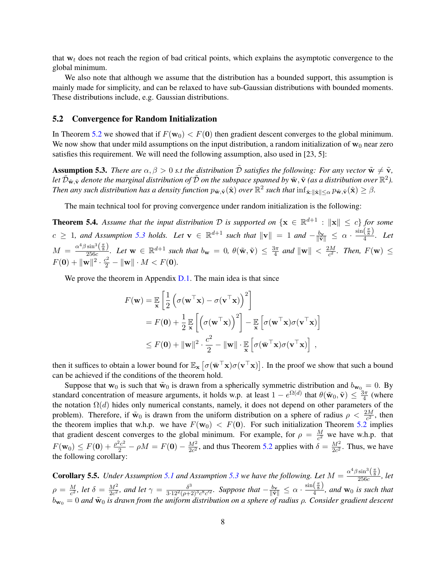that  $w_t$  does not reach the region of bad critical points, which explains the asymptotic convergence to the global minimum.

We also note that although we assume that the distribution has a bounded support, this assumption is mainly made for simplicity, and can be relaxed to have sub-Gaussian distributions with bounded moments. These distributions include, e.g. Gaussian distributions.

#### <span id="page-7-0"></span>5.2 Convergence for Random Initialization

In Theorem [5.2](#page-6-2) we showed that if  $F(\mathbf{w}_0) < F(\mathbf{0})$  then gradient descent converges to the global minimum. We now show that under mild assumptions on the input distribution, a random initialization of  $w_0$  near zero satisfies this requirement. We will need the following assumption, also used in [\[23,](#page-11-1) [5\]](#page-10-0):

<span id="page-7-1"></span>**Assumption 5.3.** *There are*  $\alpha, \beta > 0$  *s.t the distribution*  $\tilde{D}$  *satisfies the following: For any vector*  $\tilde{w} \neq \tilde{v}$ *,* let  $\tilde{\cal D}_{\tilde{\bf w},\tilde{\bf v}}$  denote the marginal distribution of  $\tilde{\cal D}$  on the subspace spanned by  $\tilde{\bf w},\tilde{\bf v}$  (as a distribution over  $\mathbb{R}^2$ ). *Then any such distribution has a density function*  $p_{\tilde{\mathbf{w}},\tilde{\mathbf{v}}}(\hat{\mathbf{x}})$  *over*  $\mathbb{R}^2$  *such that*  $\inf_{\hat{\mathbf{x}}:\|\hat{\mathbf{x}}\|\leq\alpha} p_{\tilde{\mathbf{w}},\tilde{\mathbf{v}}}(\hat{\mathbf{x}}) \geq \beta$ .

The main technical tool for proving convergence under random initialization is the following:

<span id="page-7-2"></span>**Theorem 5.4.** Assume that the input distribution D is supported on  $\{x \in \mathbb{R}^{d+1} : ||x|| \le c\}$  for some  $c \geq 1$ , and Assumption [5.3](#page-7-1) holds. Let  $\mathbf{v} \in \mathbb{R}^{d+1}$  such that  $\|\mathbf{v}\| = 1$  and  $-\frac{b_{\mathbf{v}}}{\|\tilde{\mathbf{v}}\|} \leq \alpha \cdot \frac{\sin(\frac{\pi}{8})}{4}$  $\frac{\binom{8}{3}}{4}$ . Let  $M = \frac{\alpha^4 \beta \sin^3\left(\frac{\pi}{8}\right)}{256c}$  $\frac{\sin^{\circ}(\frac{\alpha}{8})}{256c}$ *. Let*  $\mathbf{w} \in \mathbb{R}^{d+1}$  *such that*  $b_{\mathbf{w}} = 0$ *,*  $\theta(\tilde{\mathbf{w}}, \tilde{\mathbf{v}}) \leq \frac{3\pi}{4}$  $rac{3\pi}{4}$  and  $\|\mathbf{w}\| < \frac{2M}{c^2}$  $\frac{2M}{c^2}$ . Then,  $F(\mathbf{w}) \leq$  $F(\mathbf{0}) + ||\mathbf{w}||^2 \cdot \frac{c^2}{2} - ||\mathbf{w}|| \cdot M < F(\mathbf{0}).$ 

We prove the theorem in Appendix [D.1.](#page-26-0) The main idea is that since

$$
F(\mathbf{w}) = \mathbb{E}_{\mathbf{x}} \left[ \frac{1}{2} \left( \sigma(\mathbf{w}^{\top} \mathbf{x}) - \sigma(\mathbf{v}^{\top} \mathbf{x}) \right)^{2} \right]
$$
  
=  $F(\mathbf{0}) + \frac{1}{2} \mathbb{E}_{\mathbf{x}} \left[ \left( \sigma(\mathbf{w}^{\top} \mathbf{x}) \right)^{2} \right] - \mathbb{E}_{\mathbf{x}} \left[ \sigma(\mathbf{w}^{\top} \mathbf{x}) \sigma(\mathbf{v}^{\top} \mathbf{x}) \right]$   

$$
\leq F(\mathbf{0}) + ||\mathbf{w}||^{2} \cdot \frac{c^{2}}{2} - ||\mathbf{w}|| \cdot \mathbb{E}_{\mathbf{x}} \left[ \sigma(\mathbf{w}^{\top} \mathbf{x}) \sigma(\mathbf{v}^{\top} \mathbf{x}) \right],
$$

then it suffices to obtain a lower bound for  $\mathbb{E}_x \left[ \sigma(\bar{\mathbf{w}}^T \mathbf{x}) \sigma(\mathbf{v}^T \mathbf{x}) \right]$ . In the proof we show that such a bound can be achieved if the conditions of the theorem hold.

Suppose that  $w_0$  is such that  $\tilde{w}_0$  is drawn from a spherically symmetric distribution and  $b_{w_0} = 0$ . By standard concentration of measure arguments, it holds w.p. at least  $1-e^{\Omega(d)}$  that  $\theta(\tilde{\mathbf{w}}_0, \tilde{\mathbf{v}}) \leq \frac{3\pi}{4}$  $rac{3\pi}{4}$  (where the notation  $\Omega(d)$  hides only numerical constants, namely, it does not depend on other parameters of the problem). Therefore, if  $\tilde{w}_0$  is drawn from the uniform distribution on a sphere of radius  $\rho < \frac{2M}{c^2}$ , then the theorem implies that w.h.p. we have  $F(\mathbf{w}_0) < F(\mathbf{0})$ . For such initialization Theorem [5.2](#page-6-2) implies that gradient descent converges to the global minimum. For example, for  $\rho = \frac{M}{c^2}$  $\frac{M}{c^2}$  we have w.h.p. that  $F(\mathbf{w}_0) \leq F(\mathbf{0}) + \frac{\rho^2 c^2}{2} - \rho M = F(\mathbf{0}) - \frac{M^2}{2c^2}$  $\frac{M^2}{2c^2}$ , and thus Theorem [5.2](#page-6-2) applies with  $\delta = \frac{M^2}{2c^2}$  $\frac{M^2}{2c^2}$ . Thus, we have the following corollary:

<span id="page-7-3"></span>**Corollary 5.5.** *Under Assumption [5.1](#page-6-1) and Assumption [5.3](#page-7-1) we have the following. Let*  $M = \frac{\alpha^4 \beta \sin^3(\frac{\pi}{8})}{256c}$  $rac{\sin(\sqrt{8})}{256c}$ , let  $\rho = \frac{M}{c^2}$  $\frac{M}{c^2}$ , let  $\delta = \frac{M^2}{2c^2}$  $\frac{M^2}{2c^2}$ , and let  $\gamma = \frac{\delta^3}{3 \cdot 12^2(\rho + 2)}$  $rac{\delta^3}{3 \cdot 12^2(\rho+2)^3 c^8 c'^2}$ *. Suppose that*  $-\frac{b_v}{\|\vec{v}\|} \leq \alpha \cdot \frac{\sin(\frac{\pi}{8})}{4}$  $\frac{\sqrt{8}}{4}$ , and  $w_0$  is such that  $b_{\mathbf{w}_0} = 0$  and  $\tilde{\mathbf{w}}_0$  is drawn from the uniform distribution on a sphere of radius  $\rho$ . Consider gradient descent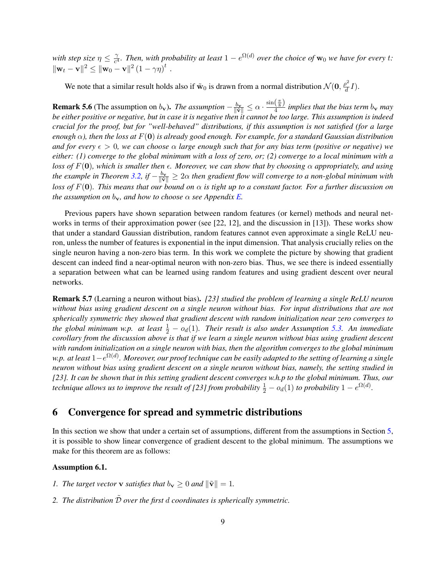with step size  $\eta \leq \frac{\gamma}{c^4}$  $\frac{\gamma}{c^4}$ . Then, with probability at least  $1 - e^{\Omega(d)}$  over the choice of  $w_0$  we have for every t:  $\|\mathbf{w}_t - \mathbf{v}\|^2 \leq \|\mathbf{w}_0 - \mathbf{v}\|^2 (1 - \gamma \eta)^t$ .

We note that a similar result holds also if  $\tilde{w}_0$  is drawn from a normal distribution  $\mathcal{N}(0, \frac{\rho^2}{d})$  $\frac{\partial^2}{\partial d}I$ ).

**Remark 5.6** (The assumption on  $b_v$ ). *The assumption*  $-\frac{b_v}{\|\vec{v}\|} \le \alpha \cdot \frac{\sin(\frac{\pi}{8})}{4}$  $\frac{\sqrt{8}}{4}$  *implies that the bias term*  $b_v$  *may be either positive or negative, but in case it is negative then it cannot be too large. This assumption is indeed crucial for the proof, but for "well-behaved" distributions, if this assumption is not satisfied (for a large enough*  $\alpha$ *), then the loss at*  $F(\mathbf{0})$  *is already good enough. For example, for a standard Gaussian distribution and for every*  $\epsilon > 0$ , we can choose  $\alpha$  *large enough such that for any bias term (positive or negative)* we *either: (1) converge to the global minimum with a loss of zero, or; (2) converge to a local minimum with a loss of*  $F(0)$ *, which is smaller then*  $\epsilon$ *. Moreover, we can show that by choosing*  $\alpha$  *appropriately, and using the example in Theorem [3.2,](#page-4-1) if*  $-\frac{b_v}{\|\tilde{\mathbf{v}}\|} \geq 2\alpha$  *then gradient flow will converge to a non-global minimum with loss of*  $F(0)$ *. This means that our bound on*  $\alpha$  *is tight up to a constant factor. For a further discussion on the assumption on*  $b_v$ *, and how to choose*  $\alpha$  *see Appendix E.* 

Previous papers have shown separation between random features (or kernel) methods and neural net-works in terms of their approximation power (see [\[22,](#page-11-9) [12\]](#page-11-10), and the discussion in [\[13\]](#page-11-12)). These works show that under a standard Gaussian distribution, random features cannot even approximate a single ReLU neuron, unless the number of features is exponential in the input dimension. That analysis crucially relies on the single neuron having a non-zero bias term. In this work we complete the picture by showing that gradient descent can indeed find a near-optimal neuron with non-zero bias. Thus, we see there is indeed essentially a separation between what can be learned using random features and using gradient descent over neural networks.

<span id="page-8-1"></span>Remark 5.7 (Learning a neuron without bias). *[\[23\]](#page-11-1) studied the problem of learning a single ReLU neuron without bias using gradient descent on a single neuron without bias. For input distributions that are not spherically symmetric they showed that gradient descent with random initialization near zero converges to* the global minimum w.p. at least  $\frac{1}{2} - o_d(1)$ . Their result is also under Assumption [5.3.](#page-7-1) An immediate *corollary from the discussion above is that if we learn a single neuron without bias using gradient descent with random initialization on a single neuron with bias, then the algorithm converges to the global minimum w.p. at least* 1−e Ω(d) *. Moreover, our proof technique can be easily adapted to the setting of learning a single neuron without bias using gradient descent on a single neuron without bias, namely, the setting studied in [\[23\]](#page-11-1). It can be shown that in this setting gradient descent converges w.h.p to the global minimum. Thus, our technique allows us to improve the result of [\[23\]](#page-11-1) from probability*  $\frac{1}{2} - o_d(1)$  *to probability*  $1 - e^{\Omega(d)}$ *.* 

### <span id="page-8-0"></span>6 Convergence for spread and symmetric distributions

In this section we show that under a certain set of assumptions, different from the assumptions in Section [5,](#page-6-0) it is possible to show linear convergence of gradient descent to the global minimum. The assumptions we make for this theorem are as follows:

#### <span id="page-8-2"></span>Assumption 6.1.

- *1. The target vector* **v** *satisfies that*  $b_v \geq 0$  *and*  $\|\tilde{\mathbf{v}}\| = 1$ *.*
- 2. The distribution  $\tilde{\mathcal{D}}$  *over the first* d *coordinates is spherically symmetric.*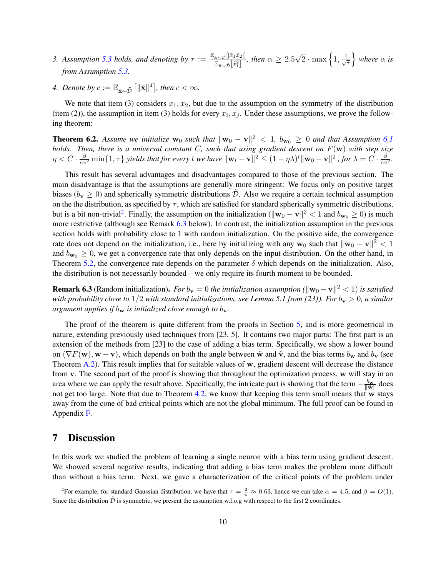- *3. Assumption [5.3](#page-7-1) holds, and denoting by*  $\tau := \frac{\mathbb{E}_{\tilde{\mathbf{x}} \sim \tilde{\mathcal{D}}} [|\tilde{x}_1 \tilde{x}_2|]}{\mathbb{E}_{\tilde{\mathcal{D}}} [|\tilde{x}_1 \rangle]}$  $\frac{\tilde{\mathbf{x}} \sim \tilde{\mathcal{D}}\left[\tilde{x}_1^2\right]}{\mathbb{E}_{\tilde{\mathbf{x}} \sim \tilde{\mathcal{D}}}[\tilde{x}_1^2]}$ , then  $\alpha \geq 2.5$  $\sqrt{2} \cdot \max\left\{1, \frac{1}{\sqrt{2}}\right\}$ τ  $\}$  where  $\alpha$  *is from Assumption [5.3.](#page-7-1)*
- *4. Denote by*  $c := \mathbb{E}_{\tilde{\mathbf{x}} \sim \tilde{\mathcal{D}}} \left[ \|\tilde{\mathbf{x}}\|^4 \right]$ , then  $c < \infty$ .

We note that item (3) considers  $x_1, x_2$ , but due to the assumption on the symmetry of the distribution (item (2)), the assumption in item (3) holds for every  $x_i, x_j$ . Under these assumptions, we prove the following theorem:

<span id="page-9-2"></span>**Theorem 6.2.** Assume we initialize  $w_0$  such that  $||w_0 - v||^2 < 1$ ,  $b_{w_0} \ge 0$  and that Assumption [6.1](#page-8-2) *holds. Then, there is a universal constant* C*, such that using gradient descent on* F(w) *with step size*  $\eta < C \cdot \frac{\beta}{c \alpha^2} \min\{1, \tau\}$  yields that for every t we have  $\|\mathbf{w}_t - \mathbf{v}\|^2 \leq (1 - \eta \lambda)^t \|\mathbf{w}_0 - \mathbf{v}\|^2$  , for  $\lambda = C \cdot \frac{\beta}{c \alpha^2}$ .

This result has several advantages and disadvantages compared to those of the previous section. The main disadvantage is that the assumptions are generally more stringent: We focus only on positive target biases ( $b_v \ge 0$ ) and spherically symmetric distributions D. Also we require a certain technical assumption on the the distribution, as specified by  $\tau$ , which are satisfied for standard spherically symmetric distributions, but is a bit non-trivial<sup>[2](#page-9-0)</sup>. Finally, the assumption on the initialization ( $\|\mathbf{w}_0 - \mathbf{v}\|^2 < 1$  and  $b_{\mathbf{w}_0} \ge 0$ ) is much more restrictive (although see Remark [6.3](#page-9-1) below). In contrast, the initialization assumption in the previous section holds with probability close to 1 with random initialization. On the positive side, the convergence rate does not depend on the initialization, i.e., here by initializing with any  $w_0$  such that  $\|w_0 - v\|^2 < 1$ and  $b_{\mathbf{w}_0} \geq 0$ , we get a convergence rate that only depends on the input distribution. On the other hand, in Theorem [5.2,](#page-6-2) the convergence rate depends on the parameter  $\delta$  which depends on the initialization. Also, the distribution is not necessarily bounded – we only require its fourth moment to be bounded.

<span id="page-9-1"></span>**Remark 6.3** (Random initialization). *For*  $b_v = 0$  *the initialization assumption* ( $\|\mathbf{w}_0 - \mathbf{v}\|^2 < 1$ ) *is satisfied with probability close to*  $1/2$  *with standard initializations, see Lemma 5.1 from [\[23\]](#page-11-1)). For*  $b_v > 0$ *, a similar argument applies if*  $b_w$  *is initialized close enough to*  $b_v$ .

The proof of the theorem is quite different from the proofs in Section [5,](#page-6-0) and is more geometrical in nature, extending previously used techniques from [\[23,](#page-11-1) [5\]](#page-10-0). It contains two major parts: The first part is an extension of the methods from [\[23\]](#page-11-1) to the case of adding a bias term. Specifically, we show a lower bound on  $\langle \nabla F(\mathbf{w}), \mathbf{w} - \mathbf{v} \rangle$ , which depends on both the angle between  $\tilde{\mathbf{w}}$  and  $\tilde{\mathbf{v}}$ , and the bias terms  $b_{\mathbf{w}}$  and  $b_{\mathbf{v}}$  (see Theorem [A.2\)](#page-12-0). This result implies that for suitable values of w, gradient descent will decrease the distance from v. The second part of the proof is showing that throughout the optimization process, w will stay in an area where we can apply the result above. Specifically, the intricate part is showing that the term  $-\frac{b_w}{\|\tilde{\mathbf{w}}\|}$  does not get too large. Note that due to Theorem [4.2,](#page-5-1) we know that keeping this term small means that w stays away from the cone of bad critical points which are not the global minimum. The full proof can be found in Appendix [F.](#page-29-1)

## 7 Discussion

In this work we studied the problem of learning a single neuron with a bias term using gradient descent. We showed several negative results, indicating that adding a bias term makes the problem more difficult than without a bias term. Next, we gave a characterization of the critical points of the problem under

<span id="page-9-0"></span><sup>&</sup>lt;sup>2</sup>For example, for standard Gaussian distribution, we have that  $\tau = \frac{2}{\pi} \approx 0.63$ , hence we can take  $\alpha = 4.5$ , and  $\beta = O(1)$ . Since the distribution  $\tilde{D}$  is symmetric, we present the assumption w.l.o.g with respect to the first 2 coordinates.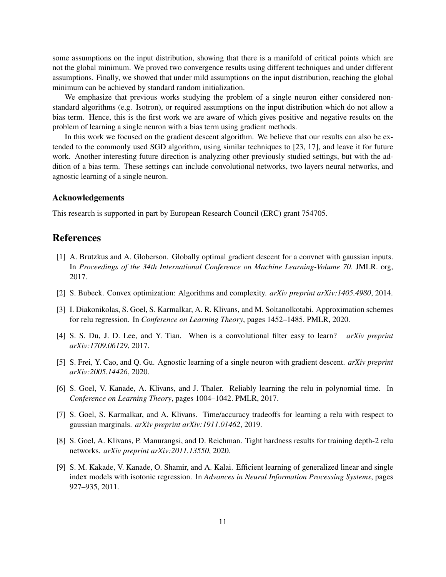some assumptions on the input distribution, showing that there is a manifold of critical points which are not the global minimum. We proved two convergence results using different techniques and under different assumptions. Finally, we showed that under mild assumptions on the input distribution, reaching the global minimum can be achieved by standard random initialization.

We emphasize that previous works studying the problem of a single neuron either considered nonstandard algorithms (e.g. Isotron), or required assumptions on the input distribution which do not allow a bias term. Hence, this is the first work we are aware of which gives positive and negative results on the problem of learning a single neuron with a bias term using gradient methods.

In this work we focused on the gradient descent algorithm. We believe that our results can also be extended to the commonly used SGD algorithm, using similar techniques to [\[23,](#page-11-1) [17\]](#page-11-13), and leave it for future work. Another interesting future direction is analyzing other previously studied settings, but with the addition of a bias term. These settings can include convolutional networks, two layers neural networks, and agnostic learning of a single neuron.

### Acknowledgements

This research is supported in part by European Research Council (ERC) grant 754705.

## References

- <span id="page-10-5"></span>[1] A. Brutzkus and A. Globerson. Globally optimal gradient descent for a convnet with gaussian inputs. In *Proceedings of the 34th International Conference on Machine Learning-Volume 70*. JMLR. org, 2017.
- <span id="page-10-8"></span>[2] S. Bubeck. Convex optimization: Algorithms and complexity. *arXiv preprint arXiv:1405.4980*, 2014.
- <span id="page-10-3"></span>[3] I. Diakonikolas, S. Goel, S. Karmalkar, A. R. Klivans, and M. Soltanolkotabi. Approximation schemes for relu regression. In *Conference on Learning Theory*, pages 1452–1485. PMLR, 2020.
- <span id="page-10-1"></span>[4] S. S. Du, J. D. Lee, and Y. Tian. When is a convolutional filter easy to learn? *arXiv preprint arXiv:1709.06129*, 2017.
- <span id="page-10-0"></span>[5] S. Frei, Y. Cao, and Q. Gu. Agnostic learning of a single neuron with gradient descent. *arXiv preprint arXiv:2005.14426*, 2020.
- <span id="page-10-4"></span>[6] S. Goel, V. Kanade, A. Klivans, and J. Thaler. Reliably learning the relu in polynomial time. In *Conference on Learning Theory*, pages 1004–1042. PMLR, 2017.
- <span id="page-10-6"></span>[7] S. Goel, S. Karmalkar, and A. Klivans. Time/accuracy tradeoffs for learning a relu with respect to gaussian marginals. *arXiv preprint arXiv:1911.01462*, 2019.
- <span id="page-10-7"></span>[8] S. Goel, A. Klivans, P. Manurangsi, and D. Reichman. Tight hardness results for training depth-2 relu networks. *arXiv preprint arXiv:2011.13550*, 2020.
- <span id="page-10-2"></span>[9] S. M. Kakade, V. Kanade, O. Shamir, and A. Kalai. Efficient learning of generalized linear and single index models with isotonic regression. In *Advances in Neural Information Processing Systems*, pages 927–935, 2011.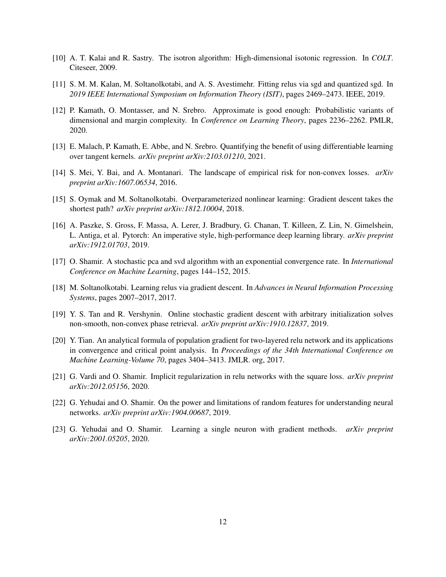- <span id="page-11-6"></span>[10] A. T. Kalai and R. Sastry. The isotron algorithm: High-dimensional isotonic regression. In *COLT*. Citeseer, 2009.
- <span id="page-11-2"></span>[11] S. M. M. Kalan, M. Soltanolkotabi, and A. S. Avestimehr. Fitting relus via sgd and quantized sgd. In *2019 IEEE International Symposium on Information Theory (ISIT)*, pages 2469–2473. IEEE, 2019.
- <span id="page-11-10"></span>[12] P. Kamath, O. Montasser, and N. Srebro. Approximate is good enough: Probabilistic variants of dimensional and margin complexity. In *Conference on Learning Theory*, pages 2236–2262. PMLR, 2020.
- <span id="page-11-12"></span>[13] E. Malach, P. Kamath, E. Abbe, and N. Srebro. Quantifying the benefit of using differentiable learning over tangent kernels. *arXiv preprint arXiv:2103.01210*, 2021.
- <span id="page-11-4"></span>[14] S. Mei, Y. Bai, and A. Montanari. The landscape of empirical risk for non-convex losses. *arXiv preprint arXiv:1607.06534*, 2016.
- <span id="page-11-5"></span>[15] S. Oymak and M. Soltanolkotabi. Overparameterized nonlinear learning: Gradient descent takes the shortest path? *arXiv preprint arXiv:1812.10004*, 2018.
- <span id="page-11-11"></span>[16] A. Paszke, S. Gross, F. Massa, A. Lerer, J. Bradbury, G. Chanan, T. Killeen, Z. Lin, N. Gimelshein, L. Antiga, et al. Pytorch: An imperative style, high-performance deep learning library. *arXiv preprint arXiv:1912.01703*, 2019.
- <span id="page-11-13"></span>[17] O. Shamir. A stochastic pca and svd algorithm with an exponential convergence rate. In *International Conference on Machine Learning*, pages 144–152, 2015.
- <span id="page-11-0"></span>[18] M. Soltanolkotabi. Learning relus via gradient descent. In *Advances in Neural Information Processing Systems*, pages 2007–2017, 2017.
- <span id="page-11-3"></span>[19] Y. S. Tan and R. Vershynin. Online stochastic gradient descent with arbitrary initialization solves non-smooth, non-convex phase retrieval. *arXiv preprint arXiv:1910.12837*, 2019.
- <span id="page-11-7"></span>[20] Y. Tian. An analytical formula of population gradient for two-layered relu network and its applications in convergence and critical point analysis. In *Proceedings of the 34th International Conference on Machine Learning-Volume 70*, pages 3404–3413. JMLR. org, 2017.
- <span id="page-11-8"></span>[21] G. Vardi and O. Shamir. Implicit regularization in relu networks with the square loss. *arXiv preprint arXiv:2012.05156*, 2020.
- <span id="page-11-9"></span>[22] G. Yehudai and O. Shamir. On the power and limitations of random features for understanding neural networks. *arXiv preprint arXiv:1904.00687*, 2019.
- <span id="page-11-1"></span>[23] G. Yehudai and O. Shamir. Learning a single neuron with gradient methods. *arXiv preprint arXiv:2001.05205*, 2020.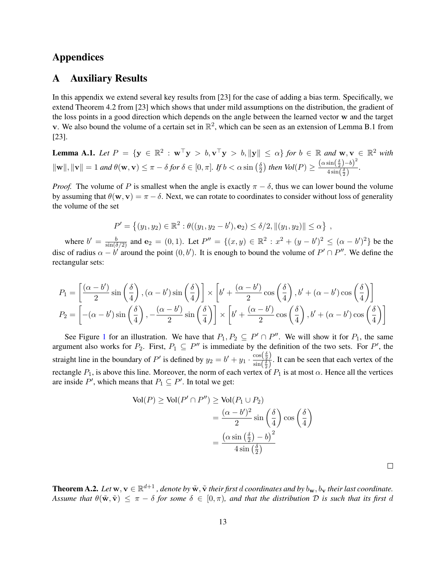## Appendices

## A Auxiliary Results

In this appendix we extend several key results from [\[23\]](#page-11-1) for the case of adding a bias term. Specifically, we extend Theorem 4.2 from [\[23\]](#page-11-1) which shows that under mild assumptions on the distribution, the gradient of the loss points in a good direction which depends on the angle between the learned vector w and the target v. We also bound the volume of a certain set in  $\mathbb{R}^2$ , which can be seen as an extension of Lemma B.1 from [\[23\]](#page-11-1).

<span id="page-12-1"></span>**Lemma A.1.** Let 
$$
P = \{ \mathbf{y} \in \mathbb{R}^2 : \mathbf{w}^\top \mathbf{y} > b, \mathbf{v}^\top \mathbf{y} > b, \|\mathbf{y}\| \leq \alpha \}
$$
 for  $b \in \mathbb{R}$  and  $\mathbf{w}, \mathbf{v} \in \mathbb{R}^2$  with  $\|\mathbf{w}\|, \|\mathbf{v}\| = 1$  and  $\theta(\mathbf{w}, \mathbf{v}) \leq \pi - \delta$  for  $\delta \in [0, \pi]$ . If  $b < \alpha \sin\left(\frac{\delta}{2}\right)$  then  $Vol(P) \geq \frac{(\alpha \sin\left(\frac{\delta}{2}\right) - b)^2}{4 \sin\left(\frac{\delta}{2}\right)}$ .

*Proof.* The volume of P is smallest when the angle is exactly  $\pi - \delta$ , thus we can lower bound the volume by assuming that  $\theta(\mathbf{w}, \mathbf{v}) = \pi - \delta$ . Next, we can rotate to coordinates to consider without loss of generality the volume of the set

$$
P' = \{(y_1, y_2) \in \mathbb{R}^2 : \theta((y_1, y_2 - b'), \mathbf{e}_2) \le \delta/2, \|(y_1, y_2)\| \le \alpha\},\
$$

where  $b' = \frac{b}{\sin(\delta/2)}$  and  $e_2 = (0, 1)$ . Let  $P'' = \{(x, y) \in \mathbb{R}^2 : x^2 + (y - b')^2 \leq (\alpha - b')^2\}$  be the disc of radius  $\alpha - b'$  around the point  $(0, b')$ . It is enough to bound the volume of  $P' \cap P''$ . We define the rectangular sets:

$$
P_1 = \left[\frac{(\alpha - b')}{2}\sin\left(\frac{\delta}{4}\right), (\alpha - b')\sin\left(\frac{\delta}{4}\right)\right] \times \left[b' + \frac{(\alpha - b')}{2}\cos\left(\frac{\delta}{4}\right), b' + (\alpha - b')\cos\left(\frac{\delta}{4}\right)\right]
$$
  

$$
P_2 = \left[-(\alpha - b')\sin\left(\frac{\delta}{4}\right), -\frac{(\alpha - b')}{2}\sin\left(\frac{\delta}{4}\right)\right] \times \left[b' + \frac{(\alpha - b')}{2}\cos\left(\frac{\delta}{4}\right), b' + (\alpha - b')\cos\left(\frac{\delta}{4}\right)\right]
$$

See Figure [1](#page-13-0) for an illustration. We have that  $P_1, P_2 \subseteq P' \cap P''$ . We will show it for  $P_1$ , the same argument also works for  $P_2$ . First,  $P_1 \subseteq P''$  is immediate by the definition of the two sets. For P', the straight line in the boundary of P' is defined by  $y_2 = b' + y_1 \cdot \frac{\cos(\frac{\delta}{2})}{\sin(\frac{\delta}{2})}$  $\frac{\cos(\frac{2}{2})}{\sin(\frac{\delta}{2})}$ . It can be seen that each vertex of the rectangle  $P_1$ , is above this line. Moreover, the norm of each vertex of  $P_1$  is at most  $\alpha$ . Hence all the vertices are inside P', which means that  $P_1 \subseteq P'$ . In total we get:

$$
\text{Vol}(P) \ge \text{Vol}(P' \cap P'') \ge \text{Vol}(P_1 \cup P_2)
$$
  
= 
$$
\frac{(\alpha - b')^2}{2} \sin\left(\frac{\delta}{4}\right) \cos\left(\frac{\delta}{4}\right)
$$
  
= 
$$
\frac{(\alpha \sin\left(\frac{\delta}{2}\right) - b)^2}{4 \sin\left(\frac{\delta}{2}\right)}
$$

<span id="page-12-0"></span>**Theorem A.2.** Let  $w, v \in \mathbb{R}^{d+1}$  , denote by  $\tilde{w}, \tilde{v}$  their first d coordinates and by  $b_w, b_v$  their last coordinate. *Assume that*  $\theta(\tilde{\mathbf{w}}, \tilde{\mathbf{v}}) \leq \pi - \delta$  *for some*  $\delta \in [0, \pi)$ *, and that the distribution* D *is such that its first d* 

 $\Box$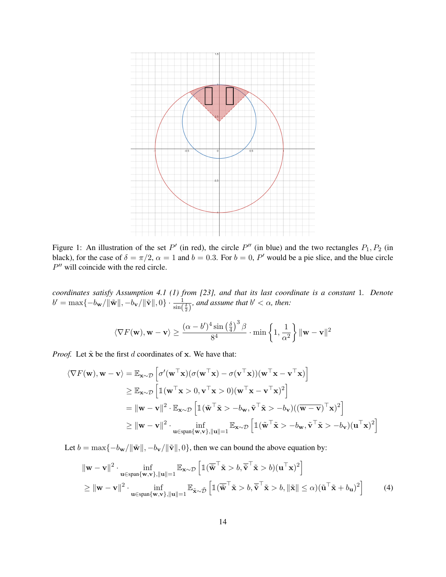<span id="page-13-0"></span>

Figure 1: An illustration of the set P' (in red), the circle P'' (in blue) and the two rectangles  $P_1, P_2$  (in black), for the case of  $\delta = \pi/2$ ,  $\alpha = 1$  and  $b = 0.3$ . For  $b = 0$ , P' would be a pie slice, and the blue circle  $P''$  will coincide with the red circle.

*coordinates satisfy Assumption 4.1 (1) from [\[23\]](#page-11-1), and that its last coordinate is a constant* 1*. Denote*  $b' = \max\{-b_{\mathbf{w}}/\|\tilde{\mathbf{w}}\|, -b_{\mathbf{v}}/\|\tilde{\mathbf{v}}\|, 0\} \cdot \frac{1}{\sin(\frac{\delta}{2})}$ , and assume that  $b' < \alpha$ , then:

$$
\langle \nabla F(\mathbf{w}), \mathbf{w} - \mathbf{v} \rangle \geq \frac{(\alpha - b')^4 \sin \left( \frac{\delta}{4} \right)^3 \beta}{8^4} \cdot \min \left\{ 1, \frac{1}{\alpha^2} \right\} \|\mathbf{w} - \mathbf{v}\|^2
$$

*Proof.* Let  $\tilde{\mathbf{x}}$  be the first d coordinates of x. We have that:

$$
\langle \nabla F(\mathbf{w}), \mathbf{w} - \mathbf{v} \rangle = \mathbb{E}_{\mathbf{x} \sim \mathcal{D}} \left[ \sigma'(\mathbf{w}^\top \mathbf{x}) (\sigma(\mathbf{w}^\top \mathbf{x}) - \sigma(\mathbf{v}^\top \mathbf{x})) (\mathbf{w}^\top \mathbf{x} - \mathbf{v}^\top \mathbf{x}) \right]
$$
  
\n
$$
\geq \mathbb{E}_{\mathbf{x} \sim \mathcal{D}} \left[ \mathbb{1} (\mathbf{w}^\top \mathbf{x} > 0, \mathbf{v}^\top \mathbf{x} > 0) (\mathbf{w}^\top \mathbf{x} - \mathbf{v}^\top \mathbf{x})^2 \right]
$$
  
\n
$$
= ||\mathbf{w} - \mathbf{v}||^2 \cdot \mathbb{E}_{\mathbf{x} \sim \mathcal{D}} \left[ \mathbb{1} (\tilde{\mathbf{w}}^\top \tilde{\mathbf{x}} > -b_{\mathbf{w}}, \tilde{\mathbf{v}}^\top \tilde{\mathbf{x}} > -b_{\mathbf{v}}) ((\overline{\mathbf{w} - \mathbf{v}})^\top \mathbf{x})^2 \right]
$$
  
\n
$$
\geq ||\mathbf{w} - \mathbf{v}||^2 \cdot \inf_{\mathbf{u} \in \text{span}\{\mathbf{w}, \mathbf{v}\}, ||\mathbf{u}|| = 1} \mathbb{E}_{\mathbf{x} \sim \mathcal{D}} \left[ \mathbb{1} (\tilde{\mathbf{w}}^\top \tilde{\mathbf{x}} > -b_{\mathbf{w}}, \tilde{\mathbf{v}}^\top \tilde{\mathbf{x}} > -b_{\mathbf{v}}) (\mathbf{u}^\top \mathbf{x})^2 \right]
$$

Let  $b = \max\{-b_w/\Vert \tilde{\mathbf{w}} \Vert, -b_v/\Vert \tilde{\mathbf{v}} \Vert, 0\}$ , then we can bound the above equation by:

<span id="page-13-1"></span>
$$
\|\mathbf{w} - \mathbf{v}\|^2 \cdot \inf_{\mathbf{u} \in \text{span}\{\mathbf{w}, \mathbf{v}\}, \|\mathbf{u}\| = 1} \mathbb{E}_{\mathbf{x} \sim \mathcal{D}} \left[ \mathbb{1} (\overline{\tilde{\mathbf{w}}}^\top \tilde{\mathbf{x}} > b, \overline{\tilde{\mathbf{v}}}^\top \tilde{\mathbf{x}} > b) (\mathbf{u}^\top \mathbf{x})^2 \right] \geq \|\mathbf{w} - \mathbf{v}\|^2 \cdot \inf_{\mathbf{u} \in \text{span}\{\mathbf{w}, \mathbf{v}\}, \|\mathbf{u}\| = 1} \mathbb{E}_{\tilde{\mathbf{x}} \sim \tilde{\mathcal{D}}} \left[ \mathbb{1} (\overline{\tilde{\mathbf{w}}}^\top \tilde{\mathbf{x}} > b, \overline{\tilde{\mathbf{v}}}^\top \tilde{\mathbf{x}} > b, \|\tilde{\mathbf{x}}\| \leq \alpha) (\tilde{\mathbf{u}}^\top \tilde{\mathbf{x}} + b_{\mathbf{u}})^2 \right]
$$
(4)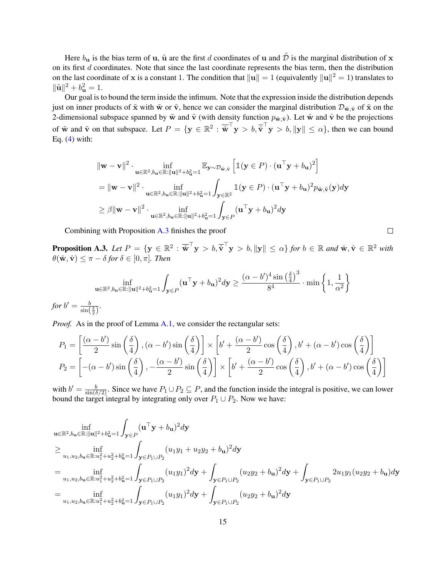Here  $b_{\bf u}$  is the bias term of **u**,  $\tilde{\bf u}$  are the first d coordinates of **u** and  $\tilde{\bf D}$  is the marginal distribution of **x** on its first  $d$  coordinates. Note that since the last coordinate represents the bias term, then the distribution on the last coordinate of x is a constant 1. The condition that  $\|\mathbf{u}\| = 1$  (equivalently  $\|\mathbf{u}\|^2 = 1$ ) translates to  $\|\tilde{\mathbf{u}}\|^2 + b_{\mathbf{u}}^2 = 1.$ 

Our goal is to bound the term inside the infimum. Note that the expression inside the distribution depends just on inner products of  $\tilde{\mathbf{x}}$  with  $\tilde{\mathbf{w}}$  or  $\tilde{\mathbf{v}}$ , hence we can consider the marginal distribution  $\mathcal{D}_{\tilde{\mathbf{w}},\tilde{\mathbf{v}}}$  of  $\tilde{\mathbf{x}}$  on the 2-dimensional subspace spanned by  $\tilde{\mathbf{w}}$  and  $\tilde{\mathbf{v}}$  (with density function  $p_{\tilde{\mathbf{w}}, \tilde{\mathbf{v}}}$ ). Let  $\hat{\mathbf{w}}$  and  $\hat{\mathbf{v}}$  be the projections of  $\tilde{\mathbf{w}}$  and  $\tilde{\mathbf{v}}$  on that subspace. Let  $P = \{ \mathbf{y} \in \mathbb{R}^2 : \overline{\hat{\mathbf{w}}}^\top \mathbf{y} > b, \overline{\hat{\mathbf{v}}}^\top \mathbf{y} > b, \|\mathbf{y}\| \leq \alpha \},$  then we can bound Eq.  $(4)$  with:

$$
\|\mathbf{w} - \mathbf{v}\|^2 \cdot \inf_{\mathbf{u} \in \mathbb{R}^2, b_{\mathbf{u}} \in \mathbb{R}: \|\mathbf{u}\|^2 + b_{\mathbf{u}}^2 = 1} \mathbb{E}_{\mathbf{y} \sim \mathcal{D}_{\tilde{\mathbf{w}}, \tilde{\mathbf{v}}}} \left[ \mathbb{1}(\mathbf{y} \in P) \cdot (\mathbf{u}^\top \mathbf{y} + b_{\mathbf{u}})^2 \right]
$$
  
\n
$$
= \|\mathbf{w} - \mathbf{v}\|^2 \cdot \inf_{\mathbf{u} \in \mathbb{R}^2, b_{\mathbf{u}} \in \mathbb{R}: \|\mathbf{u}\|^2 + b_{\mathbf{u}}^2 = 1} \int_{\mathbf{y} \in \mathbb{R}^2} \mathbb{1}(\mathbf{y} \in P) \cdot (\mathbf{u}^\top \mathbf{y} + b_{\mathbf{u}})^2 p_{\tilde{\mathbf{w}}, \tilde{\mathbf{v}}}(\mathbf{y}) d\mathbf{y}
$$
  
\n
$$
\geq \beta \|\mathbf{w} - \mathbf{v}\|^2 \cdot \inf_{\mathbf{u} \in \mathbb{R}^2, b_{\mathbf{u}} \in \mathbb{R}: \|\mathbf{u}\|^2 + b_{\mathbf{u}}^2 = 1} \int_{\mathbf{y} \in P} (\mathbf{u}^\top \mathbf{y} + b_{\mathbf{u}})^2 d\mathbf{y}
$$

Combining with Proposition [A.3](#page-14-0) finishes the proof

<span id="page-14-0"></span> $\bf{Proposition \; A.3.} \ \ \textit{Let} \ \ P \ = \ \{ \mathbf{y} \ \in \ \mathbb{R}^2 \ : \ \overline{\hat{\mathbf{w}}}^\top \mathbf{y} \ > \ b, \overline{\hat{\mathbf{v}}}^\top \mathbf{y} \ > \ b, \| \mathbf{y} \| \ \leq \ \alpha \} \ \textit{for} \ \ b \ \in \ \mathbb{R} \ \textit{and} \ \hat{\mathbf{w}}, \hat{\mathbf{v}} \ \in \ \mathbb{R}^2 \ \textit{with} \ \ \overline{\hat{\mathbf{v}}} \ = \ \hat{\mathbf{v}} \ = \ \hat{\mathbf{v}} \ = \ \hat{\mathbf$  $\theta(\hat{\mathbf{w}}, \hat{\mathbf{v}}) \leq \pi - \delta$  for  $\delta \in [0, \pi]$ *. Then* 

 $\Box$ 

$$
\inf_{\mathbf{u}\in\mathbb{R}^2,b_{\mathbf{u}}\in\mathbb{R}:\|\mathbf{u}\|^2+b_{\mathbf{u}}^2=1}\int_{\mathbf{y}\in P}(\mathbf{u}^\top\mathbf{y}+b_{\mathbf{u}})^2d\mathbf{y}\geq \frac{(\alpha-b')^4\sin\left(\frac{\delta}{4}\right)^3}{8^4}\cdot\min\left\{1,\frac{1}{\alpha^2}\right\}
$$
\nfor  $b'=\frac{b}{\sin\left(\frac{\delta}{2}\right)}$ .

*Proof.* As in the proof of Lemma [A.1,](#page-12-1) we consider the rectangular sets:

$$
P_1 = \left[\frac{(\alpha - b')}{2}\sin\left(\frac{\delta}{4}\right), (\alpha - b')\sin\left(\frac{\delta}{4}\right)\right] \times \left[b' + \frac{(\alpha - b')}{2}\cos\left(\frac{\delta}{4}\right), b' + (\alpha - b')\cos\left(\frac{\delta}{4}\right)\right]
$$
  

$$
P_2 = \left[-(\alpha - b')\sin\left(\frac{\delta}{4}\right), -\frac{(\alpha - b')}{2}\sin\left(\frac{\delta}{4}\right)\right] \times \left[b' + \frac{(\alpha - b')}{2}\cos\left(\frac{\delta}{4}\right), b' + (\alpha - b')\cos\left(\frac{\delta}{4}\right)\right]
$$

with  $b' = \frac{b}{\sin(\delta/2)}$ . Since we have  $P_1 \cup P_2 \subseteq P$ , and the function inside the integral is positive, we can lower bound the target integral by integrating only over  $P_1 \cup P_2$ . Now we have:

$$
\inf_{\mathbf{u}\in\mathbb{R}^{2},b_{\mathbf{u}}\in\mathbb{R}:\|\mathbf{u}\|^{2}+b_{\mathbf{u}}^{2}=1}\int_{\mathbf{y}\in P}(\mathbf{u}^{\top}\mathbf{y}+b_{\mathbf{u}})^{2}d\mathbf{y}
$$
\n
$$
\geq \inf_{u_{1},u_{2},b_{\mathbf{u}}\in\mathbb{R}:u_{1}^{2}+u_{2}^{2}+b_{\mathbf{u}}^{2}=1}\int_{\mathbf{y}\in P_{1}\cup P_{2}}(u_{1}y_{1}+u_{2}y_{2}+b_{\mathbf{u}})^{2}d\mathbf{y}
$$
\n
$$
=\inf_{u_{1},u_{2},b_{\mathbf{u}}\in\mathbb{R}:u_{1}^{2}+u_{2}^{2}+b_{\mathbf{u}}^{2}=1}\int_{\mathbf{y}\in P_{1}\cup P_{2}}(u_{1}y_{1})^{2}d\mathbf{y}+\int_{\mathbf{y}\in P_{1}\cup P_{2}}(u_{2}y_{2}+b_{\mathbf{u}})^{2}d\mathbf{y}+\int_{\mathbf{y}\in P_{1}\cup P_{2}}2u_{1}y_{1}(u_{2}y_{2}+b_{\mathbf{u}})d\mathbf{y}
$$
\n
$$
=\inf_{u_{1},u_{2},b_{\mathbf{u}}\in\mathbb{R}:u_{1}^{2}+u_{2}^{2}+b_{\mathbf{u}}^{2}=1}\int_{\mathbf{y}\in P_{1}\cup P_{2}}(u_{1}y_{1})^{2}d\mathbf{y}+\int_{\mathbf{y}\in P_{1}\cup P_{2}}(u_{2}y_{2}+b_{\mathbf{u}})^{2}d\mathbf{y}
$$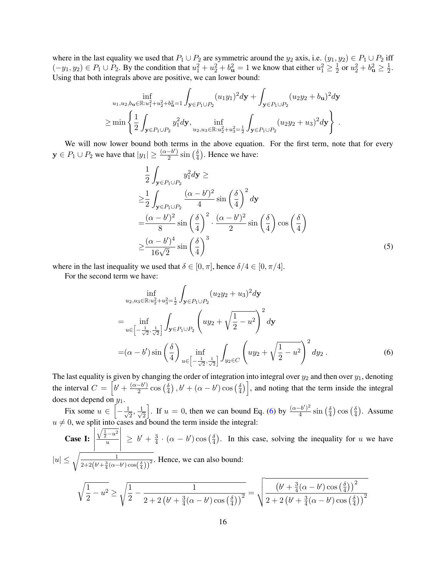where in the last equality we used that  $P_1 \cup P_2$  are symmetric around the  $y_2$  axis, i.e.  $(y_1, y_2) \in P_1 \cup P_2$  iff  $(-y_1, y_2) \in P_1 \cup P_2$ . By the condition that  $u_1^2 + u_2^2 + b_u^2 = 1$  we know that either  $u_1^2 \ge \frac{1}{2}$  $\frac{1}{2}$  or  $u_2^2 + b_{\mathbf{u}}^2 \ge \frac{1}{2}$  $\frac{1}{2}$ . Using that both integrals above are positive, we can lower bound:

$$
\inf_{u_1, u_2, b_{\mathbf{u}} \in \mathbb{R}: u_1^2 + u_2^2 + b_{\mathbf{u}}^2 = 1} \int_{\mathbf{y} \in P_1 \cup P_2} (u_1 y_1)^2 d\mathbf{y} + \int_{\mathbf{y} \in P_1 \cup P_2} (u_2 y_2 + b_{\mathbf{u}})^2 d\mathbf{y}
$$
\n
$$
\geq \min \left\{ \frac{1}{2} \int_{\mathbf{y} \in P_1 \cup P_2} y_1^2 d\mathbf{y}, \inf_{u_2, u_3 \in \mathbb{R}: u_2^2 + u_3^2 = \frac{1}{2}} \int_{\mathbf{y} \in P_1 \cup P_2} (u_2 y_2 + u_3)^2 d\mathbf{y} \right\}.
$$

We will now lower bound both terms in the above equation. For the first term, note that for every  $y \in P_1 \cup P_2$  we have that  $|y_1| \geq \frac{(\alpha - b')}{2}$  $\frac{-b^{\prime })}{2}\sin \left( \frac{\delta }{4}\right)$  $\frac{\delta}{4}$ ). Hence we have:

<span id="page-15-1"></span>
$$
\frac{1}{2} \int_{\mathbf{y} \in P_1 \cup P_2} y_1^2 d\mathbf{y} \ge
$$
\n
$$
\ge \frac{1}{2} \int_{\mathbf{y} \in P_1 \cup P_2} \frac{(\alpha - b')^2}{4} \sin\left(\frac{\delta}{4}\right)^2 d\mathbf{y}
$$
\n
$$
= \frac{(\alpha - b')^2}{8} \sin\left(\frac{\delta}{4}\right)^2 \cdot \frac{(\alpha - b')^2}{2} \sin\left(\frac{\delta}{4}\right) \cos\left(\frac{\delta}{4}\right)
$$
\n
$$
\ge \frac{(\alpha - b')^4}{16\sqrt{2}} \sin\left(\frac{\delta}{4}\right)^3 \tag{5}
$$

where in the last inequality we used that  $\delta \in [0, \pi]$ , hence  $\delta/4 \in [0, \pi/4]$ .

For the second term we have:

<span id="page-15-0"></span>
$$
\inf_{u_2, u_3 \in \mathbb{R}: u_2^2 + u_3^2 = \frac{1}{2}} \int_{\mathbf{y} \in P_1 \cup P_2} (u_2 y_2 + u_3)^2 d\mathbf{y}
$$
\n
$$
= \inf_{u \in \left[-\frac{1}{\sqrt{2}}, \frac{1}{\sqrt{2}}\right]} \int_{\mathbf{y} \in P_1 \cup P_2} \left(u y_2 + \sqrt{\frac{1}{2} - u^2}\right)^2 d\mathbf{y}
$$
\n
$$
= (\alpha - b') \sin\left(\frac{\delta}{4}\right) \inf_{u \in \left[-\frac{1}{\sqrt{2}}, \frac{1}{\sqrt{2}}\right]} \int_{y_2 \in C} \left(u y_2 + \sqrt{\frac{1}{2} - u^2}\right)^2 d y_2.
$$
\n(6)

The last equality is given by changing the order of integration into integral over  $y_2$  and then over  $y_1$ , denoting the interval  $C = \left[ b' + \frac{(\alpha - b')}{2} \right]$  $\frac{-b^{\prime }}{2}\cos \left( \frac{\delta }{4}\right)$  $\left(\frac{\delta}{4}\right), b'+(\alpha-b')\cos\left(\frac{\delta}{4}\right)$  $\left(\frac{\delta}{4}\right)$ , and noting that the term inside the integral does not depend on  $y_1$ .

Fix some  $u \in \left[-\frac{1}{\sqrt{2}}\right]$  $\frac{1}{2}, \frac{1}{\sqrt{2}}$ 2 . If  $u = 0$ , then we can bound Eq. [\(6\)](#page-15-0) by  $\frac{(\alpha - b')^2}{4}$  $\frac{(-b')^2}{4}$  sin  $\left(\frac{\delta}{4}\right)$  $\frac{\delta}{4}$ )  $\cos\left(\frac{\delta}{4}\right)$  $\frac{\delta}{4}$ ). Assume  $u \neq 0$ , we split into cases and bound the term inside the integral:

Case I:  $\begin{array}{c} \hline \end{array}$  $\overline{\phantom{a}}$  $\sqrt{\frac{1}{2} - u^2}$ u  $\begin{array}{c} \begin{array}{c} \begin{array}{c} \end{array} \\ \begin{array}{c} \end{array} \end{array} \end{array}$  $\geq b' + \frac{3}{4}$  $\frac{3}{4} \cdot (\alpha - b') \cos \left( \frac{\delta}{4} \right)$  $\frac{\delta}{4}$ ). In this case, solving the inequality for u we have  $|u| \leq \sqrt{\frac{1}{2\sqrt{(\frac{1}{2}+2\sqrt{(\frac{1}{2}+3\sqrt{(\frac{1}{2}+3\sqrt{(\frac{1}{2}+3\sqrt{(\frac{1}{2}+3\sqrt{(\frac{1}{2}+3\sqrt{(\frac{1}{2}+3\sqrt{(\frac{1}{2}+3\sqrt{(\frac{1}{2}+3\sqrt{(\frac{1}{2}+3\sqrt{(\frac{1}{2}+3\sqrt{(\frac{1}{2}+3\sqrt{(\frac{1}{2}+3\sqrt{(\frac{1}{2}+3\sqrt{(\frac{1}{2}+3\sqrt{(\frac{1}{2}+3\sqrt{(\frac{1}{2}+3\sqrt$  $\frac{1}{2+2(b'+\frac{3}{4}(\alpha-b')\cos(\frac{\delta}{4}))^2}$ . Hence, we can also bound: <sup>1</sup> 1 s 1 1  $\left($ b  $^{\prime}$  +  $\overline{3}$ 4  $(\alpha - b)$  $\prime)$  cos ( δ 4  $)\big)^2$ 

$$
\sqrt{\frac{1}{2} - u^2} \ge \sqrt{\frac{1}{2} - \frac{1}{2 + 2\left(b' + \frac{3}{4}(\alpha - b')\cos\left(\frac{\delta}{4}\right)\right)^2}} = \sqrt{\frac{\left(b' + \frac{3}{4}(\alpha - b')\cos\left(\frac{\delta}{4}\right)\right)^2}{2 + 2\left(b' + \frac{3}{4}(\alpha - b')\cos\left(\frac{\delta}{4}\right)\right)^2}}
$$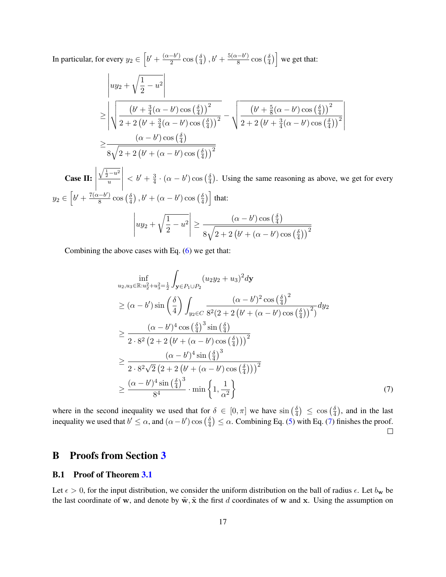In particular, for every  $y_2 \in \left[b' + \frac{(\alpha - b')}{2}\right]$  $\frac{-b'}{2}$  cos  $\left(\frac{\delta}{4}\right)$  $\frac{\delta}{4}$ ),  $b' + \frac{5(\alpha - b')}{8}$  $\frac{(-b')}{8}$  cos  $\left(\frac{\delta}{4}\right)$  $\left(\frac{\delta}{4}\right)$  we get that:

$$
\left| u y_2 + \sqrt{\frac{1}{2} - u^2} \right|
$$
\n
$$
\geq \left| \sqrt{\frac{(b' + \frac{3}{4}(\alpha - b') \cos(\frac{\delta}{4}))^2}{2 + 2(b' + \frac{3}{4}(\alpha - b') \cos(\frac{\delta}{4}))^2}} - \sqrt{\frac{(b' + \frac{5}{8}(\alpha - b') \cos(\frac{\delta}{4}))^2}{2 + 2(b' + \frac{3}{4}(\alpha - b') \cos(\frac{\delta}{4}))^2}} \right|
$$
\n
$$
\geq \frac{(\alpha - b') \cos(\frac{\delta}{4})}{8\sqrt{2 + 2(b' + (\alpha - b') \cos(\frac{\delta}{4}))^2}}
$$
\nis in the same reasoning as above, we get

\n
$$
\frac{\sqrt{\frac{1}{2} - u^2}}{u} < b' + \frac{3}{4} \cdot (\alpha - b') \cos(\frac{\delta}{4}).
$$

Cas  $\overline{u}$ 4 4 et for every  $y_2 \in \left[b' + \frac{7(\alpha - b')}{8}\right]$  $\frac{(-b')}{8}$  cos  $\left(\frac{\delta}{4}\right)$  $\left(\frac{\delta}{4}\right), b'+(\alpha-b')\cos\left(\frac{\delta}{4}\right)$  $\left(\frac{\delta}{4}\right)$  that:  $\begin{array}{c} \hline \end{array}$  $uy_2 +$  $\sqrt{1}$  $\frac{1}{2} - u^2$  $\geq \frac{(\alpha - b') \cos \left(\frac{\delta}{4}\right)}{2}$  $\frac{\delta}{4}$  $8\sqrt{2+2\left(b'+(\alpha-b')\cos\left(\frac{\delta}{4}\right)\right)}$  $\frac{\delta}{4})\big)^2$ 

Combining the above cases with Eq.  $(6)$  we get that:

<span id="page-16-1"></span>
$$
\inf_{u_2, u_3 \in \mathbb{R}: u_2^2 + u_3^2 = \frac{1}{2}} \int_{\mathbf{y} \in P_1 \cup P_2} (u_2 y_2 + u_3)^2 d\mathbf{y}
$$
\n
$$
\geq (\alpha - b') \sin\left(\frac{\delta}{4}\right) \int_{y_2 \in C} \frac{(\alpha - b')^2 \cos\left(\frac{\delta}{4}\right)^2}{8^2 (2 + 2 \left(b' + (\alpha - b') \cos\left(\frac{\delta}{4}\right)\right)^2)} d y_2
$$
\n
$$
\geq \frac{(\alpha - b')^4 \cos\left(\frac{\delta}{4}\right)^3 \sin\left(\frac{\delta}{4}\right)}{2 \cdot 8^2 (2 + 2 \left(b' + (\alpha - b') \cos\left(\frac{\delta}{4}\right)\right))^2}
$$
\n
$$
\geq \frac{(\alpha - b')^4 \sin\left(\frac{\delta}{4}\right)^3}{2 \cdot 8^2 \sqrt{2} (2 + 2 \left(b' + (\alpha - b') \cos\left(\frac{\delta}{4}\right)\right))^2}
$$
\n
$$
\geq \frac{(\alpha - b')^4 \sin\left(\frac{\delta}{4}\right)^3}{8^4} \cdot \min\left\{1, \frac{1}{\alpha^2}\right\} \tag{7}
$$

where in the second inequality we used that for  $\delta \in [0, \pi]$  we have  $\sin(\frac{\delta}{4})$  $\frac{\delta}{4}) \leq \cos\left(\frac{\delta}{4}\right)$  $\frac{\delta}{4}$ ), and in the last inequality we used that  $b' \leq \alpha$ , and  $(\alpha - b') \cos(\frac{\delta}{4})$  $\frac{\delta}{4}$ )  $\leq \alpha$ . Combining Eq. [\(5\)](#page-15-1) with Eq. [\(7\)](#page-16-1) finishes the proof.  $\Box$ 

## B Proofs from Section [3](#page-3-0)

### <span id="page-16-0"></span>B.1 Proof of Theorem [3.1](#page-3-2)

Let  $\epsilon > 0$ , for the input distribution, we consider the uniform distribution on the ball of radius  $\epsilon$ . Let  $b_w$  be the last coordinate of w, and denote by  $\tilde{w}$ ,  $\tilde{x}$  the first d coordinates of w and x. Using the assumption on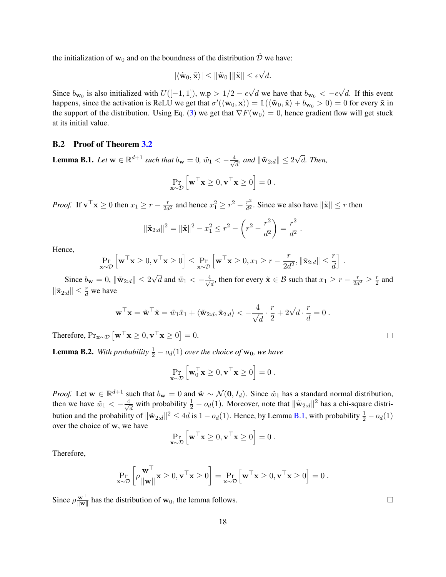the initialization of  $w_0$  and on the boundness of the distribution  $\tilde{\mathcal{D}}$  we have:

$$
|\langle \tilde{\mathbf{w}}_0, \tilde{\mathbf{x}} \rangle| \leq \|\tilde{\mathbf{w}}_0\| \|\tilde{\mathbf{x}}\| \leq \epsilon \sqrt{d}.
$$

Since  $b_{\mathbf{w}_0}$  is also initialized with  $U([-1, 1])$ , w.p >  $1/2 - \epsilon$ √ d we have that  $b_{\mathbf{w}_0} < -\epsilon$ √ d. If this event happens, since the activation is ReLU we get that  $\sigma'(\langle \mathbf{w}_0, \mathbf{x} \rangle) = \mathbb{1}(\langle \tilde{\mathbf{w}}_0, \tilde{\mathbf{x}} \rangle + b_{\mathbf{w}_0} > 0) = 0$  for every  $\tilde{\mathbf{x}}$  in the support of the distribution. Using Eq. [\(3\)](#page-3-1) we get that  $\nabla F(\mathbf{w}_0) = 0$ , hence gradient flow will get stuck at its initial value.

### <span id="page-17-0"></span>B.2 Proof of Theorem [3.2](#page-4-1)

<span id="page-17-1"></span>**Lemma B.1.** Let  $\mathbf{w} \in \mathbb{R}^{d+1}$  such that  $b_{\mathbf{w}} = 0$ ,  $\tilde{w}_1 < -\frac{4}{\sqrt{d}}$  $\frac{d}{d}$ , and  $\|\tilde{\mathbf{w}}_{2:d}\| \leq 2$ √ d*. Then,*

$$
\Pr_{\mathbf{x} \sim \mathcal{D}} \left[ \mathbf{w}^\top \mathbf{x} \geq 0, \mathbf{v}^\top \mathbf{x} \geq 0 \right] = 0.
$$

*Proof.* If  $\mathbf{v}^\top \mathbf{x} \geq 0$  then  $x_1 \geq r - \frac{r}{2d}$  $\frac{r}{2d^2}$  and hence  $x_1^2 \ge r^2 - \frac{r^2}{d^2}$  $\frac{r^2}{d^2}$ . Since we also have  $\|\tilde{\mathbf{x}}\| \leq r$  then

$$
\|\tilde{\mathbf{x}}_{2:d}\|^2 = \|\tilde{\mathbf{x}}\|^2 - x_1^2 \le r^2 - \left(r^2 - \frac{r^2}{d^2}\right) = \frac{r^2}{d^2}.
$$

Hence,

$$
\Pr_{\mathbf{x} \sim \mathcal{D}} \left[ \mathbf{w}^\top \mathbf{x} \geq 0, \mathbf{v}^\top \mathbf{x} \geq 0 \right] \leq \Pr_{\mathbf{x} \sim \mathcal{D}} \left[ \mathbf{w}^\top \mathbf{x} \geq 0, x_1 \geq r - \frac{r}{2d^2}, \|\tilde{\mathbf{x}}_{2:d}\| \leq \frac{r}{d} \right].
$$

Since  $b_{\mathbf{w}} = 0$ ,  $\|\tilde{\mathbf{w}}_{2:d}\| \leq 2$  $\overline{d}$  and  $\tilde{w}_1 < -\frac{4}{\sqrt{2}}$  $\frac{d}{dt}$ , then for every  $\tilde{\mathbf{x}} \in \mathcal{B}$  such that  $x_1 \geq r - \frac{r}{2d}$  $\frac{r}{2d^2} \geq \frac{r}{2}$  $rac{r}{2}$  and  $\|\tilde{\mathbf{x}}_{2:d}\| \leq \frac{r}{d}$  we have

$$
\mathbf{w}^\top \mathbf{x} = \tilde{\mathbf{w}}^\top \tilde{\mathbf{x}} = \tilde{w}_1 \tilde{x}_1 + \langle \tilde{\mathbf{w}}_{2:d}, \tilde{\mathbf{x}}_{2:d} \rangle < -\frac{4}{\sqrt{d}} \cdot \frac{r}{2} + 2\sqrt{d} \cdot \frac{r}{d} = 0.
$$

Therefore,  $Pr_{\mathbf{x} \sim \mathcal{D}} \left[ \mathbf{w}^\top \mathbf{x} \ge 0, \mathbf{v}^\top \mathbf{x} \ge 0 \right] = 0.$ 

<span id="page-17-2"></span>**Lemma B.2.** With probability  $\frac{1}{2} - o_d(1)$  over the choice of  $w_0$ , we have

$$
\Pr_{\mathbf{x}\sim\mathcal{D}}\left[\mathbf{w}_0^\top\mathbf{x}\geq 0, \mathbf{v}^\top\mathbf{x}\geq 0\right]=0.
$$

*Proof.* Let  $w \in \mathbb{R}^{d+1}$  such that  $b_w = 0$  and  $\tilde{w} \sim \mathcal{N}(0, I_d)$ . Since  $\tilde{w}_1$  has a standard normal distribution, then we have  $\tilde{w}_1 < -\frac{4}{\sqrt{2}}$  $\frac{d}{dt}$  with probability  $\frac{1}{2} - o_d(1)$ . Moreover, note that  $\|\tilde{\mathbf{w}}_{2:d}\|^2$  has a chi-square distribution and the probability of  $\|\tilde{\mathbf{w}}_{2:d}\|^2 \le 4d$  is  $1 - o_d(1)$ . Hence, by Lemma [B.1,](#page-17-1) with probability  $\frac{1}{2} - o_d(1)$ over the choice of w, we have

$$
\Pr_{\mathbf{x} \sim \mathcal{D}} \left[ \mathbf{w}^\top \mathbf{x} \geq 0, \mathbf{v}^\top \mathbf{x} \geq 0 \right] = 0 \, .
$$

Therefore,

$$
\Pr_{\mathbf{x} \sim \mathcal{D}} \left[ \rho \frac{\mathbf{w}^{\top}}{\|\mathbf{w}\|} \mathbf{x} \ge 0, \mathbf{v}^{\top} \mathbf{x} \ge 0 \right] = \Pr_{\mathbf{x} \sim \mathcal{D}} \left[ \mathbf{w}^{\top} \mathbf{x} \ge 0, \mathbf{v}^{\top} \mathbf{x} \ge 0 \right] = 0.
$$

Since  $\rho \frac{\mathbf{w}^{\top}}{\|\mathbf{w}\|}$  $\frac{w}{\|w\|}$  has the distribution of  $w_0$ , the lemma follows.

 $\Box$ 

 $\Box$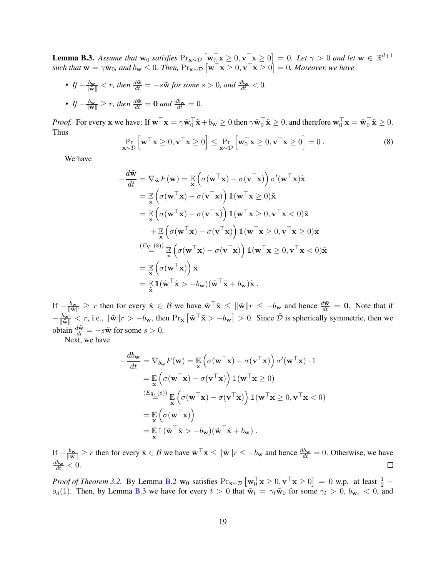<span id="page-18-1"></span>**Lemma B.3.** Assume that  $w_0$  satisfies  $Pr_{\mathbf{x} \sim \mathcal{D}} \left[ \mathbf{w}_0^\top \mathbf{x} \geq 0, \mathbf{v}^\top \mathbf{x} \geq 0 \right] = 0$ . Let  $\gamma > 0$  and let  $\mathbf{w} \in \mathbb{R}^{d+1}$ such that  $\tilde{\mathbf{w}} = \gamma \tilde{\mathbf{w}}_0$ , and  $b_{\mathbf{w}} \leq 0$ . Then,  $\Pr_{\mathbf{x} \sim \mathcal{D}} [\mathbf{w}^\top \mathbf{x} \geq 0, \mathbf{v}^\top \mathbf{x} \geq 0] = 0$ . Moreover, we have

• If  $-\frac{b_{\mathbf{w}}}{\|\tilde{\mathbf{w}}\|} < r$ , then  $\frac{d\tilde{\mathbf{w}}}{dt} = -s\tilde{\mathbf{w}}$  for some  $s > 0$ , and  $\frac{d b_{\mathbf{w}}}{dt} < 0$ . • If  $-\frac{b_{\mathbf{w}}}{\|\tilde{\mathbf{w}}\|} \geq r$ , then  $\frac{d\tilde{\mathbf{w}}}{dt} = \mathbf{0}$  and  $\frac{d\tilde{\mathbf{w}}}{dt} = 0$ .

*Proof.* For every  $\mathbf{x}$  we have: If  $\mathbf{w}^\top \mathbf{x} = \gamma \tilde{\mathbf{w}}_0^\top \tilde{\mathbf{x}} + b_\mathbf{w} \ge 0$  then  $\gamma \tilde{\mathbf{w}}_0^\top \tilde{\mathbf{x}} \ge 0$ , and therefore  $\mathbf{w}_0^\top \mathbf{x} = \tilde{\mathbf{w}}_0^\top \tilde{\mathbf{x}} \ge 0$ . Thus

<span id="page-18-0"></span>
$$
\Pr_{\mathbf{x} \sim \mathcal{D}} \left[ \mathbf{w}^{\top} \mathbf{x} \ge 0, \mathbf{v}^{\top} \mathbf{x} \ge 0 \right] \le \Pr_{\mathbf{x} \sim \mathcal{D}} \left[ \mathbf{w}_0^{\top} \mathbf{x} \ge 0, \mathbf{v}^{\top} \mathbf{x} \ge 0 \right] = 0.
$$
 (8)

We have

$$
-\frac{d\tilde{\mathbf{w}}}{dt} = \nabla_{\tilde{\mathbf{w}}} F(\mathbf{w}) = \mathbb{E}_{\mathbf{x}} \left( \sigma(\mathbf{w}^{\top}\mathbf{x}) - \sigma(\mathbf{v}^{\top}\mathbf{x}) \right) \sigma'(\mathbf{w}^{\top}\mathbf{x}) \tilde{\mathbf{x}} \n= \mathbb{E}_{\mathbf{x}} \left( \sigma(\mathbf{w}^{\top}\mathbf{x}) - \sigma(\mathbf{v}^{\top}\mathbf{x}) \right) \mathbb{1}(\mathbf{w}^{\top}\mathbf{x} \ge 0) \tilde{\mathbf{x}} \n= \mathbb{E}_{\mathbf{x}} \left( \sigma(\mathbf{w}^{\top}\mathbf{x}) - \sigma(\mathbf{v}^{\top}\mathbf{x}) \right) \mathbb{1}(\mathbf{w}^{\top}\mathbf{x} \ge 0, \mathbf{v}^{\top}\mathbf{x} < 0) \tilde{\mathbf{x}} \n+ \mathbb{E}_{\mathbf{x}} \left( \sigma(\mathbf{w}^{\top}\mathbf{x}) - \sigma(\mathbf{v}^{\top}\mathbf{x}) \right) \mathbb{1}(\mathbf{w}^{\top}\mathbf{x} \ge 0, \mathbf{v}^{\top}\mathbf{x} \ge 0) \tilde{\mathbf{x}} \n= \frac{(Eq_{\cdot}}{\mathbf{x}})^{8} \mathbb{E}_{\mathbf{x}} \left( \sigma(\mathbf{w}^{\top}\mathbf{x}) - \sigma(\mathbf{v}^{\top}\mathbf{x}) \right) \mathbb{1}(\mathbf{w}^{\top}\mathbf{x} \ge 0, \mathbf{v}^{\top}\mathbf{x} < 0) \tilde{\mathbf{x}} \n= \mathbb{E}_{\mathbf{x}} \left( \sigma(\mathbf{w}^{\top}\mathbf{x}) \right) \tilde{\mathbf{x}} \n= \mathbb{E}_{\mathbf{x}} \left( \sigma(\mathbf{w}^{\top}\mathbf{x}) \right) \tilde{\mathbf{x}} \n= \mathbb{E}_{\tilde{\mathbf{x}}} \left( \tilde{\mathbf{w}}^{\top}\tilde{\mathbf{x}} > -b_{\mathbf{w}} \right) (\tilde{\mathbf{w}}^{\top}\tilde{\mathbf{x}} + b_{\mathbf{w}}) \tilde{\mathbf{x}}.
$$

If  $-\frac{b_{\mathbf{w}}}{\|\tilde{\mathbf{w}}\|} \geq r$  then for every  $\tilde{\mathbf{x}} \in \mathcal{B}$  we have  $\tilde{\mathbf{w}}^{\top} \tilde{\mathbf{x}} \leq \|\tilde{\mathbf{w}}\| r \leq -b_{\mathbf{w}}$  and hence  $\frac{d\tilde{\mathbf{w}}}{dt} = \mathbf{0}$ . Note that if  $-\frac{b_{\mathbf{w}}}{\|\tilde{\mathbf{w}}\|} < r$ , i.e.,  $\|\tilde{\mathbf{w}}\|r > -b_{\mathbf{w}}$ , then  $\Pr_{\tilde{\mathbf{x}}} [\tilde{\mathbf{w}}^T \tilde{\mathbf{x}} > -b_{\mathbf{w}}] > 0$ . Since  $\tilde{\mathcal{D}}$  is spherically symmetric, then we obtain  $\frac{d\tilde{\mathbf{w}}}{dt} = -s\tilde{\mathbf{w}}$  for some  $s > 0$ .

Next, we have

$$
-\frac{db_{\mathbf{w}}}{dt} = \nabla_{b_{\mathbf{w}}} F(\mathbf{w}) = \mathbb{E}_{\mathbf{x}} \left( \sigma(\mathbf{w}^{\top} \mathbf{x}) - \sigma(\mathbf{v}^{\top} \mathbf{x}) \right) \sigma'(\mathbf{w}^{\top} \mathbf{x}) \cdot 1
$$
  
\n
$$
= \mathbb{E}_{\mathbf{x}} \left( \sigma(\mathbf{w}^{\top} \mathbf{x}) - \sigma(\mathbf{v}^{\top} \mathbf{x}) \right) \mathbb{1}(\mathbf{w}^{\top} \mathbf{x} \ge 0)
$$
  
\n
$$
\stackrel{(Eq. (8))}{=} \mathbb{E}_{\mathbf{x}} \left( \sigma(\mathbf{w}^{\top} \mathbf{x}) - \sigma(\mathbf{v}^{\top} \mathbf{x}) \right) \mathbb{1}(\mathbf{w}^{\top} \mathbf{x} \ge 0, \mathbf{v}^{\top} \mathbf{x} < 0)
$$
  
\n
$$
= \mathbb{E}_{\mathbf{x}} \left( \sigma(\mathbf{w}^{\top} \mathbf{x}) \right)
$$
  
\n
$$
= \mathbb{E}_{\mathbf{x}} \mathbb{1}(\tilde{\mathbf{w}}^{\top} \tilde{\mathbf{x}} > -b_{\mathbf{w}})(\tilde{\mathbf{w}}^{\top} \tilde{\mathbf{x}} + b_{\mathbf{w}}).
$$

If  $-\frac{b_{\mathbf{w}}}{\|\tilde{\mathbf{w}}\|} \geq r$  then for every  $\tilde{\mathbf{x}} \in \mathcal{B}$  we have  $\tilde{\mathbf{w}}^{\top} \tilde{\mathbf{x}} \leq \|\tilde{\mathbf{w}}\| r \leq -b_{\mathbf{w}}$  and hence  $\frac{db_{\mathbf{w}}}{dt} = 0$ . Otherwise, we have  $\frac{db_{\mathbf{w}}}{dt} < 0.$  $\Box$ 

*Proof of Theorem* [3.2.](#page-4-1) By Lemma [B.2](#page-17-2) w<sub>0</sub> satisfies  $Pr_{\mathbf{x} \sim \mathcal{D}} [\mathbf{w}_0^\top \mathbf{x} \ge 0, \mathbf{v}^\top \mathbf{x} \ge 0] = 0$  w.p. at least  $\frac{1}{2}$  –  $o_d(1)$ . Then, by Lemma [B.3](#page-18-1) we have for every  $t > 0$  that  $\tilde{w}_t = \gamma_t \tilde{w}_0$  for some  $\gamma_t > 0$ ,  $b_{w_t} < 0$ , and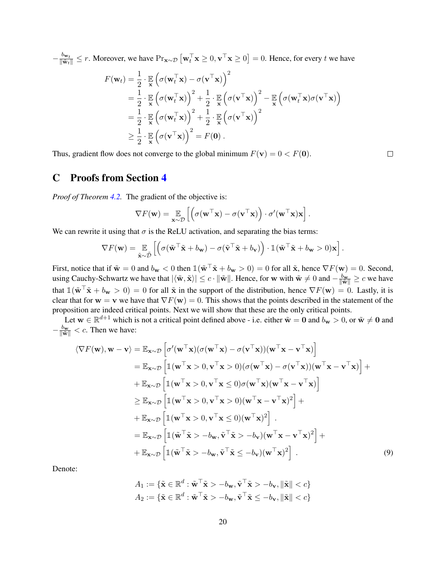$-\frac{b_{\mathbf{w}_t}}{\|\tilde{\mathbf{w}}_t\|} \leq r$ . Moreover, we have  $\Pr_{\mathbf{x} \sim \mathcal{D}} [\mathbf{w}_t^\top \mathbf{x} \geq 0, \mathbf{v}^\top \mathbf{x} \geq 0] = 0$ . Hence, for every t we have

$$
F(\mathbf{w}_t) = \frac{1}{2} \cdot \mathbb{E}_{\mathbf{x}} \left( \sigma(\mathbf{w}_t^\top \mathbf{x}) - \sigma(\mathbf{v}^\top \mathbf{x}) \right)^2
$$
  
\n
$$
= \frac{1}{2} \cdot \mathbb{E}_{\mathbf{x}} \left( \sigma(\mathbf{w}_t^\top \mathbf{x}) \right)^2 + \frac{1}{2} \cdot \mathbb{E}_{\mathbf{x}} \left( \sigma(\mathbf{v}^\top \mathbf{x}) \right)^2 - \mathbb{E}_{\mathbf{x}} \left( \sigma(\mathbf{w}_t^\top \mathbf{x}) \sigma(\mathbf{v}^\top \mathbf{x}) \right)
$$
  
\n
$$
= \frac{1}{2} \cdot \mathbb{E}_{\mathbf{x}} \left( \sigma(\mathbf{w}_t^\top \mathbf{x}) \right)^2 + \frac{1}{2} \cdot \mathbb{E}_{\mathbf{x}} \left( \sigma(\mathbf{v}^\top \mathbf{x}) \right)^2
$$
  
\n
$$
\geq \frac{1}{2} \cdot \mathbb{E}_{\mathbf{x}} \left( \sigma(\mathbf{v}^\top \mathbf{x}) \right)^2 = F(\mathbf{0}).
$$

Thus, gradient flow does not converge to the global minimum  $F(\mathbf{v}) = 0 < F(\mathbf{0})$ .

## <span id="page-19-0"></span>C Proofs from Section [4](#page-4-0)

*Proof of Theorem [4.2.](#page-5-1)* The gradient of the objective is:

$$
\nabla F(\mathbf{w}) = \mathop{\mathbb{E}}_{\mathbf{x} \sim \mathcal{D}} \left[ \left( \sigma(\mathbf{w}^\top \mathbf{x}) - \sigma(\mathbf{v}^\top \mathbf{x}) \right) \cdot \sigma'(\mathbf{w}^\top \mathbf{x}) \mathbf{x} \right].
$$

We can rewrite it using that  $\sigma$  is the ReLU activation, and separating the bias terms:

$$
\nabla F(\mathbf{w}) = \mathop{\mathbb{E}}_{\tilde{\mathbf{x}} \sim \tilde{\mathcal{D}}} \left[ \left( \sigma(\tilde{\mathbf{w}}^\top \tilde{\mathbf{x}} + b_{\mathbf{w}}) - \sigma(\tilde{\mathbf{v}}^\top \tilde{\mathbf{x}} + b_{\mathbf{v}}) \right) \cdot \mathbb{1}(\tilde{\mathbf{w}}^\top \tilde{\mathbf{x}} + b_{\mathbf{w}} > 0) \mathbf{x} \right].
$$

First, notice that if  $\tilde{\mathbf{w}} = 0$  and  $b_{\mathbf{w}} < 0$  then  $\mathbb{1}(\tilde{\mathbf{w}}^T \tilde{\mathbf{x}} + b_{\mathbf{w}} > 0) = 0$  for all  $\tilde{\mathbf{x}}$ , hence  $\nabla F(\mathbf{w}) = 0$ . Second, using Cauchy-Schwartz we have that  $|\langle \tilde{\mathbf{w}}, \tilde{\mathbf{x}} \rangle| \leq c \cdot ||\tilde{\mathbf{w}}||$ . Hence, for w with  $\tilde{\mathbf{w}} \neq 0$  and  $-\frac{b_{\mathbf{w}}}{||\tilde{\mathbf{w}}||} \geq c$  we have that  $\mathbb{1}(\tilde{\mathbf{w}}^T\tilde{\mathbf{x}} + b_{\mathbf{w}} > 0) = 0$  for all  $\tilde{\mathbf{x}}$  in the support of the distribution, hence  $\nabla F(\mathbf{w}) = 0$ . Lastly, it is clear that for  $w = v$  we have that  $\nabla F(w) = 0$ . This shows that the points described in the statement of the proposition are indeed critical points. Next we will show that these are the only critical points.

Let  $w \in \mathbb{R}^{d+1}$  which is not a critical point defined above - i.e. either  $\tilde{w} = 0$  and  $b_w > 0$ , or  $\tilde{w} \neq 0$  and  $-\frac{b_{\mathbf{w}}}{\|\tilde{\mathbf{w}}\|} < c$ . Then we have:

$$
\langle \nabla F(\mathbf{w}), \mathbf{w} - \mathbf{v} \rangle = \mathbb{E}_{\mathbf{x} \sim \mathcal{D}} \left[ \sigma'(\mathbf{w}^\top \mathbf{x}) (\sigma(\mathbf{w}^\top \mathbf{x}) - \sigma(\mathbf{v}^\top \mathbf{x})) (\mathbf{w}^\top \mathbf{x} - \mathbf{v}^\top \mathbf{x}) \right]
$$
  
\n
$$
= \mathbb{E}_{\mathbf{x} \sim \mathcal{D}} \left[ \mathbb{1} (\mathbf{w}^\top \mathbf{x} > 0, \mathbf{v}^\top \mathbf{x} > 0) (\sigma(\mathbf{w}^\top \mathbf{x}) - \sigma(\mathbf{v}^\top \mathbf{x})) (\mathbf{w}^\top \mathbf{x} - \mathbf{v}^\top \mathbf{x}) \right] +
$$
  
\n
$$
+ \mathbb{E}_{\mathbf{x} \sim \mathcal{D}} \left[ \mathbb{1} (\mathbf{w}^\top \mathbf{x} > 0, \mathbf{v}^\top \mathbf{x} \le 0) \sigma(\mathbf{w}^\top \mathbf{x}) (\mathbf{w}^\top \mathbf{x} - \mathbf{v}^\top \mathbf{x}) \right]
$$
  
\n
$$
\geq \mathbb{E}_{\mathbf{x} \sim \mathcal{D}} \left[ \mathbb{1} (\mathbf{w}^\top \mathbf{x} > 0, \mathbf{v}^\top \mathbf{x} > 0) (\mathbf{w}^\top \mathbf{x} - \mathbf{v}^\top \mathbf{x})^2 \right] +
$$
  
\n
$$
+ \mathbb{E}_{\mathbf{x} \sim \mathcal{D}} \left[ \mathbb{1} (\mathbf{w}^\top \mathbf{x} > 0, \mathbf{v}^\top \mathbf{x} \le 0) (\mathbf{w}^\top \mathbf{x})^2 \right] +
$$
  
\n
$$
= \mathbb{E}_{\mathbf{x} \sim \mathcal{D}} \left[ \mathbb{1} (\tilde{\mathbf{w}}^\top \tilde{\mathbf{x}} > -b_{\mathbf{w}}, \tilde{\mathbf{v}}^\top \tilde{\mathbf{x}} > -b_{\mathbf{v}}) (\mathbf{w}^\top \mathbf{x})^2 \right] +
$$
  
\n
$$
+ \mathbb{E}_{\mathbf{x} \sim \mathcal{D}} \left[ \mathbb{1} (\tilde{\mathbf{w}}^\top \
$$

Denote:

<span id="page-19-1"></span>
$$
A_1 := \{ \tilde{\mathbf{x}} \in \mathbb{R}^d : \tilde{\mathbf{w}}^\top \tilde{\mathbf{x}} > -b_{\mathbf{w}}, \tilde{\mathbf{v}}^\top \tilde{\mathbf{x}} > -b_{\mathbf{v}}, \|\tilde{\mathbf{x}}\| < c \}
$$

$$
A_2 := \{ \tilde{\mathbf{x}} \in \mathbb{R}^d : \tilde{\mathbf{w}}^\top \tilde{\mathbf{x}} > -b_{\mathbf{w}}, \tilde{\mathbf{v}}^\top \tilde{\mathbf{x}} \le -b_{\mathbf{v}}, \|\tilde{\mathbf{x}}\| < c \}
$$

 $\Box$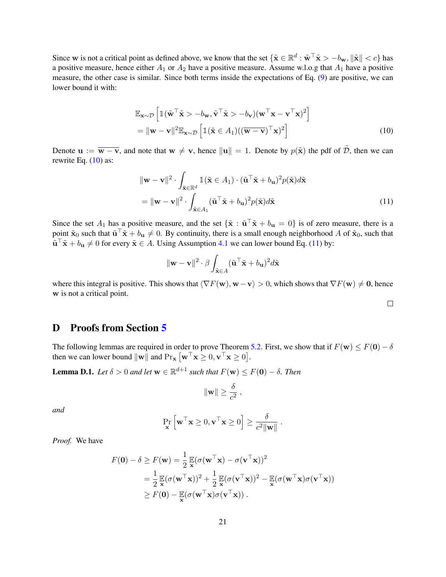Since w is not a critical point as defined above, we know that the set  $\{\tilde{\mathbf{x}} \in \mathbb{R}^d : \tilde{\mathbf{w}}^\top \tilde{\mathbf{x}} > -b_{\mathbf{w}}, \|\tilde{\mathbf{x}}\| < c\}$  has a positive measure, hence either  $A_1$  or  $A_2$  have a positive measure. Assume w.l.o.g that  $A_1$  have a positive measure, the other case is similar. Since both terms inside the expectations of Eq. [\(9\)](#page-19-1) are positive, we can lower bound it with:

$$
\mathbb{E}_{\mathbf{x}\sim\mathcal{D}}\left[\mathbb{1}(\tilde{\mathbf{w}}^{\top}\tilde{\mathbf{x}} > -b_{\mathbf{w}}, \tilde{\mathbf{v}}^{\top}\tilde{\mathbf{x}} > -b_{\mathbf{v}})(\mathbf{w}^{\top}\mathbf{x} - \mathbf{v}^{\top}\mathbf{x})^{2}\right]
$$
  
= 
$$
\|\mathbf{w} - \mathbf{v}\|^{2}\mathbb{E}_{\mathbf{x}\sim\mathcal{D}}\left[\mathbb{1}(\tilde{\mathbf{x}} \in A_{1})((\overline{\mathbf{w}} - \overline{\mathbf{v}})^{\top}\mathbf{x})^{2}\right]
$$
(10)

Denote  $u := \overline{w - v}$ , and note that  $w \neq v$ , hence  $||u|| = 1$ . Denote by  $p(\tilde{x})$  the pdf of  $\tilde{D}$ , then we can rewrite Eq.  $(10)$  as:

$$
\|\mathbf{w} - \mathbf{v}\|^2 \cdot \int_{\tilde{\mathbf{x}} \in \mathbb{R}^d} \mathbb{1}(\tilde{\mathbf{x}} \in A_1) \cdot (\tilde{\mathbf{u}}^\top \tilde{\mathbf{x}} + b_\mathbf{u})^2 p(\tilde{\mathbf{x}}) d\tilde{\mathbf{x}} \n= \|\mathbf{w} - \mathbf{v}\|^2 \cdot \int_{\tilde{\mathbf{x}} \in A_1} (\tilde{\mathbf{u}}^\top \tilde{\mathbf{x}} + b_\mathbf{u})^2 p(\tilde{\mathbf{x}}) d\tilde{\mathbf{x}} \n\tag{11}
$$

Since the set  $A_1$  has a positive measure, and the set  $\{\tilde{\mathbf{x}} : \tilde{\mathbf{u}}^\top \tilde{\mathbf{x}} + b_\mathbf{u} = 0\}$  is of zero measure, there is a point  $\tilde{\mathbf{x}}_0$  such that  $\tilde{\mathbf{u}}^\top \tilde{\mathbf{x}} + b_\mathbf{u} \neq 0$ . By continuity, there is a small enough neighborhood A of  $\tilde{\mathbf{x}}_0$ , such that  $\tilde{\mathbf{u}}^{\top} \tilde{\mathbf{x}} + b_{\mathbf{u}} \neq 0$  for every  $\tilde{\mathbf{x}} \in A$ . Using Assumption [4.1](#page-5-0) we can lower bound Eq. [\(11\)](#page-20-2) by:

$$
\|\mathbf{w} - \mathbf{v}\|^2 \cdot \beta \int_{\tilde{\mathbf{x}} \in A} (\tilde{\mathbf{u}}^\top \tilde{\mathbf{x}} + b_{\mathbf{u}})^2 d\tilde{\mathbf{x}}
$$

where this integral is positive. This shows that  $\langle \nabla F(\mathbf{w}), \mathbf{w} - \mathbf{v} \rangle > 0$ , which shows that  $\nabla F(\mathbf{w}) \neq \mathbf{0}$ , hence w is not a critical point.

#### <span id="page-20-2"></span><span id="page-20-1"></span> $\Box$

## <span id="page-20-0"></span>D Proofs from Section [5](#page-6-0)

The following lemmas are required in order to prove Theorem [5.2.](#page-6-2) First, we show that if  $F(\mathbf{w}) \leq F(\mathbf{0}) - \delta$ then we can lower bound  $\|\mathbf{w}\|$  and  $\Pr_{\mathbf{x}}[\mathbf{w}^{\top}\mathbf{x} \geq 0, \mathbf{v}^{\top}\mathbf{x} \geq 0].$ 

<span id="page-20-3"></span>**Lemma D.1.** *Let*  $\delta > 0$  *and let*  $\mathbf{w} \in \mathbb{R}^{d+1}$  *such that*  $F(\mathbf{w}) \leq F(\mathbf{0}) - \delta$ *. Then* 

$$
\|\mathbf{w}\| \ge \frac{\delta}{c^2} \;,
$$

*and*

$$
\Pr_{\mathbf{x}}\left[\mathbf{w}^{\top}\mathbf{x} \geq 0, \mathbf{v}^{\top}\mathbf{x} \geq 0\right] \geq \frac{\delta}{c^2 \|\mathbf{w}\|}.
$$

*Proof.* We have

$$
F(\mathbf{0}) - \delta \ge F(\mathbf{w}) = \frac{1}{2} \mathbb{E} (\sigma(\mathbf{w}^{\top}\mathbf{x}) - \sigma(\mathbf{v}^{\top}\mathbf{x}))^{2}
$$
  
=  $\frac{1}{2} \mathbb{E} (\sigma(\mathbf{w}^{\top}\mathbf{x}))^{2} + \frac{1}{2} \mathbb{E} (\sigma(\mathbf{v}^{\top}\mathbf{x}))^{2} - \mathbb{E} (\sigma(\mathbf{w}^{\top}\mathbf{x})\sigma(\mathbf{v}^{\top}\mathbf{x}))$   
 $\ge F(\mathbf{0}) - \mathbb{E} (\sigma(\mathbf{w}^{\top}\mathbf{x})\sigma(\mathbf{v}^{\top}\mathbf{x})) .$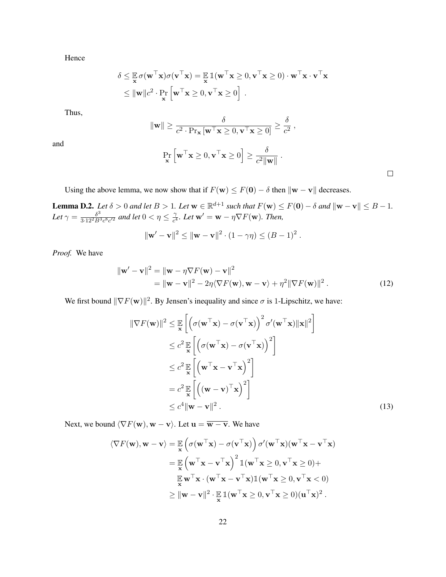Hence

$$
\delta \leq \mathbb{E} \sigma(\mathbf{w}^\top \mathbf{x}) \sigma(\mathbf{v}^\top \mathbf{x}) = \mathbb{E} \mathbb{1}(\mathbf{w}^\top \mathbf{x} \geq 0, \mathbf{v}^\top \mathbf{x} \geq 0) \cdot \mathbf{w}^\top \mathbf{x} \cdot \mathbf{v}^\top \mathbf{x}
$$
  
\n
$$
\leq ||\mathbf{w}||c^2 \cdot \Pr_{\mathbf{x}} \left[ \mathbf{w}^\top \mathbf{x} \geq 0, \mathbf{v}^\top \mathbf{x} \geq 0 \right].
$$

Thus,

$$
\|\mathbf{w}\| \ge \frac{\delta}{c^2 \cdot \Pr_{\mathbf{x}}\left[\mathbf{w}^{\top}\mathbf{x} \ge 0, \mathbf{v}^{\top}\mathbf{x} \ge 0\right]} \ge \frac{\delta}{c^2},
$$

and

$$
\Pr_{\mathbf{x}}\left[\mathbf{w}^{\top}\mathbf{x} \geq 0, \mathbf{v}^{\top}\mathbf{x} \geq 0\right] \geq \frac{\delta}{c^2 \|\mathbf{w}\|}.
$$

<span id="page-21-1"></span><span id="page-21-0"></span> $\Box$ 

Using the above lemma, we now show that if  $F(\mathbf{w}) \leq F(\mathbf{0}) - \delta$  then  $\|\mathbf{w} - \mathbf{v}\|$  decreases.

<span id="page-21-2"></span>**Lemma D.2.** *Let*  $\delta > 0$  *and let*  $B > 1$ *. Let*  $\mathbf{w} \in \mathbb{R}^{d+1}$  *such that*  $F(\mathbf{w}) \leq F(\mathbf{0}) - \delta$  *and*  $\|\mathbf{w} - \mathbf{v}\| \leq B - 1$ *.* Let  $\gamma = \frac{\delta^3}{3.12^2 B^3}$  $\frac{\delta^3}{3\cdot 12^2B^3c^8c'^2}$  and let  $0<\eta\leq\frac{\gamma}{c^4}$  $\frac{\gamma}{c^4}$ *. Let*  $\mathbf{w}' = \mathbf{w} - \eta \nabla F(\mathbf{w})$ *. Then,* 

$$
\|\mathbf{w}' - \mathbf{v}\|^2 \le \|\mathbf{w} - \mathbf{v}\|^2 \cdot (1 - \gamma \eta) \le (B - 1)^2.
$$

*Proof.* We have

$$
\|\mathbf{w}' - \mathbf{v}\|^2 = \|\mathbf{w} - \eta \nabla F(\mathbf{w}) - \mathbf{v}\|^2
$$
  
=\|\mathbf{w} - \mathbf{v}\|^2 - 2\eta \langle \nabla F(\mathbf{w}), \mathbf{w} - \mathbf{v} \rangle + \eta^2 \|\nabla F(\mathbf{w})\|^2. (12)

We first bound  $\|\nabla F(\mathbf{w})\|^2$ . By Jensen's inequality and since  $\sigma$  is 1-Lipschitz, we have:

$$
\|\nabla F(\mathbf{w})\|^2 \leq \mathbb{E}_{\mathbf{x}} \left[ \left( \sigma(\mathbf{w}^\top \mathbf{x}) - \sigma(\mathbf{v}^\top \mathbf{x}) \right)^2 \sigma'(\mathbf{w}^\top \mathbf{x}) \|\mathbf{x}\|^2 \right] \n\leq c^2 \mathbb{E}_{\mathbf{x}} \left[ \left( \sigma(\mathbf{w}^\top \mathbf{x}) - \sigma(\mathbf{v}^\top \mathbf{x}) \right)^2 \right] \n\leq c^2 \mathbb{E}_{\mathbf{x}} \left[ \left( \mathbf{w}^\top \mathbf{x} - \mathbf{v}^\top \mathbf{x} \right)^2 \right] \n= c^2 \mathbb{E}_{\mathbf{x}} \left[ \left( (\mathbf{w} - \mathbf{v})^\top \mathbf{x} \right)^2 \right] \n\leq c^4 \|\mathbf{w} - \mathbf{v}\|^2.
$$
\n(13)

Next, we bound  $\langle \nabla F(\mathbf{w}), \mathbf{w} - \mathbf{v} \rangle$ . Let  $\mathbf{u} = \overline{\mathbf{w} - \mathbf{v}}$ . We have

$$
\langle \nabla F(\mathbf{w}), \mathbf{w} - \mathbf{v} \rangle = \mathbb{E}_{\mathbf{x}} \left( \sigma(\mathbf{w}^{\top} \mathbf{x}) - \sigma(\mathbf{v}^{\top} \mathbf{x}) \right) \sigma'(\mathbf{w}^{\top} \mathbf{x}) (\mathbf{w}^{\top} \mathbf{x} - \mathbf{v}^{\top} \mathbf{x})
$$
  
\n
$$
= \mathbb{E}_{\mathbf{x}} \left( \mathbf{w}^{\top} \mathbf{x} - \mathbf{v}^{\top} \mathbf{x} \right)^{2} \mathbb{1} (\mathbf{w}^{\top} \mathbf{x} \ge 0, \mathbf{v}^{\top} \mathbf{x} \ge 0) +
$$
  
\n
$$
\mathbb{E}_{\mathbf{x}} \mathbf{w}^{\top} \mathbf{x} \cdot (\mathbf{w}^{\top} \mathbf{x} - \mathbf{v}^{\top} \mathbf{x}) \mathbb{1} (\mathbf{w}^{\top} \mathbf{x} \ge 0, \mathbf{v}^{\top} \mathbf{x} < 0)
$$
  
\n
$$
\ge ||\mathbf{w} - \mathbf{v}||^{2} \cdot \mathbb{E}_{\mathbf{x}} \mathbb{1} (\mathbf{w}^{\top} \mathbf{x} \ge 0, \mathbf{v}^{\top} \mathbf{x} \ge 0) (\mathbf{u}^{\top} \mathbf{x})^{2}.
$$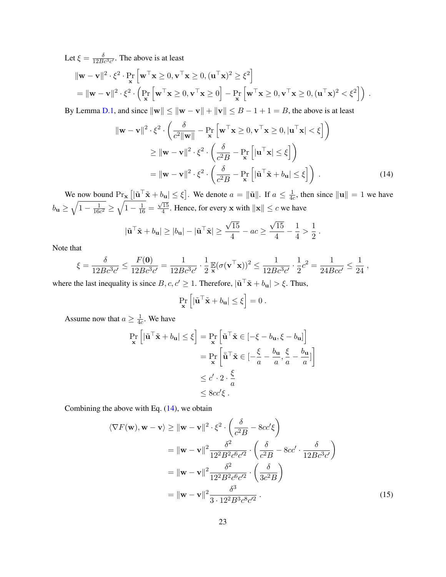Let  $\xi = \frac{\delta}{12Bc^3c'}$ . The above is at least

$$
\|\mathbf{w} - \mathbf{v}\|^2 \cdot \xi^2 \cdot \Pr_{\mathbf{x}} \left[ \mathbf{w}^\top \mathbf{x} \ge 0, \mathbf{v}^\top \mathbf{x} \ge 0, (\mathbf{u}^\top \mathbf{x})^2 \ge \xi^2 \right]
$$
  
=\|\mathbf{w} - \mathbf{v}\|^2 \cdot \xi^2 \cdot \left( \Pr\_{\mathbf{x}} \left[ \mathbf{w}^\top \mathbf{x} \ge 0, \mathbf{v}^\top \mathbf{x} \ge 0 \right] - \Pr\_{\mathbf{x}} \left[ \mathbf{w}^\top \mathbf{x} \ge 0, \mathbf{v}^\top \mathbf{x} \ge 0, (\mathbf{u}^\top \mathbf{x})^2 < \xi^2 \right] \right).

By Lemma [D.1,](#page-20-3) and since  $\|\mathbf{w}\| \le \|\mathbf{w} - \mathbf{v}\| + \|\mathbf{v}\| \le B - 1 + 1 = B$ , the above is at least

$$
\|\mathbf{w} - \mathbf{v}\|^2 \cdot \xi^2 \cdot \left(\frac{\delta}{c^2 \|\mathbf{w}\|} - \Pr_{\mathbf{x}} \left[\mathbf{w}^\top \mathbf{x} \ge 0, \mathbf{v}^\top \mathbf{x} \ge 0, |\mathbf{u}^\top \mathbf{x}| < \xi\right]\right)
$$
  
\n
$$
\ge \|\mathbf{w} - \mathbf{v}\|^2 \cdot \xi^2 \cdot \left(\frac{\delta}{c^2 B} - \Pr_{\mathbf{x}} \left[|\mathbf{u}^\top \mathbf{x}| \le \xi\right]\right)
$$
  
\n
$$
= \|\mathbf{w} - \mathbf{v}\|^2 \cdot \xi^2 \cdot \left(\frac{\delta}{c^2 B} - \Pr_{\mathbf{x}} \left[|\tilde{\mathbf{u}}^\top \tilde{\mathbf{x}} + b_{\mathbf{u}}| \le \xi\right]\right) . \tag{14}
$$

We now bound  $\Pr_{\mathbf{x}} \left[ |\tilde{\mathbf{u}}^\top \tilde{\mathbf{x}} + b_{\mathbf{u}}| \leq \xi \right]$ . We denote  $a = ||\tilde{\mathbf{u}}||$ . If  $a \leq \frac{1}{4d}$  $\frac{1}{4c}$ , then since  $\|\mathbf{u}\| = 1$  we have  $b_{\mathbf{u}} \geq \sqrt{1 - \frac{1}{16a}}$  $\frac{1}{16c^2} \geq \sqrt{1 - \frac{1}{16}} =$  $\sqrt{15}$  $\frac{15}{4}$ . Hence, for every **x** with  $\|\mathbf{x}\| \leq c$  we have

$$
|\tilde{\mathbf{u}}^{\top}\tilde{\mathbf{x}} + b_{\mathbf{u}}| \ge |b_{\mathbf{u}}| - |\tilde{\mathbf{u}}^{\top}\tilde{\mathbf{x}}| \ge \frac{\sqrt{15}}{4} - ac \ge \frac{\sqrt{15}}{4} - \frac{1}{4} > \frac{1}{2}.
$$

Note that

$$
\xi = \frac{\delta}{12Bc^3c'} \le \frac{F(\mathbf{0})}{12Bc^3c'} = \frac{1}{12Bc^3c'} \cdot \frac{1}{2} \mathbb{E}(\sigma(\mathbf{v}^\top \mathbf{x}))^2 \le \frac{1}{12Bc^3c'} \cdot \frac{1}{2}c^2 = \frac{1}{24Bcc'} \le \frac{1}{24},
$$

where the last inequality is since  $B, c, c' \geq 1$ . Therefore,  $|\tilde{\mathbf{u}}^{\top} \tilde{\mathbf{x}} + b_{\mathbf{u}}| > \xi$ . Thus,

<span id="page-22-1"></span><span id="page-22-0"></span>
$$
\Pr_{\mathbf{x}}\left[|\tilde{\mathbf{u}}^\top \tilde{\mathbf{x}} + b_{\mathbf{u}}| \leq \xi\right] = 0.
$$

Assume now that  $a \geq \frac{1}{4a}$  $\frac{1}{4c}$ . We have

$$
\Pr_{\mathbf{x}}\left[|\tilde{\mathbf{u}}^{\top}\tilde{\mathbf{x}} + b_{\mathbf{u}}| \leq \xi\right] = \Pr_{\mathbf{x}}\left[\tilde{\mathbf{u}}^{\top}\tilde{\mathbf{x}} \in [-\xi - b_{\mathbf{u}}, \xi - b_{\mathbf{u}}]\right]
$$

$$
= \Pr_{\mathbf{x}}\left[\bar{\tilde{\mathbf{u}}}^{\top}\tilde{\mathbf{x}} \in [-\frac{\xi}{a} - \frac{b_{\mathbf{u}}}{a}, \frac{\xi}{a} - \frac{b_{\mathbf{u}}}{a}]\right]
$$

$$
\leq c' \cdot 2 \cdot \frac{\xi}{a}
$$

$$
\leq 8cc'\xi.
$$

Combining the above with Eq.  $(14)$ , we obtain

$$
\langle \nabla F(\mathbf{w}), \mathbf{w} - \mathbf{v} \rangle \ge ||\mathbf{w} - \mathbf{v}||^2 \cdot \xi^2 \cdot \left(\frac{\delta}{c^2 B} - 8cc'\xi\right)
$$
  
\n
$$
= ||\mathbf{w} - \mathbf{v}||^2 \frac{\delta^2}{12^2 B^2 c^6 c'^2} \cdot \left(\frac{\delta}{c^2 B} - 8cc' \cdot \frac{\delta}{12 B c^3 c'}\right)
$$
  
\n
$$
= ||\mathbf{w} - \mathbf{v}||^2 \frac{\delta^2}{12^2 B^2 c^6 c'^2} \cdot \left(\frac{\delta}{3c^2 B}\right)
$$
  
\n
$$
= ||\mathbf{w} - \mathbf{v}||^2 \frac{\delta^3}{3 \cdot 12^2 B^3 c^8 c'^2} \cdot \left(15\right)
$$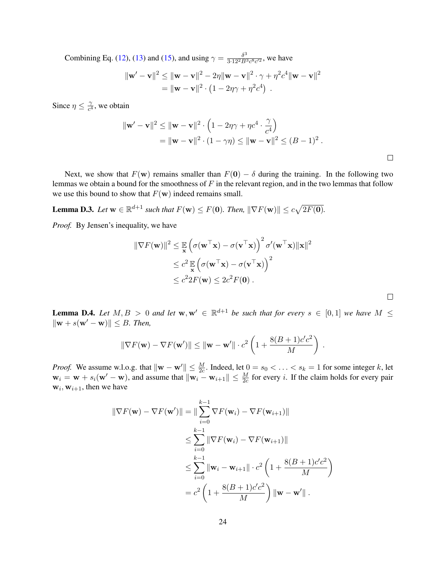Combining Eq. [\(12\)](#page-21-0), [\(13\)](#page-21-1) and [\(15\)](#page-22-1), and using  $\gamma = \frac{\delta^3}{3.12^2 B^3}$  $\frac{\delta^{\circ}}{3 \cdot 12^2 B^3 c^8 c^2}$ , we have

$$
\|\mathbf{w}' - \mathbf{v}\|^2 \le \|\mathbf{w} - \mathbf{v}\|^2 - 2\eta \|\mathbf{w} - \mathbf{v}\|^2 \cdot \gamma + \eta^2 c^4 \|\mathbf{w} - \mathbf{v}\|^2
$$
  
= 
$$
\|\mathbf{w} - \mathbf{v}\|^2 \cdot \left(1 - 2\eta\gamma + \eta^2 c^4\right).
$$

Since  $\eta \leq \frac{\gamma}{c^4}$  $\frac{\gamma}{c^4}$ , we obtain

$$
\|\mathbf{w}' - \mathbf{v}\|^2 \le \|\mathbf{w} - \mathbf{v}\|^2 \cdot \left(1 - 2\eta\gamma + \eta c^4 \cdot \frac{\gamma}{c^4}\right)
$$
  
= 
$$
\|\mathbf{w} - \mathbf{v}\|^2 \cdot (1 - \gamma\eta) \le \|\mathbf{w} - \mathbf{v}\|^2 \le (B - 1)^2.
$$

 $\Box$ 

 $\Box$ 

Next, we show that  $F(\mathbf{w})$  remains smaller than  $F(\mathbf{0}) - \delta$  during the training. In the following two lemmas we obtain a bound for the smoothness of  $F$  in the relevant region, and in the two lemmas that follow we use this bound to show that  $F(\mathbf{w})$  indeed remains small.

<span id="page-23-0"></span>**Lemma D.3.** Let  $\mathbf{w} \in \mathbb{R}^{d+1}$  such that  $F(\mathbf{w}) \leq F(\mathbf{0})$ . Then,  $\|\nabla F(\mathbf{w})\| \leq c\sqrt{2F(\mathbf{0})}$ .

*Proof.* By Jensen's inequality, we have

$$
\|\nabla F(\mathbf{w})\|^2 \leq \mathbb{E}_{\mathbf{x}} \left( \sigma(\mathbf{w}^\top \mathbf{x}) - \sigma(\mathbf{v}^\top \mathbf{x}) \right)^2 \sigma'(\mathbf{w}^\top \mathbf{x}) \|\mathbf{x}\|^2
$$
  
\n
$$
\leq c^2 \mathbb{E}_{\mathbf{x}} \left( \sigma(\mathbf{w}^\top \mathbf{x}) - \sigma(\mathbf{v}^\top \mathbf{x}) \right)^2
$$
  
\n
$$
\leq c^2 2F(\mathbf{w}) \leq 2c^2 F(\mathbf{0}).
$$

<span id="page-23-1"></span>**Lemma D.4.** Let  $M, B > 0$  and let  $\mathbf{w}, \mathbf{w}' \in \mathbb{R}^{d+1}$  be such that for every  $s \in [0,1]$  we have  $M \leq$  $\|\mathbf{w} + s(\mathbf{w}' - \mathbf{w})\| \leq B$ *. Then,* 

$$
\|\nabla F(\mathbf{w}) - \nabla F(\mathbf{w}')\| \leq \|\mathbf{w} - \mathbf{w}'\| \cdot c^2 \left(1 + \frac{8(B+1)c'c^2}{M}\right).
$$

*Proof.* We assume w.l.o.g. that  $\|\mathbf{w} - \mathbf{w}'\| \leq \frac{M}{2c}$ . Indeed, let  $0 = s_0 < \ldots < s_k = 1$  for some integer k, let  $w_i = w + s_i(w' - w)$ , and assume that  $\|w_i - w_{i+1}\| \leq \frac{M}{2c}$  for every i. If the claim holds for every pair  $w_i, w_{i+1}$ , then we have

$$
\|\nabla F(\mathbf{w}) - \nabla F(\mathbf{w}')\| = \|\sum_{i=0}^{k-1} \nabla F(\mathbf{w}_i) - \nabla F(\mathbf{w}_{i+1})\|
$$
  
\n
$$
\leq \sum_{i=0}^{k-1} \|\nabla F(\mathbf{w}_i) - \nabla F(\mathbf{w}_{i+1})\|
$$
  
\n
$$
\leq \sum_{i=0}^{k-1} \|\mathbf{w}_i - \mathbf{w}_{i+1}\| \cdot c^2 \left(1 + \frac{8(B+1)c'c^2}{M}\right)
$$
  
\n
$$
= c^2 \left(1 + \frac{8(B+1)c'c^2}{M}\right) \|\mathbf{w} - \mathbf{w}'\|.
$$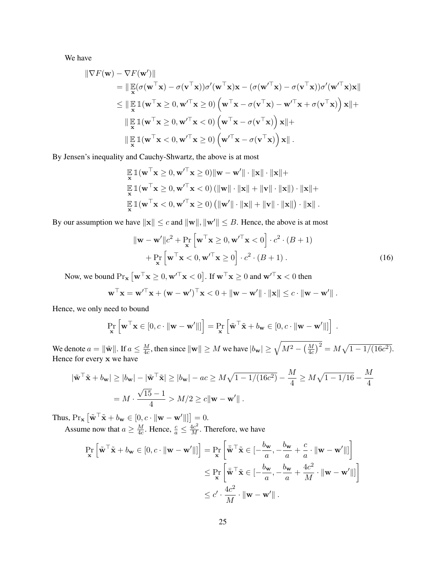We have

$$
\|\nabla F(\mathbf{w}) - \nabla F(\mathbf{w}')\|
$$
  
\n
$$
= \|\mathop{\mathbb{E}}_{\mathbf{x}} (\sigma(\mathbf{w}^{\top}\mathbf{x}) - \sigma(\mathbf{v}^{\top}\mathbf{x}))\sigma'(\mathbf{w}^{\top}\mathbf{x})\mathbf{x} - (\sigma(\mathbf{w}'^{\top}\mathbf{x}) - \sigma(\mathbf{v}^{\top}\mathbf{x}))\sigma'(\mathbf{w}'^{\top}\mathbf{x})\mathbf{x}\|
$$
  
\n
$$
\leq \|\mathop{\mathbb{E}}_{\mathbf{x}} \mathbb{1}(\mathbf{w}^{\top}\mathbf{x} \geq 0, \mathbf{w}'^{\top}\mathbf{x} \geq 0) \left(\mathbf{w}^{\top}\mathbf{x} - \sigma(\mathbf{v}^{\top}\mathbf{x}) - \mathbf{w}'^{\top}\mathbf{x} + \sigma(\mathbf{v}^{\top}\mathbf{x})\right)\mathbf{x}\| +
$$
  
\n
$$
\|\mathop{\mathbb{E}}_{\mathbf{x}} \mathbb{1}(\mathbf{w}^{\top}\mathbf{x} \geq 0, \mathbf{w}'^{\top}\mathbf{x} < 0) \left(\mathbf{w}^{\top}\mathbf{x} - \sigma(\mathbf{v}^{\top}\mathbf{x})\right)\mathbf{x}\| +
$$
  
\n
$$
\|\mathop{\mathbb{E}}_{\mathbf{x}} \mathbb{1}(\mathbf{w}^{\top}\mathbf{x} < 0, \mathbf{w}'^{\top}\mathbf{x} \geq 0) \left(\mathbf{w}'^{\top}\mathbf{x} - \sigma(\mathbf{v}^{\top}\mathbf{x})\right)\mathbf{x}\|.
$$

By Jensen's inequality and Cauchy-Shwartz, the above is at most

$$
\mathbb{E}_{\mathbf{x}} \mathbb{1}(\mathbf{w}^{\top} \mathbf{x} \ge 0, \mathbf{w}'^{\top} \mathbf{x} \ge 0) \|\mathbf{w} - \mathbf{w}'\| \cdot \|\mathbf{x}\| \cdot \|\mathbf{x}\| + \n\mathbb{E}_{\mathbf{x}} \mathbb{1}(\mathbf{w}^{\top} \mathbf{x} \ge 0, \mathbf{w}'^{\top} \mathbf{x} < 0) \left( \|\mathbf{w}\| \cdot \|\mathbf{x}\| + \|\mathbf{v}\| \cdot \|\mathbf{x}\| \right) \cdot \|\mathbf{x}\| + \n\mathbb{E}_{\mathbf{x}} \mathbb{1}(\mathbf{w}^{\top} \mathbf{x} < 0, \mathbf{w}'^{\top} \mathbf{x} \ge 0) \left( \|\mathbf{w}'\| \cdot \|\mathbf{x}\| + \|\mathbf{v}\| \cdot \|\mathbf{x}\| \right) \cdot \|\mathbf{x}\|.
$$

By our assumption we have  $||\mathbf{x}|| \leq c$  and  $||\mathbf{w}||, ||\mathbf{w}'|| \leq B$ . Hence, the above is at most

<span id="page-24-0"></span>
$$
\|\mathbf{w} - \mathbf{w}'\|c^2 + \Pr_{\mathbf{x}} \left[ \mathbf{w}^\top \mathbf{x} \ge 0, \mathbf{w}'^\top \mathbf{x} < 0 \right] \cdot c^2 \cdot (B + 1) + \Pr_{\mathbf{x}} \left[ \mathbf{w}^\top \mathbf{x} < 0, \mathbf{w}'^\top \mathbf{x} \ge 0 \right] \cdot c^2 \cdot (B + 1).
$$
\n(16)

Now, we bound  $\Pr_{\mathbf{x}} \left[ \mathbf{w}^\top \mathbf{x} \geq 0, \mathbf{w}'^\top \mathbf{x} < 0 \right]$ . If  $\mathbf{w}^\top \mathbf{x} \geq 0$  and  $\mathbf{w}'^\top \mathbf{x} < 0$  then

$$
\mathbf{w}^\top \mathbf{x} = \mathbf{w}'^\top \mathbf{x} + (\mathbf{w} - \mathbf{w}')^\top \mathbf{x} < 0 + \|\mathbf{w} - \mathbf{w}'\| \cdot \|\mathbf{x}\| \leq c \cdot \|\mathbf{w} - \mathbf{w}'\|.
$$

Hence, we only need to bound

$$
\Pr_{\mathbf{x}}\left[\mathbf{w}^{\top}\mathbf{x} \in [0, c \cdot ||\mathbf{w} - \mathbf{w}'||\right] = \Pr_{\mathbf{x}}\left[\tilde{\mathbf{w}}^{\top}\tilde{\mathbf{x}} + b_{\mathbf{w}} \in [0, c \cdot ||\mathbf{w} - \mathbf{w}'||\right].
$$

We denote  $a = ||\tilde{\mathbf{w}}||$ . If  $a \leq \frac{M}{4c}$  $\frac{M}{4c}$ , then since  $\|\mathbf{w}\|\ge M$  we have  $|b_{\mathbf{w}}|\ge \sqrt{M^2-\left(\frac{M}{4c}\right)^2}=M\sqrt{1-1/(16c^2)}.$ Hence for every x we have

$$
\left|\tilde{\mathbf{w}}^{\top}\tilde{\mathbf{x}} + b_{\mathbf{w}}\right| \ge |b_{\mathbf{w}}| - \left|\tilde{\mathbf{w}}^{\top}\tilde{\mathbf{x}}\right| \ge |b_{\mathbf{w}}| - ac \ge M\sqrt{1 - 1/(16c^2)} - \frac{M}{4} \ge M\sqrt{1 - 1/16} - \frac{M}{4}
$$

$$
= M \cdot \frac{\sqrt{15} - 1}{4} > M/2 \ge c \|\mathbf{w} - \mathbf{w}'\|.
$$

Thus,  $Pr_{\mathbf{x}} [\tilde{\mathbf{w}}^{\top} \tilde{\mathbf{x}} + b_{\mathbf{w}} \in [0, c \cdot ||\mathbf{w} - \mathbf{w}'||] = 0.$ 

Assume now that  $a \geq \frac{M}{4c}$  $\frac{M}{4c}$ . Hence,  $\frac{c}{a} \leq \frac{4c^2}{M}$ . Therefore, we have

$$
\Pr_{\mathbf{x}}\left[\tilde{\mathbf{w}}^{\top}\tilde{\mathbf{x}} + b_{\mathbf{w}} \in [0, c \cdot ||\mathbf{w} - \mathbf{w}'||]\right] = \Pr_{\mathbf{x}}\left[\bar{\tilde{\mathbf{w}}}^{\top}\tilde{\mathbf{x}} \in [-\frac{b_{\mathbf{w}}}{a}, -\frac{b_{\mathbf{w}}}{a} + \frac{c}{a} \cdot ||\mathbf{w} - \mathbf{w}'||]\right] \n\leq \Pr_{\mathbf{x}}\left[\bar{\tilde{\mathbf{w}}}^{\top}\tilde{\mathbf{x}} \in [-\frac{b_{\mathbf{w}}}{a}, -\frac{b_{\mathbf{w}}}{a} + \frac{4c^2}{M} \cdot ||\mathbf{w} - \mathbf{w}'||]\right] \n\leq c' \cdot \frac{4c^2}{M} \cdot ||\mathbf{w} - \mathbf{w}'||.
$$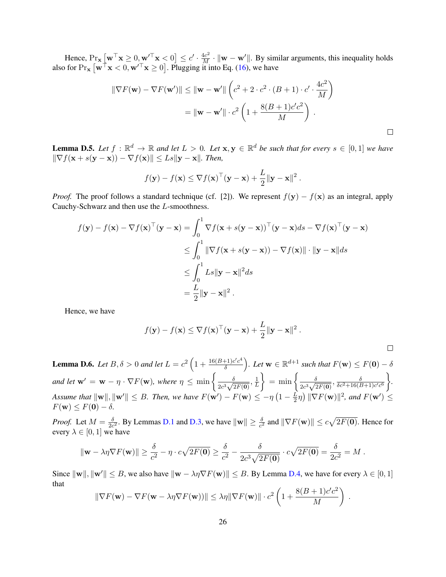Hence,  $Pr_{\mathbf{x}} [\mathbf{w}^{\top} \mathbf{x} \geq 0, \mathbf{w}^{\prime \top} \mathbf{x} \leq 0] \leq c' \cdot \frac{4c^2}{M} \cdot ||\mathbf{w} - \mathbf{w}^{\prime}||$ . By similar arguments, this inequality holds also for  $\Pr_{\mathbf{x}} [\mathbf{w}^\top \mathbf{x} < 0, \mathbf{w}'^\top \mathbf{x} \ge 0]$ . Plugging it into Eq. [\(16\)](#page-24-0), we have

$$
\|\nabla F(\mathbf{w}) - \nabla F(\mathbf{w}')\| \leq \|\mathbf{w} - \mathbf{w}'\| \left(c^2 + 2 \cdot c^2 \cdot (B + 1) \cdot c' \cdot \frac{4c^2}{M}\right)
$$

$$
= \|\mathbf{w} - \mathbf{w}'\| \cdot c^2 \left(1 + \frac{8(B + 1)c'c^2}{M}\right).
$$

<span id="page-25-0"></span>**Lemma D.5.** Let  $f : \mathbb{R}^d \to \mathbb{R}$  and let  $L > 0$ . Let  $\mathbf{x}, \mathbf{y} \in \mathbb{R}^d$  be such that for every  $s \in [0, 1]$  we have  $\|\nabla f(\mathbf{x} + s(\mathbf{y} - \mathbf{x})) - \nabla f(\mathbf{x})\| \leq Ls\|\mathbf{y} - \mathbf{x}\|$ . Then,

$$
f(\mathbf{y}) - f(\mathbf{x}) \le \nabla f(\mathbf{x})^\top (\mathbf{y} - \mathbf{x}) + \frac{L}{2} ||\mathbf{y} - \mathbf{x}||^2.
$$

*Proof.* The proof follows a standard technique (cf. [\[2\]](#page-10-8)). We represent  $f(y) - f(x)$  as an integral, apply Cauchy-Schwarz and then use the L-smoothness.

$$
f(\mathbf{y}) - f(\mathbf{x}) - \nabla f(\mathbf{x})^{\top}(\mathbf{y} - \mathbf{x}) = \int_0^1 \nabla f(\mathbf{x} + s(\mathbf{y} - \mathbf{x}))^{\top}(\mathbf{y} - \mathbf{x}) ds - \nabla f(\mathbf{x})^{\top}(\mathbf{y} - \mathbf{x})
$$
  
\n
$$
\leq \int_0^1 \|\nabla f(\mathbf{x} + s(\mathbf{y} - \mathbf{x})) - \nabla f(\mathbf{x})\| \cdot \|\mathbf{y} - \mathbf{x}\| ds
$$
  
\n
$$
\leq \int_0^1 Ls \|\mathbf{y} - \mathbf{x}\|^2 ds
$$
  
\n
$$
= \frac{L}{2} \|\mathbf{y} - \mathbf{x}\|^2.
$$

Hence, we have

$$
f(\mathbf{y}) - f(\mathbf{x}) \le \nabla f(\mathbf{x})^\top (\mathbf{y} - \mathbf{x}) + \frac{L}{2} ||\mathbf{y} - \mathbf{x}||^2
$$
.

<span id="page-25-1"></span>**Lemma D.6.** Let  $B, \delta > 0$  and let  $L = c^2 \left( 1 + \frac{16(B+1)c'c^4}{\delta} \right)$  $\left(\frac{f+1)c'c^4}{\delta}\right)$ *. Let*  $\mathbf{w}\in\mathbb{R}^{d+1}$  such that  $F(\mathbf{w})\leq F(\mathbf{0})-\delta$ *and let*  $\mathbf{w}' = \mathbf{w} - \eta \cdot \nabla F(\mathbf{w})$ *, where*  $\eta \le \min \left\{ \frac{\delta}{\gamma} \right\}$  $\frac{\delta}{2c^3\sqrt{2F(\mathbf{0})}},\frac{1}{L}$ L  $\left\{\right.=\min\left\{\frac{\delta}{\delta^2}\right\}$  $\frac{\delta}{2c^3\sqrt{2F({\bf 0})}}, \frac{\delta}{\delta c^2+16(B+1)c'c^6}$  *. Assume that*  $\|\mathbf{w}\|, \|\mathbf{w}'\| \leq B$ . *Then, we have*  $F(\mathbf{w}') - F(\mathbf{w}) \leq -\eta \left(1 - \frac{L}{2}\right)$  $(\frac{L}{2}\eta)$   $\|\nabla F(\mathbf{w})\|^2$ , and  $F(\mathbf{w}') \leq$  $F(\mathbf{w}) \leq F(\mathbf{0}) - \delta$ .

*Proof.* Let  $M = \frac{\delta}{2a}$  $\frac{\delta}{2c^2}$ . By Lemmas [D.1](#page-20-3) and [D.3,](#page-23-0) we have  $\|\mathbf{w}\| \ge \frac{\delta}{c^2}$  and  $\|\nabla F(\mathbf{w})\| \le c\sqrt{2F(\mathbf{0})}$ . Hence for every  $\lambda \in [0, 1]$  we have

$$
\|\mathbf{w} - \lambda \eta \nabla F(\mathbf{w})\| \ge \frac{\delta}{c^2} - \eta \cdot c\sqrt{2F(\mathbf{0})} \ge \frac{\delta}{c^2} - \frac{\delta}{2c^3\sqrt{2F(\mathbf{0})}} \cdot c\sqrt{2F(\mathbf{0})} = \frac{\delta}{2c^2} = M.
$$

Since  $\|\mathbf{w}\|, \|\mathbf{w}'\| \leq B$ , we also have  $\|\mathbf{w} - \lambda \eta \nabla F(\mathbf{w})\| \leq B$ . By Lemma [D.4,](#page-23-1) we have for every  $\lambda \in [0, 1]$ that

$$
\|\nabla F(\mathbf{w}) - \nabla F(\mathbf{w} - \lambda \eta \nabla F(\mathbf{w}))\| \leq \lambda \eta \|\nabla F(\mathbf{w})\| \cdot c^2 \left(1 + \frac{8(B+1)c'c^2}{M}\right).
$$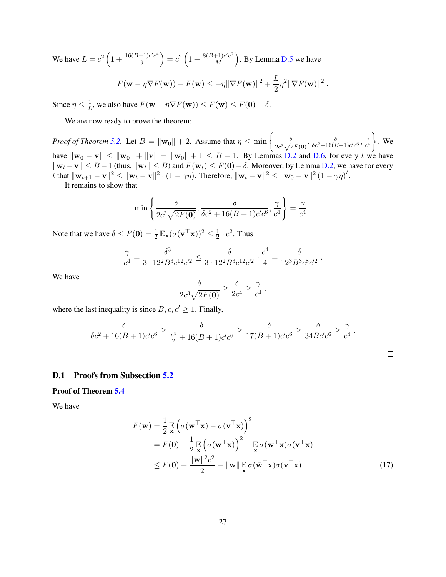We have  $L = c^2 \left( 1 + \frac{16(B+1)c'c^4}{\delta} \right)$  $\left(\frac{1}{\delta}\right)^{c'c^4}$  =  $c^2\left(1+\frac{8(B+1)c'c^2}{M}\right)$  $\frac{+1)c'c^2}{M}$ ). By Lemma [D.5](#page-25-0) we have  $F(\mathbf{w} - \eta \nabla F(\mathbf{w})) - F(\mathbf{w}) \leq -\eta \|\nabla F(\mathbf{w})\|^2 + \frac{L}{2}$  $\frac{L}{2}\eta^2 \|\nabla F(\mathbf{w})\|^2$ .

Since  $\eta \leq \frac{1}{l}$  $\frac{1}{L}$ , we also have  $F(\mathbf{w} - \eta \nabla F(\mathbf{w})) \leq F(\mathbf{w}) \leq F(\mathbf{0}) - \delta$ .

We are now ready to prove the theorem:

*Proof of Theorem [5.2.](#page-6-2)* Let  $B = ||\mathbf{w}_0|| + 2$ . Assume that  $\eta \le \min \left\{ \frac{\delta}{\gamma^3} \right\}$  $\frac{\delta}{2c^3\sqrt{2F({\bf 0})}}, \frac{\delta}{\delta c^2+16(B+1)c'c^6}, \frac{\gamma}{c^4}$  $\overline{c^4}$  $\Big\}$ . We have  $\|\mathbf{w}_0 - \mathbf{v}\| \le \|\mathbf{w}_0\| + \|\mathbf{v}\| = \|\mathbf{w}_0\| + 1 \le B - 1$ . By Lemmas [D.2](#page-21-2) and [D.6,](#page-25-1) for every t we have  $\|\mathbf{w}_t - \mathbf{v}\| \le B - 1$  (thus,  $\|\mathbf{w}_t\| \le B$ ) and  $F(\mathbf{w}_t) \le F(\mathbf{0}) - \delta$ . Moreover, by Lemma [D.2,](#page-21-2) we have for every t that  $\|\mathbf{w}_{t+1} - \mathbf{v}\|^2 \leq \|\mathbf{w}_t - \mathbf{v}\|^2 \cdot (1 - \gamma\eta)$ . Therefore,  $\|\mathbf{w}_t - \mathbf{v}\|^2 \leq \|\mathbf{w}_0 - \mathbf{v}\|^2 (1 - \gamma\eta)^t$ .

 $\Box$ 

<span id="page-26-1"></span> $\Box$ 

It remains to show that

$$
\min\left\{\frac{\delta}{2c^3\sqrt{2F(\mathbf{0})}},\frac{\delta}{\delta c^2+16(B+1)c'c^6},\frac{\gamma}{c^4}\right\}=\frac{\gamma}{c^4}.
$$

Note that we have  $\delta \leq F(\mathbf{0}) = \frac{1}{2} \mathbb{E}_{\mathbf{x}} (\sigma(\mathbf{v}^{\top} \mathbf{x}))^2 \leq \frac{1}{2}$  $\frac{1}{2} \cdot c^2$ . Thus

$$
\frac{\gamma}{c^4} = \frac{\delta^3}{3 \cdot 12^2 B^3 c^{12} c'^2} \leq \frac{\delta}{3 \cdot 12^2 B^3 c^{12} c'^2} \cdot \frac{c^4}{4} = \frac{\delta}{12^3 B^3 c^8 c'^2} \; .
$$

We have

$$
\frac{\delta}{2c^3\sqrt{2F(\mathbf{0})}} \ge \frac{\delta}{2c^4} \ge \frac{\gamma}{c^4} ,
$$

where the last inequality is since  $B, c, c' \geq 1$ . Finally,

$$
\frac{\delta}{\delta c^2 + 16(B+1)c'c^6} \ge \frac{\delta}{\frac{c^4}{2} + 16(B+1)c'c^6} \ge \frac{\delta}{17(B+1)c'c^6} \ge \frac{\delta}{34Bc'c^6} \ge \frac{\gamma}{c^4}.
$$

#### <span id="page-26-0"></span>D.1 Proofs from Subsection [5.2](#page-7-0)

Proof of Theorem [5.4](#page-7-2)

We have

$$
F(\mathbf{w}) = \frac{1}{2} \mathbb{E} \left( \sigma(\mathbf{w}^{\top} \mathbf{x}) - \sigma(\mathbf{v}^{\top} \mathbf{x}) \right)^2
$$
  
\n
$$
= F(\mathbf{0}) + \frac{1}{2} \mathbb{E} \left( \sigma(\mathbf{w}^{\top} \mathbf{x}) \right)^2 - \mathbb{E} \sigma(\mathbf{w}^{\top} \mathbf{x}) \sigma(\mathbf{v}^{\top} \mathbf{x})
$$
  
\n
$$
\leq F(\mathbf{0}) + \frac{\|\mathbf{w}\|^2 c^2}{2} - \|\mathbf{w}\| \mathbb{E} \sigma(\bar{\mathbf{w}}^{\top} \mathbf{x}) \sigma(\mathbf{v}^{\top} \mathbf{x}) .
$$
\n(17)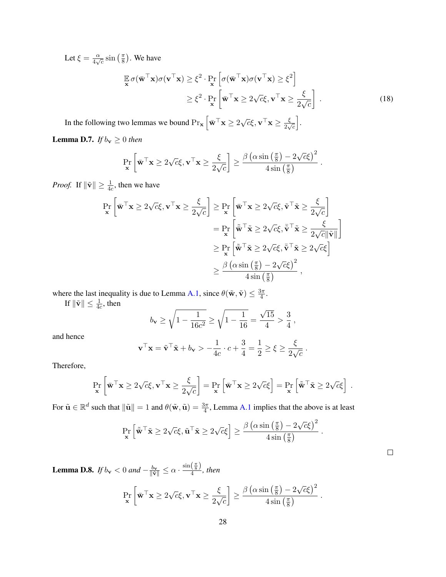Let  $\xi = \frac{\alpha}{4\pi}$  $\frac{\alpha}{4\sqrt{c}}\sin\left(\frac{\pi}{8}\right)$  $\frac{\pi}{8}$ ). We have

<span id="page-27-0"></span>
$$
\mathbb{E}_{\mathbf{x}} \sigma(\bar{\mathbf{w}}^{\top} \mathbf{x}) \sigma(\mathbf{v}^{\top} \mathbf{x}) \geq \xi^{2} \cdot \Pr_{\mathbf{x}} \left[ \sigma(\bar{\mathbf{w}}^{\top} \mathbf{x}) \sigma(\mathbf{v}^{\top} \mathbf{x}) \geq \xi^{2} \right] \geq \xi^{2} \cdot \Pr_{\mathbf{x}} \left[ \bar{\mathbf{w}}^{\top} \mathbf{x} \geq 2\sqrt{c}\xi, \mathbf{v}^{\top} \mathbf{x} \geq \frac{\xi}{2\sqrt{c}} \right].
$$
\n(18)

In the following two lemmas we bound  $\Pr_{\mathbf{x}} \left[ \bar{\mathbf{w}}^{\top} \mathbf{x} \ge 2 \sqrt{c} \xi, \mathbf{v}^{\top} \mathbf{x} \ge \frac{\xi}{2 \sqrt{c} \xi} \right]$  $\frac{\varsigma}{2\sqrt{c}}$ i .

<span id="page-27-1"></span>**Lemma D.7.** *If*  $b_v \ge 0$  *then* 

$$
\Pr_{\mathbf{x}}\left[\bar{\mathbf{w}}^{\top}\mathbf{x} \geq 2\sqrt{c}\xi, \mathbf{v}^{\top}\mathbf{x} \geq \frac{\xi}{2\sqrt{c}}\right] \geq \frac{\beta\left(\alpha\sin\left(\frac{\pi}{8}\right) - 2\sqrt{c}\xi\right)^{2}}{4\sin\left(\frac{\pi}{8}\right)}.
$$

*Proof.* If  $\|\tilde{\mathbf{v}}\| \ge \frac{1}{4c}$ , then we have

$$
\Pr_{\mathbf{x}}\left[\bar{\mathbf{w}}^{\top}\mathbf{x} \ge 2\sqrt{c}\xi, \mathbf{v}^{\top}\mathbf{x} \ge \frac{\xi}{2\sqrt{c}}\right] \ge \Pr_{\mathbf{x}}\left[\bar{\mathbf{w}}^{\top}\mathbf{x} \ge 2\sqrt{c}\xi, \tilde{\mathbf{v}}^{\top}\tilde{\mathbf{x}} \ge \frac{\xi}{2\sqrt{c}}\right]
$$
\n
$$
= \Pr_{\mathbf{x}}\left[\tilde{\mathbf{w}}^{\top}\tilde{\mathbf{x}} \ge 2\sqrt{c}\xi, \tilde{\mathbf{v}}^{\top}\tilde{\mathbf{x}} \ge \frac{\xi}{2\sqrt{c}\|\tilde{\mathbf{v}}\|}\right]
$$
\n
$$
\ge \Pr_{\mathbf{x}}\left[\tilde{\mathbf{w}}^{\top}\tilde{\mathbf{x}} \ge 2\sqrt{c}\xi, \tilde{\mathbf{v}}^{\top}\tilde{\mathbf{x}} \ge 2\sqrt{c}\xi\right]
$$
\n
$$
\ge \frac{\beta\left(\alpha\sin\left(\frac{\pi}{8}\right) - 2\sqrt{c}\xi\right)^{2}}{4\sin\left(\frac{\pi}{8}\right)},
$$

where the last inequality is due to Lemma [A.1,](#page-12-1) since  $\theta(\tilde{\mathbf{w}}, \tilde{\mathbf{v}}) \leq \frac{3\pi}{4}$  $\frac{3\pi}{4}$ .

If  $\|\tilde{\mathbf{v}}\| \leq \frac{1}{4c}$ , then

$$
b_{\mathbf{v}} \ge \sqrt{1 - \frac{1}{16c^2}} \ge \sqrt{1 - \frac{1}{16}} = \frac{\sqrt{15}}{4} > \frac{3}{4}
$$
,

and hence

$$
\mathbf{v}^\top \mathbf{x} = \tilde{\mathbf{v}}^\top \tilde{\mathbf{x}} + b_\mathbf{v} > -\frac{1}{4c} \cdot c + \frac{3}{4} = \frac{1}{2} \ge \xi \ge \frac{\xi}{2\sqrt{c}}.
$$

Therefore,

$$
\Pr_{\mathbf{x}}\left[\bar{\mathbf{w}}^{\top}\mathbf{x} \ge 2\sqrt{c}\xi, \mathbf{v}^{\top}\mathbf{x} \ge \frac{\xi}{2\sqrt{c}}\right] = \Pr_{\mathbf{x}}\left[\bar{\mathbf{w}}^{\top}\mathbf{x} \ge 2\sqrt{c}\xi\right] = \Pr_{\mathbf{x}}\left[\tilde{\mathbf{w}}^{\top}\tilde{\mathbf{x}} \ge 2\sqrt{c}\xi\right].
$$

For  $\tilde{\mathbf{u}} \in \mathbb{R}^d$  such that  $\|\tilde{\mathbf{u}}\| = 1$  and  $\theta(\tilde{\mathbf{w}}, \tilde{\mathbf{u}}) = \frac{3\pi}{4}$ , Lemma [A.1](#page-12-1) implies that the above is at least

$$
\Pr_{\mathbf{x}} \left[ \tilde{\bar{\mathbf{w}}}^{\top} \tilde{\mathbf{x}} \ge 2\sqrt{c} \xi, \tilde{\mathbf{u}}^{\top} \tilde{\mathbf{x}} \ge 2\sqrt{c} \xi \right] \ge \frac{\beta \left( \alpha \sin \left( \frac{\pi}{8} \right) - 2\sqrt{c} \xi \right)^2}{4 \sin \left( \frac{\pi}{8} \right)}.
$$

<span id="page-27-2"></span>**Lemma D.8.** *If*  $b_{\mathbf{v}} < 0$  *and*  $-\frac{b_{\mathbf{v}}}{\|\tilde{\mathbf{v}}\|} \leq \alpha \cdot \frac{\sin(\frac{\pi}{8})}{4}$  $\frac{\sqrt{8} \cdot l}{4}$ , then

$$
\Pr_{\mathbf{x}}\left[\bar{\mathbf{w}}^{\top}\mathbf{x} \geq 2\sqrt{c}\xi, \mathbf{v}^{\top}\mathbf{x} \geq \frac{\xi}{2\sqrt{c}}\right] \geq \frac{\beta\left(\alpha\sin\left(\frac{\pi}{8}\right) - 2\sqrt{c}\xi\right)^2}{4\sin\left(\frac{\pi}{8}\right)}.
$$

 $\Box$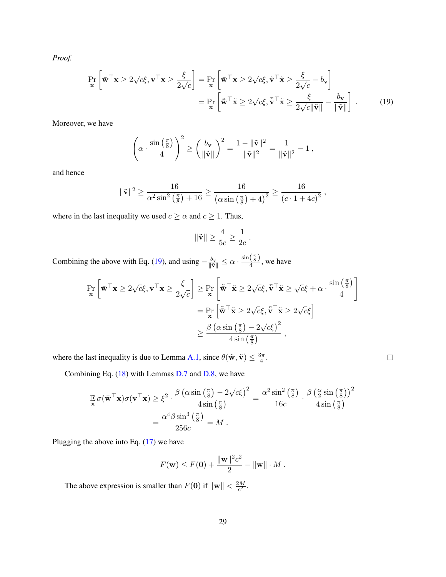*Proof.*

$$
\Pr_{\mathbf{x}}\left[\bar{\mathbf{w}}^{\top}\mathbf{x} \ge 2\sqrt{c}\xi, \mathbf{v}^{\top}\mathbf{x} \ge \frac{\xi}{2\sqrt{c}}\right] = \Pr_{\mathbf{x}}\left[\bar{\mathbf{w}}^{\top}\mathbf{x} \ge 2\sqrt{c}\xi, \tilde{\mathbf{v}}^{\top}\tilde{\mathbf{x}} \ge \frac{\xi}{2\sqrt{c}} - b_{\mathbf{v}}\right]
$$

$$
= \Pr_{\mathbf{x}}\left[\tilde{\bar{\mathbf{w}}}^{\top}\tilde{\mathbf{x}} \ge 2\sqrt{c}\xi, \tilde{\bar{\mathbf{v}}}^{\top}\tilde{\mathbf{x}} \ge \frac{\xi}{2\sqrt{c}\|\tilde{\mathbf{v}}\|} - \frac{b_{\mathbf{v}}}{\|\tilde{\mathbf{v}}\|}\right].
$$
(19)

Moreover, we have

$$
\left(\alpha\cdot\frac{\sin\left(\frac{\pi}{8}\right)}{4}\right)^2\geq\left(\frac{b_{\mathbf{v}}}{\|\tilde{\mathbf{v}}\|}\right)^2=\frac{1-\|\tilde{\mathbf{v}}\|^2}{\|\tilde{\mathbf{v}}\|^2}=\frac{1}{\|\tilde{\mathbf{v}}\|^2}-1\;,
$$

and hence

$$
\|\tilde{\mathbf{v}}\|^2 \ge \frac{16}{\alpha^2 \sin^2\left(\frac{\pi}{8}\right) + 16} \ge \frac{16}{\left(\alpha \sin\left(\frac{\pi}{8}\right) + 4\right)^2} \ge \frac{16}{\left(c \cdot 1 + 4c\right)^2},
$$

where in the last inequality we used  $c \ge \alpha$  and  $c \ge 1$ . Thus,

<span id="page-28-0"></span>
$$
\|\tilde{\mathbf{v}}\| \ge \frac{4}{5c} \ge \frac{1}{2c}.
$$

Combining the above with Eq. [\(19\)](#page-28-0), and using  $-\frac{b_v}{\|\tilde{v}\|} \le \alpha \cdot \frac{\sin(\frac{\pi}{8})}{4}$  $\frac{\sqrt{8}}{4}$ , we have

$$
\Pr_{\mathbf{x}}\left[\bar{\mathbf{w}}^{\top}\mathbf{x} \ge 2\sqrt{c}\xi, \mathbf{v}^{\top}\mathbf{x} \ge \frac{\xi}{2\sqrt{c}}\right] \ge \Pr_{\mathbf{x}}\left[\tilde{\mathbf{w}}^{\top}\tilde{\mathbf{x}} \ge 2\sqrt{c}\xi, \bar{\mathbf{v}}^{\top}\tilde{\mathbf{x}} \ge \sqrt{c}\xi + \alpha \cdot \frac{\sin\left(\frac{\pi}{8}\right)}{4}\right]
$$
\n
$$
= \Pr_{\mathbf{x}}\left[\tilde{\mathbf{w}}^{\top}\tilde{\mathbf{x}} \ge 2\sqrt{c}\xi, \bar{\mathbf{v}}^{\top}\tilde{\mathbf{x}} \ge 2\sqrt{c}\xi\right]
$$
\n
$$
\ge \frac{\beta\left(\alpha\sin\left(\frac{\pi}{8}\right) - 2\sqrt{c}\xi\right)^{2}}{4\sin\left(\frac{\pi}{8}\right)},
$$

 $\Box$ 

where the last inequality is due to Lemma [A.1,](#page-12-1) since  $\theta(\tilde{\mathbf{w}}, \tilde{\mathbf{v}}) \leq \frac{3\pi}{4}$  $\frac{3\pi}{4}$ .

Combining Eq. [\(18\)](#page-27-0) with Lemmas [D.7](#page-27-1) and [D.8,](#page-27-2) we have

$$
\mathbb{E}\,\sigma(\bar{\mathbf{w}}^{\top}\mathbf{x})\sigma(\mathbf{v}^{\top}\mathbf{x}) \geq \xi^{2} \cdot \frac{\beta(\alpha\sin\left(\frac{\pi}{8}\right) - 2\sqrt{c}\xi)^{2}}{4\sin\left(\frac{\pi}{8}\right)} = \frac{\alpha^{2}\sin^{2}\left(\frac{\pi}{8}\right)}{16c} \cdot \frac{\beta\left(\frac{\alpha}{2}\sin\left(\frac{\pi}{8}\right)\right)^{2}}{4\sin\left(\frac{\pi}{8}\right)}
$$

$$
= \frac{\alpha^{4}\beta\sin^{3}\left(\frac{\pi}{8}\right)}{256c} = M.
$$

Plugging the above into Eq.  $(17)$  we have

$$
F(\mathbf{w}) \le F(\mathbf{0}) + \frac{\|\mathbf{w}\|^2 c^2}{2} - \|\mathbf{w}\| \cdot M.
$$

The above expression is smaller than  $F(0)$  if  $\|\mathbf{w}\| < \frac{2M}{c^2}$  $\frac{2M}{c^2}$ .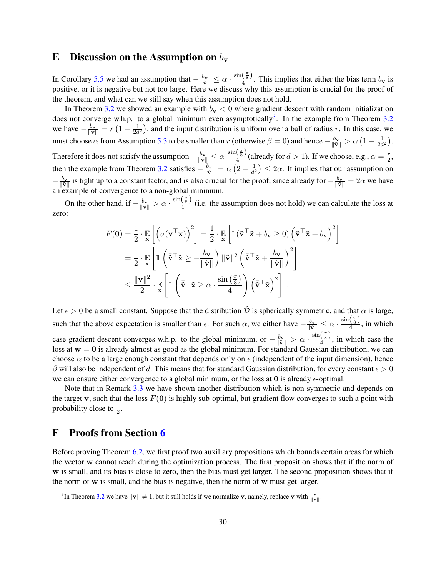### <span id="page-29-0"></span>E Discussion on the Assumption on  $b_{\mathbf{v}}$

In Corollary [5.5](#page-7-3) we had an assumption that  $-\frac{b_v}{\|\vec{v}\|} \le \alpha \cdot \frac{\sin(\frac{\pi}{8})}{4}$  $\frac{8}{4}$ . This implies that either the bias term  $b_{\mathbf{v}}$  is positive, or it is negative but not too large. Here we discuss why this assumption is crucial for the proof of the theorem, and what can we still say when this assumption does not hold.

In Theorem [3.2](#page-4-1) we showed an example with  $b_v < 0$  where gradient descent with random initialization does not converge w.h.p. to a global minimum even asymptotically<sup>[3](#page-29-2)</sup>. In the example from Theorem [3.2](#page-4-1) we have  $-\frac{b_v}{\|\tilde{\mathbf{v}}\|} = r \left(1 - \frac{1}{2d}\right)$  $\frac{1}{2d^2}$ ), and the input distribution is uniform over a ball of radius r. In this case, we must choose  $\alpha$  from Assumption [5.3](#page-7-1) to be smaller than r (otherwise  $\beta = 0$ ) and hence  $-\frac{b_v}{\|\tilde{v}\|} > \alpha \left(1 - \frac{1}{2d}\right)$  $\frac{1}{2d^2}\Big).$ Therefore it does not satisfy the assumption  $-\frac{b_v}{\|\tilde{v}\|} \le \alpha \cdot \frac{\sin(\frac{\pi}{8})}{4}$  $\frac{\left(\frac{8}{8}\right)}{4}$  (already for  $d > 1$ ). If we choose, e.g.,  $\alpha = \frac{r}{2}$  $\frac{r}{2}$ then the example from Theorem [3.2](#page-4-1) satisfies  $-\frac{b_v}{\|\tilde{v}\|} = \alpha \left(2 - \frac{1}{d^2}\right)$  $\frac{1}{d^2}$ )  $\leq 2\alpha$ . It implies that our assumption on  $-\frac{b_v}{\|\tilde{v}\|}$  is tight up to a constant factor, and is also crucial for the proof, since already for  $-\frac{b_v}{\|\tilde{v}\|} = 2\alpha$  we have an example of convergence to a non-global minimum.

On the other hand, if  $-\frac{b_v}{\|\tilde{v}\|} > \alpha \cdot \frac{\sin(\frac{\pi}{8})}{4}$  $\frac{4}{4}$  (i.e. the assumption does not hold) we can calculate the loss at zero:

$$
F(\mathbf{0}) = \frac{1}{2} \cdot \mathbb{E}_{\mathbf{x}} \left[ \left( \sigma(\mathbf{v}^\top \mathbf{x}) \right)^2 \right] = \frac{1}{2} \cdot \mathbb{E}_{\mathbf{x}} \left[ \mathbb{1} (\tilde{\mathbf{v}}^\top \tilde{\mathbf{x}} + b_{\mathbf{v}} \ge 0) \left( \tilde{\mathbf{v}}^\top \tilde{\mathbf{x}} + b_{\mathbf{v}} \right)^2 \right]
$$
  
=  $\frac{1}{2} \cdot \mathbb{E}_{\mathbf{x}} \left[ \mathbb{1} \left( \bar{\tilde{\mathbf{v}}}^\top \tilde{\mathbf{x}} \ge -\frac{b_{\mathbf{v}}}{\|\tilde{\mathbf{v}}\|} \right) \|\tilde{\mathbf{v}}\|^2 \left( \bar{\tilde{\mathbf{v}}}^\top \tilde{\mathbf{x}} + \frac{b_{\mathbf{v}}}{\|\tilde{\mathbf{v}}\|} \right)^2 \right] \leq \frac{\|\tilde{\mathbf{v}}\|^2}{2} \cdot \mathbb{E}_{\mathbf{x}} \left[ \mathbb{1} \left( \bar{\tilde{\mathbf{v}}}^\top \tilde{\mathbf{x}} \ge \alpha \cdot \frac{\sin(\frac{\pi}{8})}{4} \right) \left( \bar{\tilde{\mathbf{v}}}^\top \tilde{\mathbf{x}} \right)^2 \right].$ 

Let  $\epsilon > 0$  be a small constant. Suppose that the distribution  $\tilde{D}$  is spherically symmetric, and that  $\alpha$  is large, such that the above expectation is smaller than  $\epsilon$ . For such  $\alpha$ , we either have  $-\frac{b_v}{\|\tilde{v}\|} \le \alpha \cdot \frac{\sin(\frac{\pi}{8})}{4}$  $\frac{\sqrt{8}}{4}$ , in which case gradient descent converges w.h.p. to the global minimum, or  $-\frac{b_v}{\|\vec{v}\|} > \alpha \cdot \frac{\sin(\frac{\pi}{8})}{4}$  $\frac{\sqrt{8}}{4}$ , in which case the loss at  $w = 0$  is already almost as good as the global minimum. For standard Gaussian distribution, we can choose  $\alpha$  to be a large enough constant that depends only on  $\epsilon$  (independent of the input dimension), hence  $\beta$  will also be independent of d. This means that for standard Gaussian distribution, for every constant  $\epsilon > 0$ we can ensure either convergence to a global minimum, or the loss at 0 is already  $\epsilon$ -optimal.

Note that in Remark [3.3](#page-4-2) we have shown another distribution which is non-symmetric and depends on the target v, such that the loss  $F(0)$  is highly sub-optimal, but gradient flow converges to such a point with probability close to  $\frac{1}{2}$ .

## <span id="page-29-1"></span>F Proofs from Section [6](#page-8-0)

Before proving Theorem [6.2,](#page-9-2) we first proof two auxiliary propositions which bounds certain areas for which the vector w cannot reach during the optimization process. The first proposition shows that if the norm of  $\tilde{w}$  is small, and its bias is close to zero, then the bias must get larger. The second proposition shows that if the norm of  $\tilde{w}$  is small, and the bias is negative, then the norm of  $\tilde{w}$  must get larger.

<span id="page-29-2"></span><sup>&</sup>lt;sup>3</sup>In Theorem [3.2](#page-4-1) we have  $\|\mathbf{v}\| \neq 1$ , but it still holds if we normalize **v**, namely, replace **v** with  $\frac{\mathbf{v}}{\|\mathbf{v}\|}$ .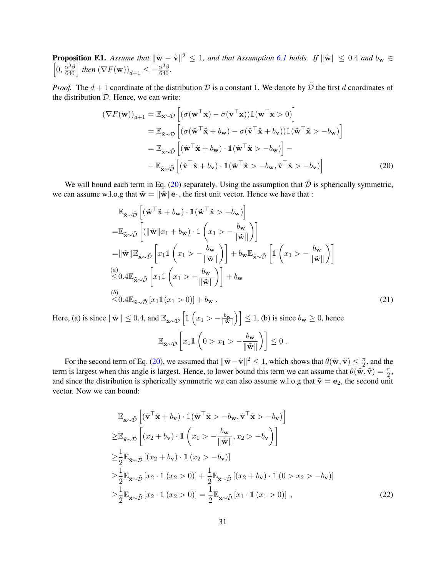<span id="page-30-3"></span>**Proposition F.1.** Assume that  $\|\tilde{\mathbf{w}} - \tilde{\mathbf{v}}\|^2 \leq 1$ , and that Assumption [6.1](#page-8-2) holds. If  $\|\tilde{\mathbf{w}}\| \leq 0.4$  and  $b_{\mathbf{w}} \in$  $\left[0, \frac{\alpha^3 \beta}{640}\right]$  then  $(\nabla F(\mathbf{w}))_{d+1} \leq -\frac{\alpha^3 \beta}{640}$ .

*Proof.* The  $d + 1$  coordinate of the distribution  $D$  is a constant 1. We denote by  $\tilde{D}$  the first d coordinates of the distribution  $D$ . Hence, we can write:

$$
(\nabla F(\mathbf{w}))_{d+1} = \mathbb{E}_{\mathbf{x}\sim\mathcal{D}} \left[ (\sigma(\mathbf{w}^{\top}\mathbf{x}) - \sigma(\mathbf{v}^{\top}\mathbf{x})) \mathbb{1}(\mathbf{w}^{\top}\mathbf{x} > 0) \right]
$$
  
\n
$$
= \mathbb{E}_{\tilde{\mathbf{x}}\sim\tilde{\mathcal{D}}} \left[ (\sigma(\tilde{\mathbf{w}}^{\top}\tilde{\mathbf{x}} + b_{\mathbf{w}}) - \sigma(\tilde{\mathbf{v}}^{\top}\tilde{\mathbf{x}} + b_{\mathbf{v}})) \mathbb{1}(\tilde{\mathbf{w}}^{\top}\tilde{\mathbf{x}} > -b_{\mathbf{w}}) \right]
$$
  
\n
$$
= \mathbb{E}_{\tilde{\mathbf{x}}\sim\tilde{\mathcal{D}}} \left[ (\tilde{\mathbf{w}}^{\top}\tilde{\mathbf{x}} + b_{\mathbf{w}}) \cdot \mathbb{1}(\tilde{\mathbf{w}}^{\top}\tilde{\mathbf{x}} > -b_{\mathbf{w}}) \right] -
$$
  
\n
$$
- \mathbb{E}_{\tilde{\mathbf{x}}\sim\tilde{\mathcal{D}}} \left[ (\tilde{\mathbf{v}}^{\top}\tilde{\mathbf{x}} + b_{\mathbf{v}}) \cdot \mathbb{1}(\tilde{\mathbf{w}}^{\top}\tilde{\mathbf{x}} > -b_{\mathbf{w}}, \tilde{\mathbf{v}}^{\top}\tilde{\mathbf{x}} > -b_{\mathbf{v}}) \right]
$$
(20)

We will bound each term in Eq. [\(20\)](#page-30-0) separately. Using the assumption that  $\tilde{\mathcal{D}}$  is spherically symmetric, we can assume w.l.o.g that  $\tilde{\mathbf{w}} = \|\tilde{\mathbf{w}}\| \mathbf{e}_1$ , the first unit vector. Hence we have that :

<span id="page-30-1"></span><span id="page-30-0"></span>
$$
\mathbb{E}_{\tilde{\mathbf{x}} \sim \tilde{\mathcal{D}}} \left[ (\tilde{\mathbf{w}}^{\top} \tilde{\mathbf{x}} + b_{\mathbf{w}}) \cdot \mathbb{1} (\tilde{\mathbf{w}}^{\top} \tilde{\mathbf{x}} > -b_{\mathbf{w}}) \right]
$$
\n
$$
= \mathbb{E}_{\tilde{\mathbf{x}} \sim \tilde{\mathcal{D}}} \left[ (\|\tilde{\mathbf{w}}\|x_1 + b_{\mathbf{w}}) \cdot \mathbb{1} \left( x_1 > -\frac{b_{\mathbf{w}}}{\|\tilde{\mathbf{w}}\|} \right) \right]
$$
\n
$$
= \|\tilde{\mathbf{w}}\| \mathbb{E}_{\tilde{\mathbf{x}} \sim \tilde{\mathcal{D}}} \left[ x_1 \mathbb{1} \left( x_1 > -\frac{b_{\mathbf{w}}}{\|\tilde{\mathbf{w}}\|} \right) \right] + b_{\mathbf{w}} \mathbb{E}_{\tilde{\mathbf{x}} \sim \tilde{\mathcal{D}}} \left[ \mathbb{1} \left( x_1 > -\frac{b_{\mathbf{w}}}{\|\tilde{\mathbf{w}}\|} \right) \right]
$$
\n
$$
\stackrel{(a)}{\leq} 0.4 \mathbb{E}_{\tilde{\mathbf{x}} \sim \tilde{\mathcal{D}}} \left[ x_1 \mathbb{1} \left( x_1 > -\frac{b_{\mathbf{w}}}{\|\tilde{\mathbf{w}}\|} \right) \right] + b_{\mathbf{w}}
$$
\n
$$
\stackrel{(b)}{\leq} 0.4 \mathbb{E}_{\tilde{\mathbf{x}} \sim \tilde{\mathcal{D}}} \left[ x_1 \mathbb{1} (x_1 > 0) \right] + b_{\mathbf{w}} .
$$
\n(21)

Here, (a) is since  $\|\tilde{\mathbf{w}}\| \le 0.4$ , and  $\mathbb{E}_{\tilde{\mathbf{x}} \sim \tilde{\mathcal{D}}}\left[\mathbb{1}\left(x_1 > -\frac{b_{\mathbf{w}}}{\|\tilde{\mathbf{w}}\|}\right)\right] \le 1$ , (b) is since  $b_{\mathbf{w}} \ge 0$ , hence  $\mathbb{E}_{\tilde{\mathbf{x}} \sim \tilde{\mathcal{D}}} \left[ x_1 \mathbb{1} \left( 0 > x_1 > - \frac{b_{\mathbf{w}}}{\|\tilde{\mathbf{w}}\|} \right) \right]$  $\left\vert \frac{b_{\mathbf{w}}}{\|\tilde{\mathbf{w}}\|}\right\rangle \bigg\vert \leq 0.$ 

For the second term of Eq. (20), we assumed that 
$$
\|\tilde{\mathbf{w}} - \tilde{\mathbf{v}}\|^2 \le 1
$$
, which shows that  $\theta(\tilde{\mathbf{w}}, \tilde{\mathbf{v}}) \le \frac{\pi}{2}$ , and the term is largest when this angle is largest. Hence, to lower bound this term we can assume that  $\theta(\tilde{\mathbf{w}}, \tilde{\mathbf{v}}) = \frac{\pi}{2}$ , and since the distribution is spherically symmetric we can also assume w.l.o.g that  $\tilde{\mathbf{v}} = \mathbf{e}_2$ , the second unit vector. Now we can bound:

<span id="page-30-2"></span>
$$
\mathbb{E}_{\tilde{\mathbf{x}} \sim \tilde{\mathcal{D}}} \left[ (\tilde{\mathbf{v}}^{\top} \tilde{\mathbf{x}} + b_{\mathbf{v}}) \cdot \mathbb{1} (\tilde{\mathbf{w}}^{\top} \tilde{\mathbf{x}} > -b_{\mathbf{w}}, \tilde{\mathbf{v}}^{\top} \tilde{\mathbf{x}} > -b_{\mathbf{v}}) \right]
$$
\n
$$
\geq \mathbb{E}_{\tilde{\mathbf{x}} \sim \tilde{\mathcal{D}}} \left[ (x_2 + b_{\mathbf{v}}) \cdot \mathbb{1} \left( x_1 > -\frac{b_{\mathbf{w}}}{\|\tilde{\mathbf{w}}\|}, x_2 > -b_{\mathbf{v}} \right) \right]
$$
\n
$$
\geq \frac{1}{2} \mathbb{E}_{\tilde{\mathbf{x}} \sim \tilde{\mathcal{D}}} \left[ (x_2 + b_{\mathbf{v}}) \cdot \mathbb{1} \left( x_2 > -b_{\mathbf{v}} \right) \right]
$$
\n
$$
\geq \frac{1}{2} \mathbb{E}_{\tilde{\mathbf{x}} \sim \tilde{\mathcal{D}}} \left[ x_2 \cdot \mathbb{1} \left( x_2 > 0 \right) \right] + \frac{1}{2} \mathbb{E}_{\tilde{\mathbf{x}} \sim \tilde{\mathcal{D}}} \left[ (x_2 + b_{\mathbf{v}}) \cdot \mathbb{1} \left( 0 > x_2 > -b_{\mathbf{v}} \right) \right]
$$
\n
$$
\geq \frac{1}{2} \mathbb{E}_{\tilde{\mathbf{x}} \sim \tilde{\mathcal{D}}} \left[ x_2 \cdot \mathbb{1} \left( x_2 > 0 \right) \right] = \frac{1}{2} \mathbb{E}_{\tilde{\mathbf{x}} \sim \tilde{\mathcal{D}}} \left[ x_1 \cdot \mathbb{1} \left( x_1 > 0 \right) \right], \tag{22}
$$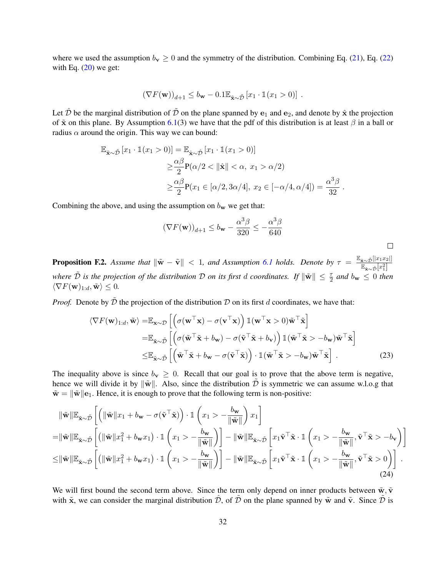where we used the assumption  $b_v \ge 0$  and the symmetry of the distribution. Combining Eq. [\(21\)](#page-30-1), Eq. [\(22\)](#page-30-2) with Eq.  $(20)$  we get:

$$
(\nabla F(\mathbf{w}))_{d+1} \le b_{\mathbf{w}} - 0.1 \mathbb{E}_{\tilde{\mathbf{x}} \sim \tilde{\mathcal{D}}} [x_1 \cdot \mathbb{1}(x_1 > 0)].
$$

Let  $\hat{\mathcal{D}}$  be the marginal distribution of  $\tilde{\mathcal{D}}$  on the plane spanned by e<sub>1</sub> and e<sub>2</sub>, and denote by  $\hat{\mathbf{x}}$  the projection of  $\tilde{x}$  on this plane. By Assumption [6.1\(](#page-8-2)3) we have that the pdf of this distribution is at least  $\beta$  in a ball or radius  $\alpha$  around the origin. This way we can bound:

$$
\mathbb{E}_{\tilde{\mathbf{x}} \sim \tilde{\mathcal{D}}} [x_1 \cdot \mathbb{1}(x_1 > 0)] = \mathbb{E}_{\hat{\mathbf{x}} \sim \hat{\mathcal{D}}} [x_1 \cdot \mathbb{1}(x_1 > 0)]
$$
  
\n
$$
\geq \frac{\alpha \beta}{2} \mathbf{P}(\alpha/2 < ||\hat{\mathbf{x}}|| < \alpha, x_1 > \alpha/2)
$$
  
\n
$$
\geq \frac{\alpha \beta}{2} \mathbf{P}(x_1 \in [\alpha/2, 3\alpha/4], x_2 \in [-\alpha/4, \alpha/4]) = \frac{\alpha^3 \beta}{32}.
$$

Combining the above, and using the assumption on  $b_w$  we get that:

$$
(\nabla F(\mathbf{w}))_{d+1} \le b_{\mathbf{w}} - \frac{\alpha^3 \beta}{320} \le -\frac{\alpha^3 \beta}{640}
$$

<span id="page-31-0"></span> $\Box$ 

<span id="page-31-1"></span>**Proposition F.2.** Assume that  $\|\tilde{\mathbf{w}} - \tilde{\mathbf{v}}\| < 1$ , and Assumption [6.1](#page-8-2) holds. Denote by  $\tau = \frac{\mathbb{E}_{\tilde{\mathbf{x}} \sim \tilde{\mathcal{D}}} [|x_1 x_2|]}{\mathbb{E}_{\tilde{\mathbf{x}} \sim \mathbb{E}_{\tilde{\mathbf{x}}}}[x_1 x_2]}$  $\mathbb{E}_{\tilde{\mathbf{x}} \sim \tilde{\mathcal{D}}} \bigl[ x_1^2 \bigr]$ where  $\tilde{\cal D}$  *is the projection of the distribution*  ${\cal D}$  *on its first d coordinates. If*  $\|\tilde{{\bf w}}\| \leq \frac{\tau}{2}$  *and*  $b_{\bf w} \leq 0$  *then*  $\langle \nabla F(\mathbf{w})_{1:d}, \tilde{\mathbf{w}} \rangle \leq 0.$ 

*Proof.* Denote by  $\tilde{\mathcal{D}}$  the projection of the distribution  $\mathcal{D}$  on its first d coordinates, we have that:

$$
\langle \nabla F(\mathbf{w})_{1:d}, \tilde{\mathbf{w}} \rangle = \mathbb{E}_{\mathbf{x} \sim \mathcal{D}} \left[ \left( \sigma(\mathbf{w}^{\top} \mathbf{x}) - \sigma(\mathbf{v}^{\top} \mathbf{x}) \right) \mathbb{1}(\mathbf{w}^{\top} \mathbf{x} > 0) \tilde{\mathbf{w}}^{\top} \tilde{\mathbf{x}} \right]
$$
  
\n
$$
= \mathbb{E}_{\tilde{\mathbf{x}} \sim \tilde{\mathcal{D}}} \left[ \left( \sigma(\tilde{\mathbf{w}}^{\top} \tilde{\mathbf{x}} + b_{\mathbf{w}}) - \sigma(\tilde{\mathbf{v}}^{\top} \tilde{\mathbf{x}} + b_{\mathbf{v}}) \right) \mathbb{1}(\tilde{\mathbf{w}}^{\top} \tilde{\mathbf{x}} > -b_{\mathbf{w}}) \tilde{\mathbf{w}}^{\top} \tilde{\mathbf{x}} \right]
$$
  
\n
$$
\leq \mathbb{E}_{\tilde{\mathbf{x}} \sim \tilde{\mathcal{D}}} \left[ \left( \tilde{\mathbf{w}}^{\top} \tilde{\mathbf{x}} + b_{\mathbf{w}} - \sigma(\tilde{\mathbf{v}}^{\top} \tilde{\mathbf{x}}) \right) \cdot \mathbb{1}(\tilde{\mathbf{w}}^{\top} \tilde{\mathbf{x}} > -b_{\mathbf{w}}) \tilde{\mathbf{w}}^{\top} \tilde{\mathbf{x}} \right].
$$
\n(23)

The inequality above is since  $b_v \ge 0$ . Recall that our goal is to prove that the above term is negative, hence we will divide it by  $\|\tilde{\mathbf{w}}\|$ . Also, since the distribution  $\tilde{\mathcal{D}}$  is symmetric we can assume w.l.o.g that  $\tilde{\mathbf{w}} = \|\tilde{\mathbf{w}}\| \mathbf{e}_1$ . Hence, it is enough to prove that the following term is non-positive:

$$
\begin{split}\n& \|\tilde{\mathbf{w}}\| \mathbb{E}_{\tilde{\mathbf{x}} \sim \tilde{\mathcal{D}}} \left[ \left( \|\tilde{\mathbf{w}}\| x_1 + b_{\mathbf{w}} - \sigma(\tilde{\mathbf{v}}^\top \tilde{\mathbf{x}}) \right) \cdot \mathbb{1} \left( x_1 > -\frac{b_{\mathbf{w}}}{\|\tilde{\mathbf{w}}\|} \right) x_1 \right] \\
& = & \|\tilde{\mathbf{w}}\| \mathbb{E}_{\tilde{\mathbf{x}} \sim \tilde{\mathcal{D}}} \left[ \left( \|\tilde{\mathbf{w}}\| x_1^2 + b_{\mathbf{w}} x_1 \right) \cdot \mathbb{1} \left( x_1 > -\frac{b_{\mathbf{w}}}{\|\tilde{\mathbf{w}}\|} \right) \right] - \|\tilde{\mathbf{w}}\| \mathbb{E}_{\tilde{\mathbf{x}} \sim \tilde{\mathcal{D}}} \left[ x_1 \tilde{\mathbf{v}}^\top \tilde{\mathbf{x}} \cdot \mathbb{1} \left( x_1 > -\frac{b_{\mathbf{w}}}{\|\tilde{\mathbf{w}}\|}, \tilde{\mathbf{v}}^\top \tilde{\mathbf{x}} > -b_{\mathbf{v}} \right) \right] \\
& \leq & \|\tilde{\mathbf{w}}\| \mathbb{E}_{\tilde{\mathbf{x}} \sim \tilde{\mathcal{D}}} \left[ \left( \|\tilde{\mathbf{w}}\| x_1^2 + b_{\mathbf{w}} x_1 \right) \cdot \mathbb{1} \left( x_1 > -\frac{b_{\mathbf{w}}}{\|\tilde{\mathbf{w}}\|} \right) \right] - \|\tilde{\mathbf{w}}\| \mathbb{E}_{\tilde{\mathbf{x}} \sim \tilde{\mathcal{D}}} \left[ x_1 \tilde{\mathbf{v}}^\top \tilde{\mathbf{x}} \cdot \mathbb{1} \left( x_1 > -\frac{b_{\mathbf{w}}}{\|\tilde{\mathbf{w}}\|}, \tilde{\mathbf{v}}^\top \tilde{\mathbf{x}} > 0 \right) \right].\n\end{split} \tag{24}
$$

We will first bound the second term above. Since the term only depend on inner products between  $\tilde{\mathbf{w}}, \tilde{\mathbf{v}}$ with  $\tilde{x}$ , we can consider the marginal distribution  $\hat{D}$ , of  $\tilde{D}$  on the plane spanned by  $\tilde{w}$  and  $\tilde{v}$ . Since  $\tilde{D}$  is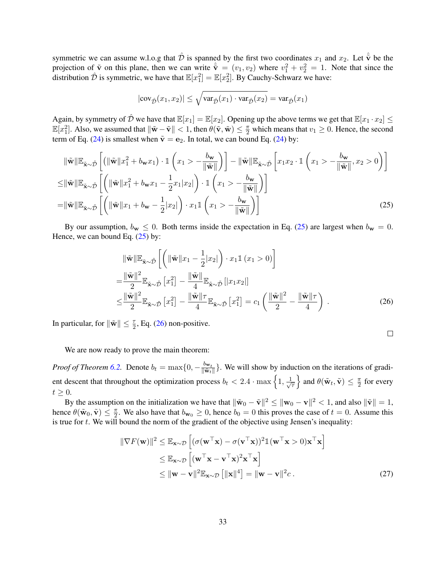symmetric we can assume w.l.o.g that  $\hat{\mathcal{D}}$  is spanned by the first two coordinates  $x_1$  and  $x_2$ . Let  $\hat{\tilde{\mathbf{v}}}$  be the projection of  $\tilde{\mathbf{v}}$  on this plane, then we can write  $\hat{\tilde{\mathbf{v}}} = (v_1, v_2)$  where  $v_1^2 + v_2^2 = 1$ . Note that since the distribution  $\hat{\mathcal{D}}$  is symmetric, we have that  $\mathbb{E}[x_1^2] = \mathbb{E}[x_2^2]$ . By Cauchy-Schwarz we have:

$$
|\text{cov}_{\hat{\mathcal{D}}}(x_1, x_2)| \leq \sqrt{\text{var}_{\hat{\mathcal{D}}}(x_1) \cdot \text{var}_{\hat{\mathcal{D}}}(x_2)} = \text{var}_{\hat{\mathcal{D}}}(x_1)
$$

Again, by symmetry of  $\hat{\mathcal{D}}$  we have that  $\mathbb{E}[x_1] = \mathbb{E}[x_2]$ . Opening up the above terms we get that  $\mathbb{E}[x_1 \cdot x_2] \leq$  $\mathbb{E}[x_1^2]$ . Also, we assumed that  $\|\tilde{\mathbf{w}} - \tilde{\mathbf{v}}\| < 1$ , then  $\theta(\tilde{\mathbf{v}}, \tilde{\mathbf{w}}) \leq \frac{\pi}{2}$  which means that  $v_1 \geq 0$ . Hence, the second term of Eq. [\(24\)](#page-31-0) is smallest when  $\tilde{\mathbf{v}} = \mathbf{e}_2$ . In total, we can bound Eq. (24) by:

$$
\|\tilde{\mathbf{w}}\| \mathbb{E}_{\tilde{\mathbf{x}} \sim \tilde{\mathcal{D}}} \left[ \left( \|\tilde{\mathbf{w}}\| x_1^2 + b_{\mathbf{w}} x_1 \right) \cdot \mathbb{1} \left( x_1 > -\frac{b_{\mathbf{w}}}{\|\tilde{\mathbf{w}}\|} \right) \right] - \|\tilde{\mathbf{w}}\| \mathbb{E}_{\tilde{\mathbf{x}} \sim \tilde{\mathcal{D}}} \left[ x_1 x_2 \cdot \mathbb{1} \left( x_1 > -\frac{b_{\mathbf{w}}}{\|\tilde{\mathbf{w}}\|}, x_2 > 0 \right) \right]
$$
  
\n
$$
\leq \|\tilde{\mathbf{w}}\| \mathbb{E}_{\tilde{\mathbf{x}} \sim \tilde{\mathcal{D}}} \left[ \left( \|\tilde{\mathbf{w}}\| x_1^2 + b_{\mathbf{w}} x_1 - \frac{1}{2} x_1 |x_2| \right) \cdot \mathbb{1} \left( x_1 > -\frac{b_{\mathbf{w}}}{\|\tilde{\mathbf{w}}\|} \right) \right]
$$
  
\n
$$
= \|\tilde{\mathbf{w}}\| \mathbb{E}_{\tilde{\mathbf{x}} \sim \tilde{\mathcal{D}}} \left[ \left( \|\tilde{\mathbf{w}}\| x_1 + b_{\mathbf{w}} - \frac{1}{2} |x_2| \right) \cdot x_1 \mathbb{1} \left( x_1 > -\frac{b_{\mathbf{w}}}{\|\tilde{\mathbf{w}}\|} \right) \right]
$$
(25)

By our assumption,  $b_w \le 0$ . Both terms inside the expectation in Eq. [\(25\)](#page-32-0) are largest when  $b_w = 0$ . Hence, we can bound Eq.  $(25)$  by:

$$
\|\tilde{\mathbf{w}}\|\mathbb{E}_{\tilde{\mathbf{x}} \sim \tilde{\mathcal{D}}}\left[\left(\|\tilde{\mathbf{w}}\|x_1 - \frac{1}{2}|x_2|\right) \cdot x_1 \mathbb{1}\left(x_1 > 0\right)\right]
$$
\n
$$
= \frac{\|\tilde{\mathbf{w}}\|^2}{2} \mathbb{E}_{\tilde{\mathbf{x}} \sim \tilde{\mathcal{D}}}\left[x_1^2\right] - \frac{\|\tilde{\mathbf{w}}\|}{4} \mathbb{E}_{\tilde{\mathbf{x}} \sim \tilde{\mathcal{D}}}\left[|x_1 x_2|\right]
$$
\n
$$
\leq \frac{\|\tilde{\mathbf{w}}\|^2}{2} \mathbb{E}_{\tilde{\mathbf{x}} \sim \tilde{\mathcal{D}}}\left[x_1^2\right] - \frac{\|\tilde{\mathbf{w}}\| \tau}{4} \mathbb{E}_{\tilde{\mathbf{x}} \sim \tilde{\mathcal{D}}}\left[x_1^2\right] = c_1 \left(\frac{\|\tilde{\mathbf{w}}\|^2}{2} - \frac{\|\tilde{\mathbf{w}}\|\tau}{4}\right) .
$$
\n(26)

In particular, for  $\|\tilde{\mathbf{w}}\| \leq \frac{\tau}{2}$ , Eq. [\(26\)](#page-32-1) non-positive.

<span id="page-32-2"></span><span id="page-32-1"></span><span id="page-32-0"></span>
$$
\Box
$$

We are now ready to prove the main theorem:

*Proof of Theorem [6.2.](#page-9-2)* Denote  $b_t = \max\{0, -\frac{b_{\mathbf{w}_t}}{\|\tilde{\mathbf{w}}_t\|}$  $\frac{\partial w_t}{\|\tilde{w}_t\|}$ . We will show by induction on the iterations of gradient descent that throughout the optimization process  $b_t < 2.4 \cdot \max\left\{1, \frac{1}{\sqrt{2}}\right\}$ τ } and  $\theta(\tilde{\mathbf{w}}_t, \tilde{\mathbf{v}}) \leq \frac{\pi}{2}$  $\frac{\pi}{2}$  for every  $t \geq 0$ .

By the assumption on the initialization we have that  $\|\tilde{\mathbf{w}}_0 - \tilde{\mathbf{v}}\|^2 \leq \|\mathbf{w}_0 - \mathbf{v}\|^2 < 1$ , and also  $\|\tilde{\mathbf{v}}\| = 1$ , hence  $\theta(\tilde{\mathbf{w}}_0, \tilde{\mathbf{v}}) \leq \frac{\pi}{2}$  $\frac{\pi}{2}$ . We also have that  $b_{\mathbf{w}_0} \ge 0$ , hence  $b_0 = 0$  this proves the case of  $t = 0$ . Assume this is true for  $t$ . We will bound the norm of the gradient of the objective using Jensen's inequality:

$$
\|\nabla F(\mathbf{w})\|^2 \le \mathbb{E}_{\mathbf{x} \sim \mathcal{D}} \left[ (\sigma(\mathbf{w}^\top \mathbf{x}) - \sigma(\mathbf{v}^\top \mathbf{x}))^2 \mathbb{1}(\mathbf{w}^\top \mathbf{x} > 0) \mathbf{x}^\top \mathbf{x} \right]
$$
  
\n
$$
\le \mathbb{E}_{\mathbf{x} \sim \mathcal{D}} \left[ (\mathbf{w}^\top \mathbf{x} - \mathbf{v}^\top \mathbf{x})^2 \mathbf{x}^\top \mathbf{x} \right]
$$
  
\n
$$
\le ||\mathbf{w} - \mathbf{v}||^2 \mathbb{E}_{\mathbf{x} \sim \mathcal{D}} \left[ ||\mathbf{x}||^4 \right] = ||\mathbf{w} - \mathbf{v}||^2 c .
$$
 (27)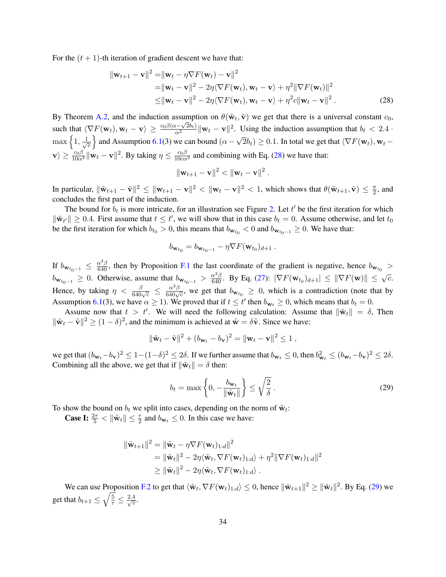For the  $(t + 1)$ -th iteration of gradient descent we have that:

$$
\|\mathbf{w}_{t+1} - \mathbf{v}\|^2 = \|\mathbf{w}_t - \eta \nabla F(\mathbf{w}_t) - \mathbf{v}\|^2
$$
  
\n
$$
= \|\mathbf{w}_t - \mathbf{v}\|^2 - 2\eta \langle \nabla F(\mathbf{w}_t), \mathbf{w}_t - \mathbf{v} \rangle + \eta^2 \|\nabla F(\mathbf{w}_t)\|^2
$$
  
\n
$$
\leq \|\mathbf{w}_t - \mathbf{v}\|^2 - 2\eta \langle \nabla F(\mathbf{w}_t), \mathbf{w}_t - \mathbf{v} \rangle + \eta^2 c \|\mathbf{w}_t - \mathbf{v}\|^2.
$$
 (28)

<span id="page-33-0"></span>.

By Theorem [A.2,](#page-12-0) and the induction assumption on  $\theta(\tilde{\mathbf{w}}_t, \tilde{\mathbf{v}})$  we get that there is a universal constant  $c_0$ , such that  $\langle \nabla F(\mathbf{w}_t), \mathbf{w}_t - \mathbf{v} \rangle \ge \frac{c_0 \beta (\alpha - \sqrt{2}b_t)}{\alpha^2} ||\mathbf{w}_t - \mathbf{v}||^2$ . Using the induction assumption that  $b_t < 2.4$ .  $\max\left\{1, \frac{1}{\sqrt{2}}\right\}$ τ  $\}$  and Assumption [6.1\(](#page-8-2)3) we can bound ( $\alpha$  – √  $(2b_t) \ge 0.1$ . In total we get that  $\langle \nabla F(\mathbf{w}_t), \mathbf{w}_t - \mathbf{w}_t \rangle$  $|\mathbf{v}\rangle \ge \frac{c_0\beta}{10\alpha^2} ||\mathbf{w}_t - \mathbf{v}||^2$ . By taking  $\eta \le \frac{c_0\beta}{10c\alpha^2}$  and combining with Eq. [\(28\)](#page-33-0) we have that:

$$
\|\mathbf{w}_{t+1}-\mathbf{v}\|^2 < \|\mathbf{w}_t-\mathbf{v}\|^2
$$

In particular,  $\|\tilde{\mathbf{w}}_{t+1} - \tilde{\mathbf{v}}\|^2 \leq \|\mathbf{w}_{t+1} - \mathbf{v}\|^2 < \|\mathbf{w}_t - \mathbf{v}\|^2 < 1$ , which shows that  $\theta(\tilde{\mathbf{w}}_{t+1}, \tilde{\mathbf{v}}) \leq \frac{\pi}{2}$  $\frac{\pi}{2}$ , and concludes the first part of the induction.

The bound for  $b_t$  is more intricate, for an illustration see Figure [2.](#page-35-0) Let  $t'$  be the first iteration for which  $\|\tilde{\mathbf{w}}_{t'}\| \geq 0.4$ . First assume that  $t \leq t'$ , we will show that in this case  $b_t = 0$ . Assume otherwise, and let  $t_0$ be the first iteration for which  $b_{t_0} > 0$ , this means that  $b_{w_{t_0}} < 0$  and  $b_{w_{t_0-1}} \ge 0$ . We have that:

$$
b_{\mathbf{w}_{t_0}} = b_{\mathbf{w}_{t_0-1}} - \eta \nabla F(\mathbf{w}_{t_0})_{d+1}.
$$

If  $b_{w_{t_0-1}} \leq \frac{\alpha^3 \beta}{640}$ , then by Proposition [F.1](#page-30-3) the last coordinate of the gradient is negative, hence  $b_{w_{t_0}} >$  $b_{\mathbf{w}_{t_0-1}} \geq 0$ . Otherwise, assume that  $b_{\mathbf{w}_{t_0-1}} > \frac{\alpha^3 \beta}{640}$ . By Eq. [\(27\)](#page-32-2):  $|\nabla F(\mathbf{w}_{t_0})_{d+1}| \leq ||\nabla F(\mathbf{w})|| \leq \sqrt{c}$ . Hence, by taking  $\eta < \frac{\beta}{640\sqrt{c}} \leq \frac{\alpha^3\beta}{640\sqrt{c}}$ , we get that  $b_{w_{t_0}} \geq 0$ , which is a contradiction (note that by Assumption [6.1\(](#page-8-2)3), we have  $\alpha \ge 1$ . We proved that if  $t \le t'$  then  $b_{w_t} \ge 0$ , which means that  $b_t = 0$ .

Assume now that  $t > t'$ . We will need the following calculation: Assume that  $\|\tilde{\mathbf{w}}_t\| = \delta$ , Then  $\|\tilde{\mathbf{w}}_t - \tilde{\mathbf{v}}\|^2 \ge (1 - \delta)^2$ , and the minimum is achieved at  $\tilde{\mathbf{w}} = \delta \tilde{\mathbf{v}}$ . Since we have:

$$
\|\tilde{\mathbf{w}}_t - \tilde{\mathbf{v}}\|^2 + (b_{\mathbf{w}_t} - b_{\mathbf{v}})^2 = \|\mathbf{w}_t - \mathbf{v}\|^2 \le 1,
$$

we get that  $(b_{\mathbf{w}_t} - b_{\mathbf{v}})^2 \le 1 - (1 - \delta)^2 \le 2\delta$ . If we further assume that  $b_{\mathbf{w}_t} \le 0$ , then  $b_{\mathbf{w}_t}^2 \le (b_{\mathbf{w}_t} - b_{\mathbf{v}})^2 \le 2\delta$ . Combining all the above, we get that if  $\|\tilde{\mathbf{w}}_t\| = \delta$  then:

<span id="page-33-1"></span>
$$
b_t = \max\left\{0, -\frac{b_{\mathbf{w}_t}}{\|\tilde{\mathbf{w}}_t\|}\right\} \le \sqrt{\frac{2}{\delta}}.
$$
\n(29)

To show the bound on  $b_t$  we split into cases, depending on the norm of  $\tilde{\mathbf{w}}_t$ :

**Case I:**  $\frac{2\tau}{5} < ||\tilde{\mathbf{w}}_t|| \leq \frac{\tau}{2}$  and  $b_{\mathbf{w}_t} \leq 0$ . In this case we have:

$$
\begin{aligned} \|\tilde{\mathbf{w}}_{t+1}\|^2 &= \|\tilde{\mathbf{w}}_t - \eta \nabla F(\mathbf{w}_t)_{1:d}\|^2 \\ &= \|\tilde{\mathbf{w}}_t\|^2 - 2\eta \langle \tilde{\mathbf{w}}_t, \nabla F(\mathbf{w}_t)_{1:d} \rangle + \eta^2 \|\nabla F(\mathbf{w}_t)_{1:d}\|^2 \\ &\geq \|\tilde{\mathbf{w}}_t\|^2 - 2\eta \langle \tilde{\mathbf{w}}_t, \nabla F(\mathbf{w}_t)_{1:d} \rangle \,. \end{aligned}
$$

We can use Proposition [F.2](#page-31-1) to get that  $\langle \tilde{\mathbf{w}}_t, \nabla F(\mathbf{w}_t)_{1:d} \rangle \leq 0$ , hence  $\|\tilde{\mathbf{w}}_{t+1}\|^2 \geq \|\tilde{\mathbf{w}}_t\|^2$ . By Eq. [\(29\)](#page-33-1) we get that  $b_{t+1} \leq \sqrt{\frac{5}{\tau}} \leq \frac{2.4}{\sqrt{\tau}}$  $\frac{4}{7}.$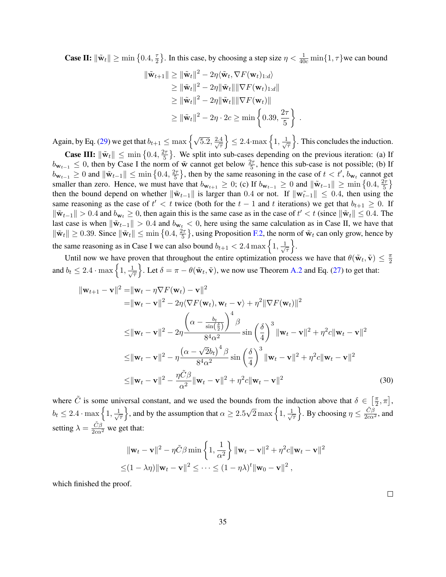**Case II:**  $\|\tilde{\mathbf{w}}_t\| \ge \min\left\{0.4, \frac{\tau}{2}\right\}$  $\frac{\tau}{2}$ . In this case, by choosing a step size  $\eta < \frac{1}{40c} \min\{1, \tau\}$  we can bound

$$
\begin{aligned} \|\tilde{\mathbf{w}}_{t+1}\| &\geq \|\tilde{\mathbf{w}}_t\|^2 - 2\eta \langle \tilde{\mathbf{w}}_t, \nabla F(\mathbf{w}_t)_{1:d} \rangle \\ &\geq \|\tilde{\mathbf{w}}_t\|^2 - 2\eta \|\tilde{\mathbf{w}}_t\| \|\nabla F(\mathbf{w}_t)_{1:d}\| \\ &\geq \|\tilde{\mathbf{w}}_t\|^2 - 2\eta \|\tilde{\mathbf{w}}_t\| \|\nabla F(\mathbf{w}_t)\| \\ &\geq \|\tilde{\mathbf{w}}_t\|^2 - 2\eta \cdot 2c \geq \min\left\{0.39, \frac{2\tau}{5}\right\} \end{aligned}
$$

Again, by Eq. [\(29\)](#page-33-1) we get that  $b_{t+1} \le \max\left\{\sqrt{5.2}, \frac{2.4}{\sqrt{\pi}}\right\}$ τ  $\leq 2.4 \cdot \max\left\{1, \frac{1}{\sqrt{2}}\right\}$ τ o . This concludes the induction.

.

**Case III:**  $\|\tilde{\mathbf{w}}_t\| \le \min\left\{0.4, \frac{2\tau}{5}\right\}$  $\left\{\frac{2\tau}{5}\right\}$ . We split into sub-cases depending on the previous iteration: (a) If  $b_{w_{t-1}} \leq 0$ , then by Case I the norm of  $\tilde{w}$  cannot get below  $\frac{2\tau}{5}$ , hence this sub-case is not possible; (b) If  $b_{\mathbf{w}_{t-1}} \ge 0$  and  $\|\tilde{\mathbf{w}}_{t-1}\| \le \min\left\{0.4, \frac{2\pi}{5}\right\}$  $\frac{2\tau}{5}$ , then by the same reasoning in the case of  $t < t'$ ,  $b_{\mathbf{w}_t}$  cannot get smaller than zero. Hence, we must have that  $b_{w_{t+1}} \geq 0$ ; (c) If  $b_{w_{t-1}} \geq 0$  and  $\|\tilde{w}_{t-1}\| \geq \min\left\{0.4, \frac{2\pi}{5}\right\}$  $\frac{2\tau}{5}\}$ then the bound depend on whether  $\|\tilde{\mathbf{w}}_{t-1}\|$  is larger than 0.4 or not. If  $\|\tilde{\mathbf{w}}_{t-1}\| \leq 0.4$ , then using the same reasoning as the case of  $t' < t$  twice (both for the  $t - 1$  and t iterations) we get that  $b_{t+1} \geq 0$ . If  $\|\tilde{\mathbf{w}}_{t-1}\| > 0.4$  and  $b_{\mathbf{w}_t} \geq 0$ , then again this is the same case as in the case of  $t' < t$  (since  $\|\tilde{\mathbf{w}}_t\| \leq 0.4$ . The last case is when  $\|\tilde{\mathbf{w}}_{t-1}\| > 0.4$  and  $b_{\mathbf{w}_t} < 0$ , here using the same calculation as in Case II, we have that  $\|\tilde{\mathbf{w}}_t\| \ge 0.39$ . Since  $\|\tilde{\mathbf{w}}_t\| \le \min\left\{0.4, \frac{2\tau}{5}\right\}$  $\frac{2\tau}{5}$ , using Proposition [F.2,](#page-31-1) the norm of  $\tilde{\mathbf{w}}_t$  can only grow, hence by the same reasoning as in Case I we can also bound  $b_{t+1} < 2.4 \text{ max} \left\{ 1, \frac{1}{\sqrt{2}} \right\}$ τ  $\big\}$ .

Until now we have proven that throughout the entire optimization process we have that  $\theta(\tilde{\mathbf{w}}_t, \tilde{\mathbf{v}}) \leq \frac{\pi}{2}$ 2 and  $b_t \leq 2.4 \cdot \max\left\{1, \frac{1}{\sqrt{2}}\right\}$ τ Let  $\delta = \pi - \theta(\tilde{\mathbf{w}}_t, \tilde{\mathbf{v}})$ , we now use Theorem [A.2](#page-12-0) and Eq. [\(27\)](#page-32-2) to get that:

$$
\|\mathbf{w}_{t+1} - \mathbf{v}\|^2 = \|\mathbf{w}_t - \eta \nabla F(\mathbf{w}_t) - \mathbf{v}\|^2
$$
  
\n
$$
= \|\mathbf{w}_t - \mathbf{v}\|^2 - 2\eta \langle \nabla F(\mathbf{w}_t), \mathbf{w}_t - \mathbf{v} \rangle + \eta^2 \|\nabla F(\mathbf{w}_t)\|^2
$$
  
\n
$$
\leq \|\mathbf{w}_t - \mathbf{v}\|^2 - 2\eta \frac{\left(\alpha - \frac{b_t}{\sin(\frac{\delta}{2})}\right)^4 \beta}{8^4 \alpha^2} \sin(\frac{\delta}{4})^3 \|\mathbf{w}_t - \mathbf{v}\|^2 + \eta^2 c \|\mathbf{w}_t - \mathbf{v}\|^2
$$
  
\n
$$
\leq \|\mathbf{w}_t - \mathbf{v}\|^2 - \eta \frac{\left(\alpha - \sqrt{2}b_t\right)^4 \beta}{8^4 \alpha^2} \sin(\frac{\delta}{4})^3 \|\mathbf{w}_t - \mathbf{v}\|^2 + \eta^2 c \|\mathbf{w}_t - \mathbf{v}\|^2
$$
  
\n
$$
\leq \|\mathbf{w}_t - \mathbf{v}\|^2 - \frac{\eta \tilde{C}\beta}{\alpha^2} \|\mathbf{w}_t - \mathbf{v}\|^2 + \eta^2 c \|\mathbf{w}_t - \mathbf{v}\|^2
$$
\n(30)

where  $\tilde{C}$  is some universal constant, and we used the bounds from the induction above that  $\delta \in \left[\frac{\pi}{2}\right]$  $\frac{\pi}{2}, \pi$ ,  $b_t \leq 2.4 \cdot \max\left\{1, \frac{1}{\sqrt{2}}\right\}$ τ  $\}$ , and by the assumption that  $\alpha \geq 2.5$  $\sqrt{2}$  max  $\left\{1, \frac{1}{\sqrt{2}}\right\}$ τ  $\Big\}$ . By choosing  $\eta \leq \frac{\tilde{C}\beta}{2c\alpha^2}$ , and setting  $\lambda = \frac{\tilde{C}\beta}{2c\alpha^2}$  we get that:

$$
\|\mathbf{w}_t - \mathbf{v}\|^2 - \eta \tilde{C}\beta \min\left\{1, \frac{1}{\alpha^2}\right\} \|\mathbf{w}_t - \mathbf{v}\|^2 + \eta^2 c \|\mathbf{w}_t - \mathbf{v}\|^2
$$
  

$$
\leq (1 - \lambda \eta) \|\mathbf{w}_t - \mathbf{v}\|^2 \leq \dots \leq (1 - \eta \lambda)^t \|\mathbf{w}_0 - \mathbf{v}\|^2,
$$

which finished the proof.